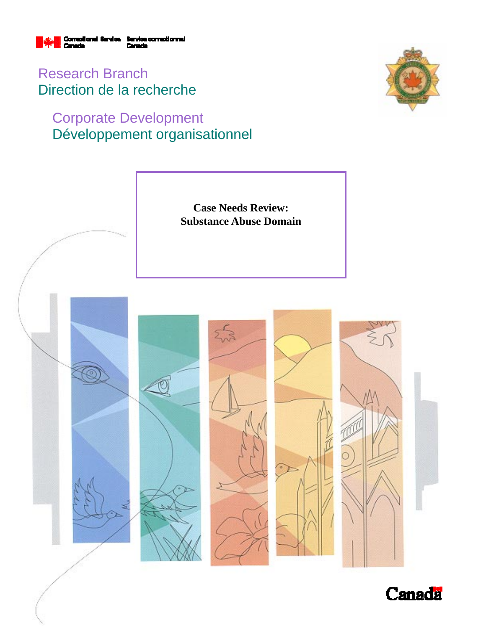

Research Branch Direction de la recherche

## Corporate Development Développement organisationnel



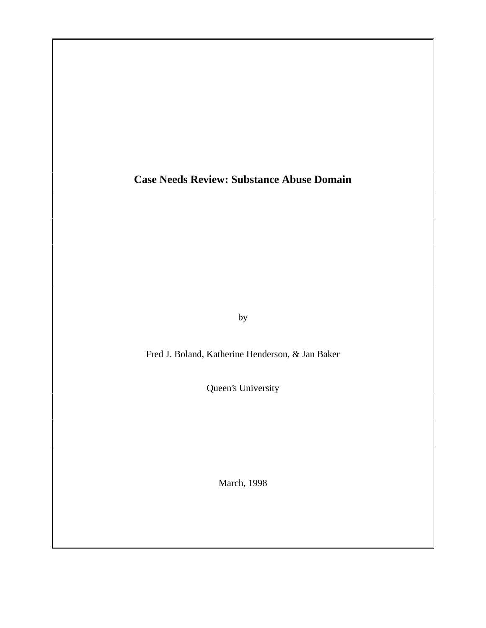**Case Needs Review: Substance Abuse Domain**

by

Fred J. Boland, Katherine Henderson, & Jan Baker

Queen's University

March, 1998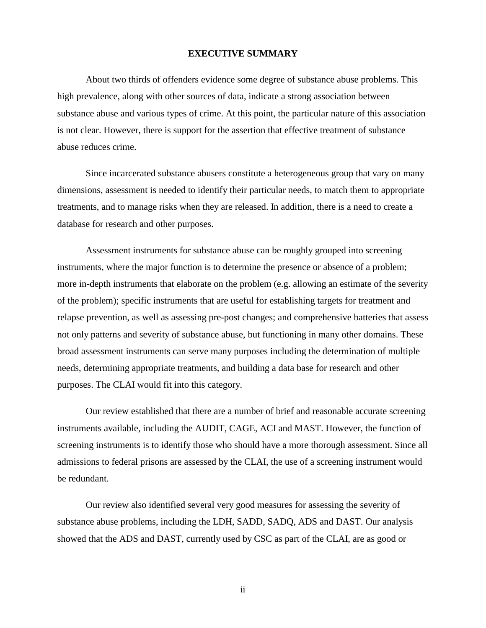#### **EXECUTIVE SUMMARY**

About two thirds of offenders evidence some degree of substance abuse problems. This high prevalence, along with other sources of data, indicate a strong association between substance abuse and various types of crime. At this point, the particular nature of this association is not clear. However, there is support for the assertion that effective treatment of substance abuse reduces crime.

Since incarcerated substance abusers constitute a heterogeneous group that vary on many dimensions, assessment is needed to identify their particular needs, to match them to appropriate treatments, and to manage risks when they are released. In addition, there is a need to create a database for research and other purposes.

Assessment instruments for substance abuse can be roughly grouped into screening instruments, where the major function is to determine the presence or absence of a problem; more in-depth instruments that elaborate on the problem (e.g. allowing an estimate of the severity of the problem); specific instruments that are useful for establishing targets for treatment and relapse prevention, as well as assessing pre-post changes; and comprehensive batteries that assess not only patterns and severity of substance abuse, but functioning in many other domains. These broad assessment instruments can serve many purposes including the determination of multiple needs, determining appropriate treatments, and building a data base for research and other purposes. The CLAI would fit into this category.

Our review established that there are a number of brief and reasonable accurate screening instruments available, including the AUDIT, CAGE, ACI and MAST. However, the function of screening instruments is to identify those who should have a more thorough assessment. Since all admissions to federal prisons are assessed by the CLAI, the use of a screening instrument would be redundant.

Our review also identified several very good measures for assessing the severity of substance abuse problems, including the LDH, SADD, SADQ, ADS and DAST. Our analysis showed that the ADS and DAST, currently used by CSC as part of the CLAI, are as good or

ii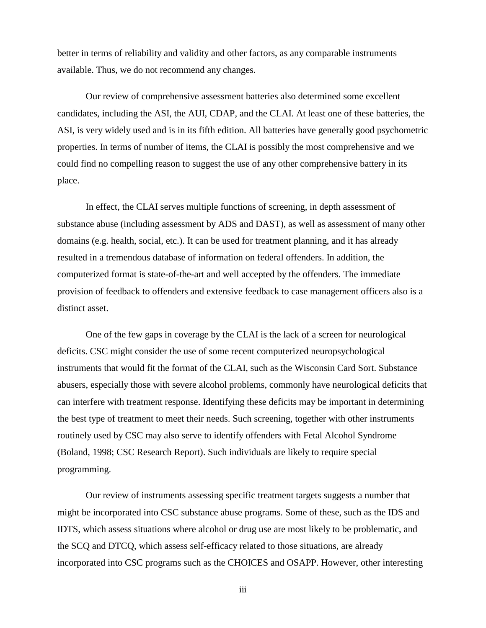better in terms of reliability and validity and other factors, as any comparable instruments available. Thus, we do not recommend any changes.

Our review of comprehensive assessment batteries also determined some excellent candidates, including the ASI, the AUI, CDAP, and the CLAI. At least one of these batteries, the ASI, is very widely used and is in its fifth edition. All batteries have generally good psychometric properties. In terms of number of items, the CLAI is possibly the most comprehensive and we could find no compelling reason to suggest the use of any other comprehensive battery in its place.

In effect, the CLAI serves multiple functions of screening, in depth assessment of substance abuse (including assessment by ADS and DAST), as well as assessment of many other domains (e.g. health, social, etc.). It can be used for treatment planning, and it has already resulted in a tremendous database of information on federal offenders. In addition, the computerized format is state-of-the-art and well accepted by the offenders. The immediate provision of feedback to offenders and extensive feedback to case management officers also is a distinct asset.

One of the few gaps in coverage by the CLAI is the lack of a screen for neurological deficits. CSC might consider the use of some recent computerized neuropsychological instruments that would fit the format of the CLAI, such as the Wisconsin Card Sort. Substance abusers, especially those with severe alcohol problems, commonly have neurological deficits that can interfere with treatment response. Identifying these deficits may be important in determining the best type of treatment to meet their needs. Such screening, together with other instruments routinely used by CSC may also serve to identify offenders with Fetal Alcohol Syndrome (Boland, 1998; CSC Research Report). Such individuals are likely to require special programming.

Our review of instruments assessing specific treatment targets suggests a number that might be incorporated into CSC substance abuse programs. Some of these, such as the IDS and IDTS, which assess situations where alcohol or drug use are most likely to be problematic, and the SCQ and DTCQ, which assess self-efficacy related to those situations, are already incorporated into CSC programs such as the CHOICES and OSAPP. However, other interesting

iii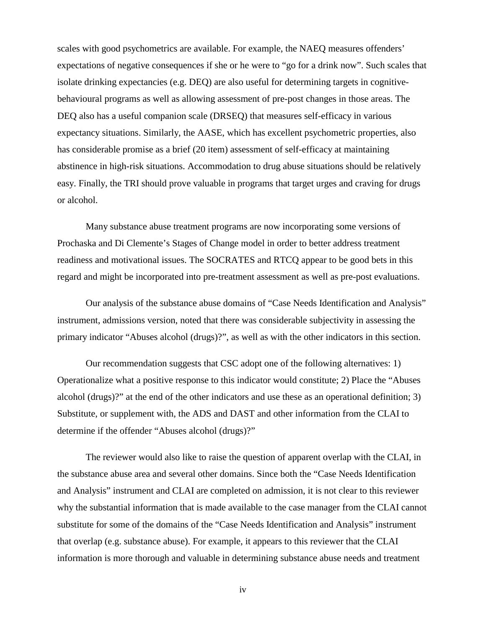scales with good psychometrics are available. For example, the NAEQ measures offenders' expectations of negative consequences if she or he were to "go for a drink now". Such scales that isolate drinking expectancies (e.g. DEQ) are also useful for determining targets in cognitivebehavioural programs as well as allowing assessment of pre-post changes in those areas. The DEQ also has a useful companion scale (DRSEQ) that measures self-efficacy in various expectancy situations. Similarly, the AASE, which has excellent psychometric properties, also has considerable promise as a brief (20 item) assessment of self-efficacy at maintaining abstinence in high-risk situations. Accommodation to drug abuse situations should be relatively easy. Finally, the TRI should prove valuable in programs that target urges and craving for drugs or alcohol.

Many substance abuse treatment programs are now incorporating some versions of Prochaska and Di Clemente's Stages of Change model in order to better address treatment readiness and motivational issues. The SOCRATES and RTCQ appear to be good bets in this regard and might be incorporated into pre-treatment assessment as well as pre-post evaluations.

Our analysis of the substance abuse domains of "Case Needs Identification and Analysis" instrument, admissions version, noted that there was considerable subjectivity in assessing the primary indicator "Abuses alcohol (drugs)?", as well as with the other indicators in this section.

Our recommendation suggests that CSC adopt one of the following alternatives: 1) Operationalize what a positive response to this indicator would constitute; 2) Place the "Abuses alcohol (drugs)?" at the end of the other indicators and use these as an operational definition; 3) Substitute, or supplement with, the ADS and DAST and other information from the CLAI to determine if the offender "Abuses alcohol (drugs)?"

The reviewer would also like to raise the question of apparent overlap with the CLAI, in the substance abuse area and several other domains. Since both the "Case Needs Identification and Analysis" instrument and CLAI are completed on admission, it is not clear to this reviewer why the substantial information that is made available to the case manager from the CLAI cannot substitute for some of the domains of the "Case Needs Identification and Analysis" instrument that overlap (e.g. substance abuse). For example, it appears to this reviewer that the CLAI information is more thorough and valuable in determining substance abuse needs and treatment

iv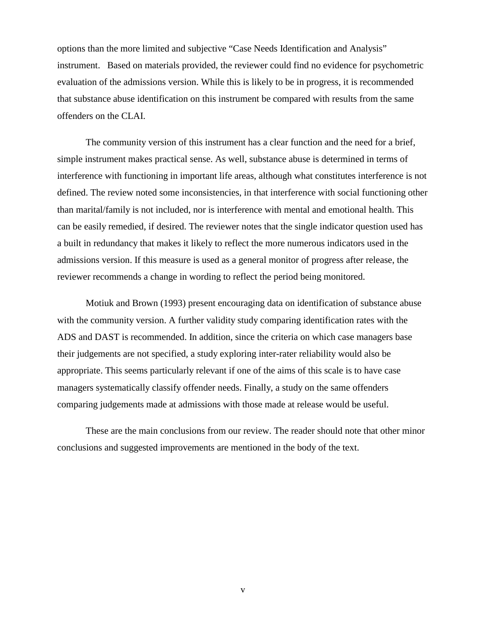options than the more limited and subjective "Case Needs Identification and Analysis" instrument. Based on materials provided, the reviewer could find no evidence for psychometric evaluation of the admissions version. While this is likely to be in progress, it is recommended that substance abuse identification on this instrument be compared with results from the same offenders on the CLAI.

The community version of this instrument has a clear function and the need for a brief, simple instrument makes practical sense. As well, substance abuse is determined in terms of interference with functioning in important life areas, although what constitutes interference is not defined. The review noted some inconsistencies, in that interference with social functioning other than marital/family is not included, nor is interference with mental and emotional health. This can be easily remedied, if desired. The reviewer notes that the single indicator question used has a built in redundancy that makes it likely to reflect the more numerous indicators used in the admissions version. If this measure is used as a general monitor of progress after release, the reviewer recommends a change in wording to reflect the period being monitored.

Motiuk and Brown (1993) present encouraging data on identification of substance abuse with the community version. A further validity study comparing identification rates with the ADS and DAST is recommended. In addition, since the criteria on which case managers base their judgements are not specified, a study exploring inter-rater reliability would also be appropriate. This seems particularly relevant if one of the aims of this scale is to have case managers systematically classify offender needs. Finally, a study on the same offenders comparing judgements made at admissions with those made at release would be useful.

These are the main conclusions from our review. The reader should note that other minor conclusions and suggested improvements are mentioned in the body of the text.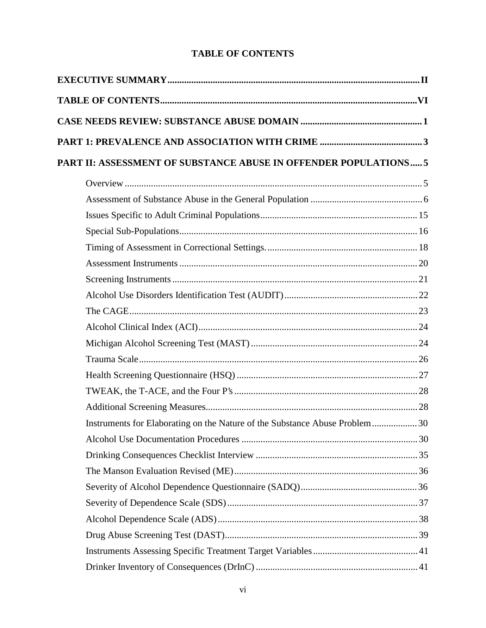## **TABLE OF CONTENTS**

| PART II: ASSESSMENT OF SUBSTANCE ABUSE IN OFFENDER POPULATIONS 5           |  |
|----------------------------------------------------------------------------|--|
|                                                                            |  |
|                                                                            |  |
|                                                                            |  |
|                                                                            |  |
|                                                                            |  |
|                                                                            |  |
|                                                                            |  |
|                                                                            |  |
|                                                                            |  |
|                                                                            |  |
|                                                                            |  |
|                                                                            |  |
|                                                                            |  |
|                                                                            |  |
|                                                                            |  |
| Instruments for Elaborating on the Nature of the Substance Abuse Problem30 |  |
|                                                                            |  |
|                                                                            |  |
|                                                                            |  |
|                                                                            |  |
|                                                                            |  |
|                                                                            |  |
|                                                                            |  |
|                                                                            |  |
|                                                                            |  |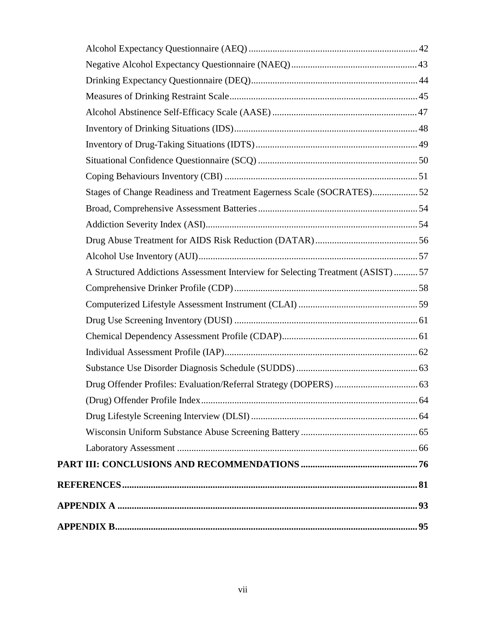| Stages of Change Readiness and Treatment Eagerness Scale (SOCRATES)52           |  |
|---------------------------------------------------------------------------------|--|
|                                                                                 |  |
|                                                                                 |  |
|                                                                                 |  |
|                                                                                 |  |
| A Structured Addictions Assessment Interview for Selecting Treatment (ASIST) 57 |  |
|                                                                                 |  |
|                                                                                 |  |
|                                                                                 |  |
|                                                                                 |  |
|                                                                                 |  |
|                                                                                 |  |
|                                                                                 |  |
|                                                                                 |  |
|                                                                                 |  |
|                                                                                 |  |
|                                                                                 |  |
|                                                                                 |  |
|                                                                                 |  |
|                                                                                 |  |
|                                                                                 |  |
|                                                                                 |  |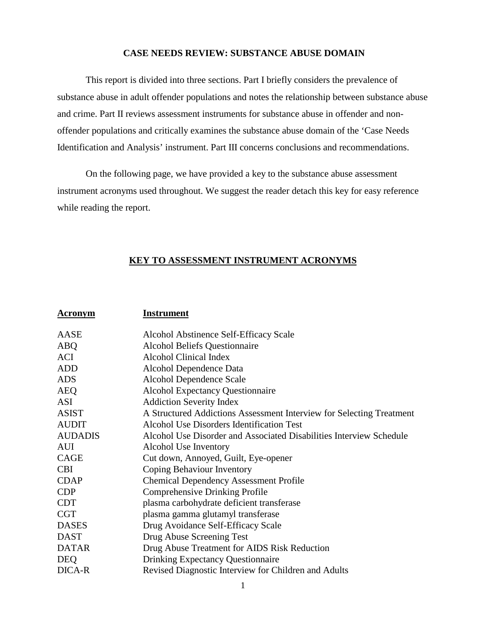### **CASE NEEDS REVIEW: SUBSTANCE ABUSE DOMAIN**

This report is divided into three sections. Part I briefly considers the prevalence of substance abuse in adult offender populations and notes the relationship between substance abuse and crime. Part II reviews assessment instruments for substance abuse in offender and nonoffender populations and critically examines the substance abuse domain of the 'Case Needs Identification and Analysis' instrument. Part III concerns conclusions and recommendations.

On the following page, we have provided a key to the substance abuse assessment instrument acronyms used throughout. We suggest the reader detach this key for easy reference while reading the report.

## **KEY TO ASSESSMENT INSTRUMENT ACRONYMS**

| <b>Acronym</b> | <b>Instrument</b>                                                    |
|----------------|----------------------------------------------------------------------|
| AASE           | Alcohol Abstinence Self-Efficacy Scale                               |
| <b>ABQ</b>     | <b>Alcohol Beliefs Questionnaire</b>                                 |
| ACI            | <b>Alcohol Clinical Index</b>                                        |
| <b>ADD</b>     | Alcohol Dependence Data                                              |
| <b>ADS</b>     | Alcohol Dependence Scale                                             |
| <b>AEQ</b>     | <b>Alcohol Expectancy Questionnaire</b>                              |
| <b>ASI</b>     | <b>Addiction Severity Index</b>                                      |
| <b>ASIST</b>   | A Structured Addictions Assessment Interview for Selecting Treatment |
| <b>AUDIT</b>   | <b>Alcohol Use Disorders Identification Test</b>                     |
| <b>AUDADIS</b> | Alcohol Use Disorder and Associated Disabilities Interview Schedule  |
| <b>AUI</b>     | Alcohol Use Inventory                                                |
| CAGE           | Cut down, Annoyed, Guilt, Eye-opener                                 |
| <b>CBI</b>     | Coping Behaviour Inventory                                           |
| <b>CDAP</b>    | <b>Chemical Dependency Assessment Profile</b>                        |
| <b>CDP</b>     | Comprehensive Drinking Profile                                       |
| <b>CDT</b>     | plasma carbohydrate deficient transferase                            |
| <b>CGT</b>     | plasma gamma glutamyl transferase                                    |
| <b>DASES</b>   | Drug Avoidance Self-Efficacy Scale                                   |
| <b>DAST</b>    | Drug Abuse Screening Test                                            |
| <b>DATAR</b>   | Drug Abuse Treatment for AIDS Risk Reduction                         |
| <b>DEQ</b>     | <b>Drinking Expectancy Questionnaire</b>                             |
| DICA-R         | Revised Diagnostic Interview for Children and Adults                 |
|                |                                                                      |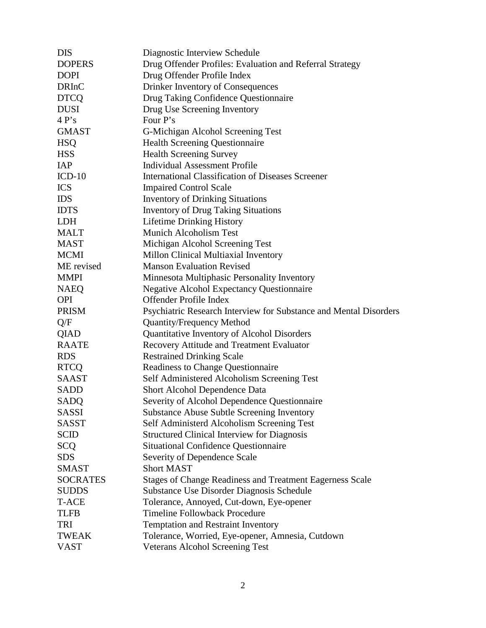| <b>DIS</b>      | Diagnostic Interview Schedule                                     |
|-----------------|-------------------------------------------------------------------|
| <b>DOPERS</b>   | Drug Offender Profiles: Evaluation and Referral Strategy          |
| <b>DOPI</b>     | Drug Offender Profile Index                                       |
| <b>DRInC</b>    | Drinker Inventory of Consequences                                 |
| <b>DTCQ</b>     | Drug Taking Confidence Questionnaire                              |
| <b>DUSI</b>     | Drug Use Screening Inventory                                      |
| 4P's            | Four P's                                                          |
| <b>GMAST</b>    | G-Michigan Alcohol Screening Test                                 |
| <b>HSO</b>      | <b>Health Screening Questionnaire</b>                             |
| <b>HSS</b>      | <b>Health Screening Survey</b>                                    |
| <b>IAP</b>      | <b>Individual Assessment Profile</b>                              |
| $ICD-10$        | <b>International Classification of Diseases Screener</b>          |
| <b>ICS</b>      | <b>Impaired Control Scale</b>                                     |
| <b>IDS</b>      | <b>Inventory of Drinking Situations</b>                           |
| <b>IDTS</b>     | <b>Inventory of Drug Taking Situations</b>                        |
| <b>LDH</b>      | <b>Lifetime Drinking History</b>                                  |
| <b>MALT</b>     | <b>Munich Alcoholism Test</b>                                     |
| <b>MAST</b>     | Michigan Alcohol Screening Test                                   |
| <b>MCMI</b>     | Millon Clinical Multiaxial Inventory                              |
| ME revised      | <b>Manson Evaluation Revised</b>                                  |
| <b>MMPI</b>     | Minnesota Multiphasic Personality Inventory                       |
| <b>NAEQ</b>     | <b>Negative Alcohol Expectancy Questionnaire</b>                  |
| <b>OPI</b>      | Offender Profile Index                                            |
| <b>PRISM</b>    | Psychiatric Research Interview for Substance and Mental Disorders |
| Q/F             | <b>Quantity/Frequency Method</b>                                  |
| <b>QIAD</b>     | Quantitative Inventory of Alcohol Disorders                       |
| <b>RAATE</b>    | Recovery Attitude and Treatment Evaluator                         |
| <b>RDS</b>      | <b>Restrained Drinking Scale</b>                                  |
| <b>RTCQ</b>     | <b>Readiness to Change Questionnaire</b>                          |
| <b>SAAST</b>    | Self Administered Alcoholism Screening Test                       |
| <b>SADD</b>     | Short Alcohol Dependence Data                                     |
| SADQ            | Severity of Alcohol Dependence Questionnaire                      |
| <b>SASSI</b>    | <b>Substance Abuse Subtle Screening Inventory</b>                 |
| <b>SASST</b>    | Self Administerd Alcoholism Screening Test                        |
| <b>SCID</b>     | <b>Structured Clinical Interview for Diagnosis</b>                |
| <b>SCQ</b>      | <b>Situational Confidence Questionnaire</b>                       |
| <b>SDS</b>      | Severity of Dependence Scale                                      |
| <b>SMAST</b>    | <b>Short MAST</b>                                                 |
| <b>SOCRATES</b> | <b>Stages of Change Readiness and Treatment Eagerness Scale</b>   |
| <b>SUDDS</b>    | Substance Use Disorder Diagnosis Schedule                         |
| T-ACE           | Tolerance, Annoyed, Cut-down, Eye-opener                          |
| <b>TLFB</b>     | <b>Timeline Followback Procedure</b>                              |
| TRI             | <b>Temptation and Restraint Inventory</b>                         |
| <b>TWEAK</b>    | Tolerance, Worried, Eye-opener, Amnesia, Cutdown                  |
| <b>VAST</b>     | <b>Veterans Alcohol Screening Test</b>                            |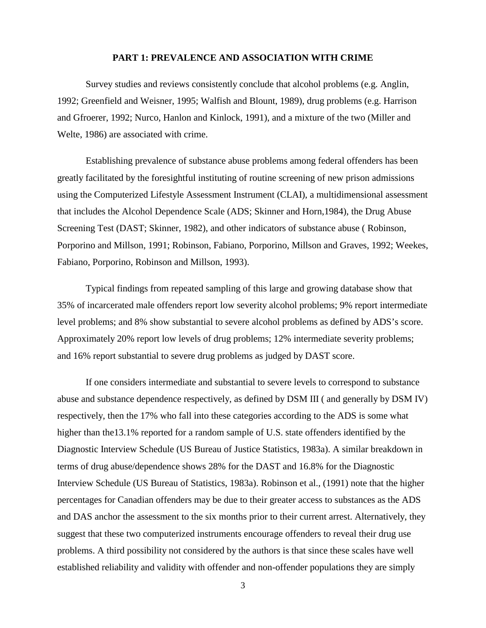#### **PART 1: PREVALENCE AND ASSOCIATION WITH CRIME**

Survey studies and reviews consistently conclude that alcohol problems (e.g. Anglin, 1992; Greenfield and Weisner, 1995; Walfish and Blount, 1989), drug problems (e.g. Harrison and Gfroerer, 1992; Nurco, Hanlon and Kinlock, 1991), and a mixture of the two (Miller and Welte, 1986) are associated with crime.

Establishing prevalence of substance abuse problems among federal offenders has been greatly facilitated by the foresightful instituting of routine screening of new prison admissions using the Computerized Lifestyle Assessment Instrument (CLAI), a multidimensional assessment that includes the Alcohol Dependence Scale (ADS; Skinner and Horn,1984), the Drug Abuse Screening Test (DAST; Skinner, 1982), and other indicators of substance abuse ( Robinson, Porporino and Millson, 1991; Robinson, Fabiano, Porporino, Millson and Graves, 1992; Weekes, Fabiano, Porporino, Robinson and Millson, 1993).

Typical findings from repeated sampling of this large and growing database show that 35% of incarcerated male offenders report low severity alcohol problems; 9% report intermediate level problems; and 8% show substantial to severe alcohol problems as defined by ADS's score. Approximately 20% report low levels of drug problems; 12% intermediate severity problems; and 16% report substantial to severe drug problems as judged by DAST score.

If one considers intermediate and substantial to severe levels to correspond to substance abuse and substance dependence respectively, as defined by DSM III ( and generally by DSM IV) respectively, then the 17% who fall into these categories according to the ADS is some what higher than the 13.1% reported for a random sample of U.S. state of fenders identified by the Diagnostic Interview Schedule (US Bureau of Justice Statistics, 1983a). A similar breakdown in terms of drug abuse/dependence shows 28% for the DAST and 16.8% for the Diagnostic Interview Schedule (US Bureau of Statistics, 1983a). Robinson et al., (1991) note that the higher percentages for Canadian offenders may be due to their greater access to substances as the ADS and DAS anchor the assessment to the six months prior to their current arrest. Alternatively, they suggest that these two computerized instruments encourage offenders to reveal their drug use problems. A third possibility not considered by the authors is that since these scales have well established reliability and validity with offender and non-offender populations they are simply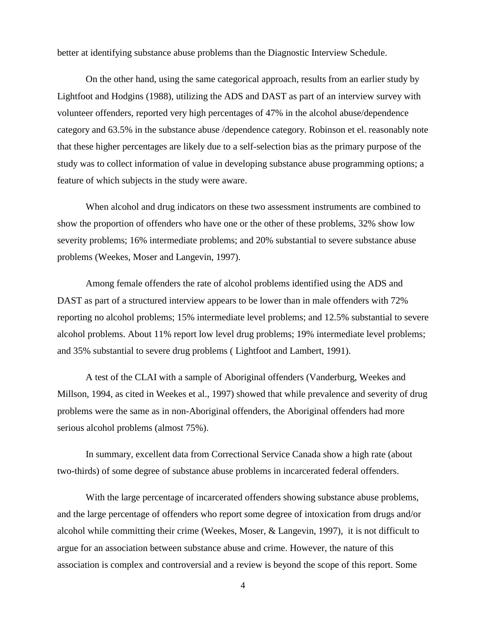better at identifying substance abuse problems than the Diagnostic Interview Schedule.

On the other hand, using the same categorical approach, results from an earlier study by Lightfoot and Hodgins (1988), utilizing the ADS and DAST as part of an interview survey with volunteer offenders, reported very high percentages of 47% in the alcohol abuse/dependence category and 63.5% in the substance abuse /dependence category. Robinson et el. reasonably note that these higher percentages are likely due to a self-selection bias as the primary purpose of the study was to collect information of value in developing substance abuse programming options; a feature of which subjects in the study were aware.

When alcohol and drug indicators on these two assessment instruments are combined to show the proportion of offenders who have one or the other of these problems, 32% show low severity problems; 16% intermediate problems; and 20% substantial to severe substance abuse problems (Weekes, Moser and Langevin, 1997).

Among female offenders the rate of alcohol problems identified using the ADS and DAST as part of a structured interview appears to be lower than in male offenders with 72% reporting no alcohol problems; 15% intermediate level problems; and 12.5% substantial to severe alcohol problems. About 11% report low level drug problems; 19% intermediate level problems; and 35% substantial to severe drug problems ( Lightfoot and Lambert, 1991).

A test of the CLAI with a sample of Aboriginal offenders (Vanderburg, Weekes and Millson, 1994, as cited in Weekes et al., 1997) showed that while prevalence and severity of drug problems were the same as in non-Aboriginal offenders, the Aboriginal offenders had more serious alcohol problems (almost 75%).

In summary, excellent data from Correctional Service Canada show a high rate (about two-thirds) of some degree of substance abuse problems in incarcerated federal offenders.

With the large percentage of incarcerated offenders showing substance abuse problems, and the large percentage of offenders who report some degree of intoxication from drugs and/or alcohol while committing their crime (Weekes, Moser, & Langevin, 1997), it is not difficult to argue for an association between substance abuse and crime. However, the nature of this association is complex and controversial and a review is beyond the scope of this report. Some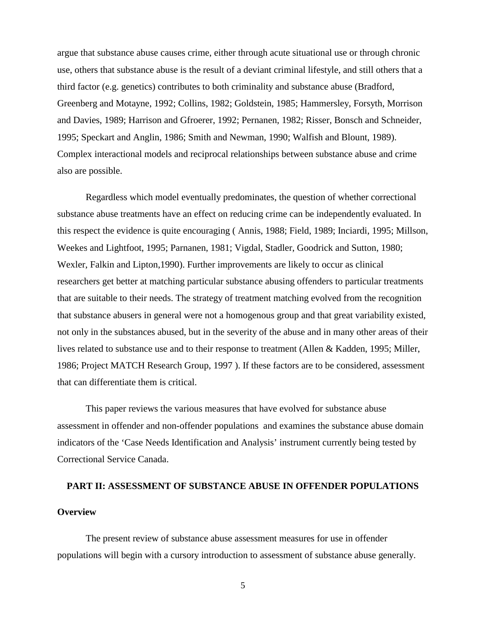argue that substance abuse causes crime, either through acute situational use or through chronic use, others that substance abuse is the result of a deviant criminal lifestyle, and still others that a third factor (e.g. genetics) contributes to both criminality and substance abuse (Bradford, Greenberg and Motayne, 1992; Collins, 1982; Goldstein, 1985; Hammersley, Forsyth, Morrison and Davies, 1989; Harrison and Gfroerer, 1992; Pernanen, 1982; Risser, Bonsch and Schneider, 1995; Speckart and Anglin, 1986; Smith and Newman, 1990; Walfish and Blount, 1989). Complex interactional models and reciprocal relationships between substance abuse and crime also are possible.

Regardless which model eventually predominates, the question of whether correctional substance abuse treatments have an effect on reducing crime can be independently evaluated. In this respect the evidence is quite encouraging ( Annis, 1988; Field, 1989; Inciardi, 1995; Millson, Weekes and Lightfoot, 1995; Parnanen, 1981; Vigdal, Stadler, Goodrick and Sutton, 1980; Wexler, Falkin and Lipton,1990). Further improvements are likely to occur as clinical researchers get better at matching particular substance abusing offenders to particular treatments that are suitable to their needs. The strategy of treatment matching evolved from the recognition that substance abusers in general were not a homogenous group and that great variability existed, not only in the substances abused, but in the severity of the abuse and in many other areas of their lives related to substance use and to their response to treatment (Allen & Kadden, 1995; Miller, 1986; Project MATCH Research Group, 1997 ). If these factors are to be considered, assessment that can differentiate them is critical.

This paper reviews the various measures that have evolved for substance abuse assessment in offender and non-offender populations and examines the substance abuse domain indicators of the 'Case Needs Identification and Analysis' instrument currently being tested by Correctional Service Canada.

# **PART II: ASSESSMENT OF SUBSTANCE ABUSE IN OFFENDER POPULATIONS Overview**

The present review of substance abuse assessment measures for use in offender populations will begin with a cursory introduction to assessment of substance abuse generally.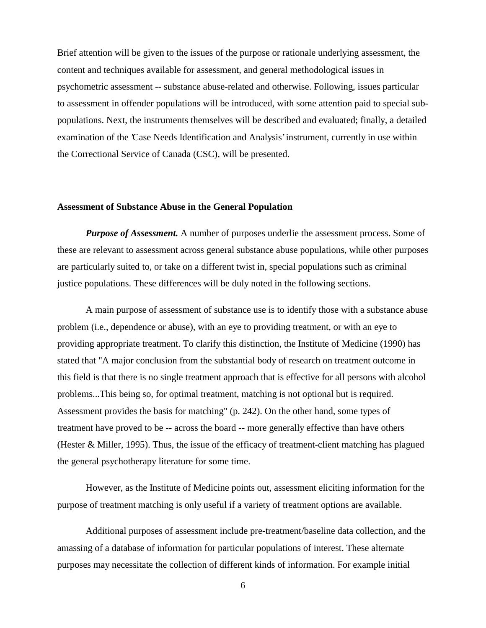Brief attention will be given to the issues of the purpose or rationale underlying assessment, the content and techniques available for assessment, and general methodological issues in psychometric assessment -- substance abuse-related and otherwise. Following, issues particular to assessment in offender populations will be introduced, with some attention paid to special subpopulations. Next, the instruments themselves will be described and evaluated; finally, a detailed examination of the 'Case Needs Identification and Analysis' instrument, currently in use within the Correctional Service of Canada (CSC), will be presented.

#### **Assessment of Substance Abuse in the General Population**

*Purpose of Assessment.* A number of purposes underlie the assessment process. Some of these are relevant to assessment across general substance abuse populations, while other purposes are particularly suited to, or take on a different twist in, special populations such as criminal justice populations. These differences will be duly noted in the following sections.

A main purpose of assessment of substance use is to identify those with a substance abuse problem (i.e., dependence or abuse), with an eye to providing treatment, or with an eye to providing appropriate treatment. To clarify this distinction, the Institute of Medicine (1990) has stated that "A major conclusion from the substantial body of research on treatment outcome in this field is that there is no single treatment approach that is effective for all persons with alcohol problems...This being so, for optimal treatment, matching is not optional but is required. Assessment provides the basis for matching" (p. 242). On the other hand, some types of treatment have proved to be -- across the board -- more generally effective than have others (Hester & Miller, 1995). Thus, the issue of the efficacy of treatment-client matching has plagued the general psychotherapy literature for some time.

However, as the Institute of Medicine points out, assessment eliciting information for the purpose of treatment matching is only useful if a variety of treatment options are available.

Additional purposes of assessment include pre-treatment/baseline data collection, and the amassing of a database of information for particular populations of interest. These alternate purposes may necessitate the collection of different kinds of information. For example initial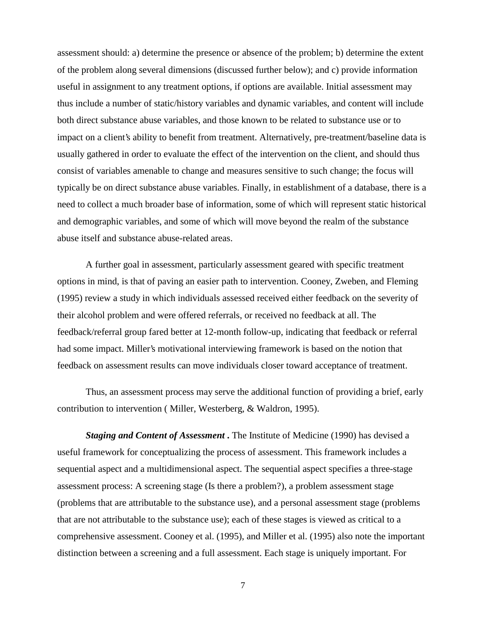assessment should: a) determine the presence or absence of the problem; b) determine the extent of the problem along several dimensions (discussed further below); and c) provide information useful in assignment to any treatment options, if options are available. Initial assessment may thus include a number of static/history variables and dynamic variables, and content will include both direct substance abuse variables, and those known to be related to substance use or to impact on a client's ability to benefit from treatment. Alternatively, pre-treatment/baseline data is usually gathered in order to evaluate the effect of the intervention on the client, and should thus consist of variables amenable to change and measures sensitive to such change; the focus will typically be on direct substance abuse variables. Finally, in establishment of a database, there is a need to collect a much broader base of information, some of which will represent static historical and demographic variables, and some of which will move beyond the realm of the substance abuse itself and substance abuse-related areas.

A further goal in assessment, particularly assessment geared with specific treatment options in mind, is that of paving an easier path to intervention. Cooney, Zweben, and Fleming (1995) review a study in which individuals assessed received either feedback on the severity of their alcohol problem and were offered referrals, or received no feedback at all. The feedback/referral group fared better at 12-month follow-up, indicating that feedback or referral had some impact. Miller's motivational interviewing framework is based on the notion that feedback on assessment results can move individuals closer toward acceptance of treatment.

Thus, an assessment process may serve the additional function of providing a brief, early contribution to intervention ( Miller, Westerberg, & Waldron, 1995).

*Staging and Content of Assessment* **.** The Institute of Medicine (1990) has devised a useful framework for conceptualizing the process of assessment. This framework includes a sequential aspect and a multidimensional aspect. The sequential aspect specifies a three-stage assessment process: A screening stage (Is there a problem?), a problem assessment stage (problems that are attributable to the substance use), and a personal assessment stage (problems that are not attributable to the substance use); each of these stages is viewed as critical to a comprehensive assessment. Cooney et al. (1995), and Miller et al. (1995) also note the important distinction between a screening and a full assessment. Each stage is uniquely important. For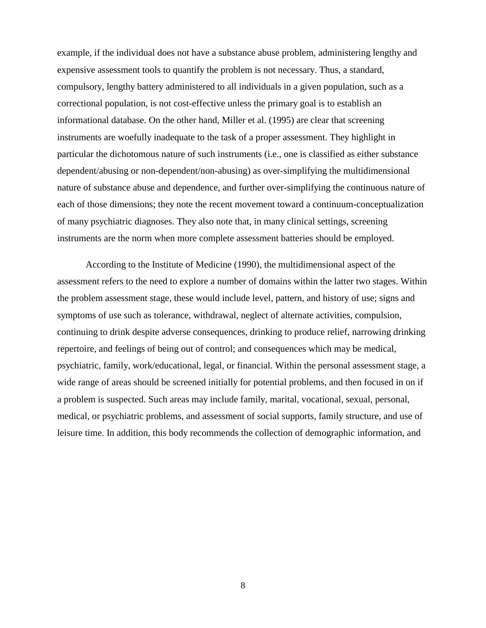example, if the individual does not have a substance abuse problem, administering lengthy and expensive assessment tools to quantify the problem is not necessary. Thus, a standard, compulsory, lengthy battery administered to all individuals in a given population, such as a correctional population, is not cost-effective unless the primary goal is to establish an informational database. On the other hand, Miller et al. (1995) are clear that screening instruments are woefully inadequate to the task of a proper assessment. They highlight in particular the dichotomous nature of such instruments (i.e., one is classified as either substance dependent/abusing or non-dependent/non-abusing) as over-simplifying the multidimensional nature of substance abuse and dependence, and further over-simplifying the continuous nature of each of those dimensions; they note the recent movement toward a continuum-conceptualization of many psychiatric diagnoses. They also note that, in many clinical settings, screening instruments are the norm when more complete assessment batteries should be employed.

According to the Institute of Medicine (1990), the multidimensional aspect of the assessment refers to the need to explore a number of domains within the latter two stages. Within the problem assessment stage, these would include level, pattern, and history of use; signs and symptoms of use such as tolerance, withdrawal, neglect of alternate activities, compulsion, continuing to drink despite adverse consequences, drinking to produce relief, narrowing drinking repertoire, and feelings of being out of control; and consequences which may be medical, psychiatric, family, work/educational, legal, or financial. Within the personal assessment stage, a wide range of areas should be screened initially for potential problems, and then focused in on if a problem is suspected. Such areas may include family, marital, vocational, sexual, personal, medical, or psychiatric problems, and assessment of social supports, family structure, and use of leisure time. In addition, this body recommends the collection of demographic information, and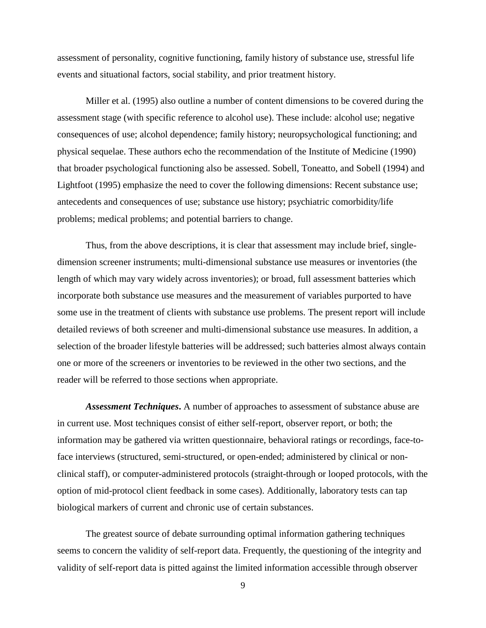assessment of personality, cognitive functioning, family history of substance use, stressful life events and situational factors, social stability, and prior treatment history.

Miller et al. (1995) also outline a number of content dimensions to be covered during the assessment stage (with specific reference to alcohol use). These include: alcohol use; negative consequences of use; alcohol dependence; family history; neuropsychological functioning; and physical sequelae. These authors echo the recommendation of the Institute of Medicine (1990) that broader psychological functioning also be assessed. Sobell, Toneatto, and Sobell (1994) and Lightfoot (1995) emphasize the need to cover the following dimensions: Recent substance use; antecedents and consequences of use; substance use history; psychiatric comorbidity/life problems; medical problems; and potential barriers to change.

Thus, from the above descriptions, it is clear that assessment may include brief, singledimension screener instruments; multi-dimensional substance use measures or inventories (the length of which may vary widely across inventories); or broad, full assessment batteries which incorporate both substance use measures and the measurement of variables purported to have some use in the treatment of clients with substance use problems. The present report will include detailed reviews of both screener and multi-dimensional substance use measures. In addition, a selection of the broader lifestyle batteries will be addressed; such batteries almost always contain one or more of the screeners or inventories to be reviewed in the other two sections, and the reader will be referred to those sections when appropriate.

*Assessment Techniques***.** A number of approaches to assessment of substance abuse are in current use. Most techniques consist of either self-report, observer report, or both; the information may be gathered via written questionnaire, behavioral ratings or recordings, face-toface interviews (structured, semi-structured, or open-ended; administered by clinical or nonclinical staff), or computer-administered protocols (straight-through or looped protocols, with the option of mid-protocol client feedback in some cases). Additionally, laboratory tests can tap biological markers of current and chronic use of certain substances.

The greatest source of debate surrounding optimal information gathering techniques seems to concern the validity of self-report data. Frequently, the questioning of the integrity and validity of self-report data is pitted against the limited information accessible through observer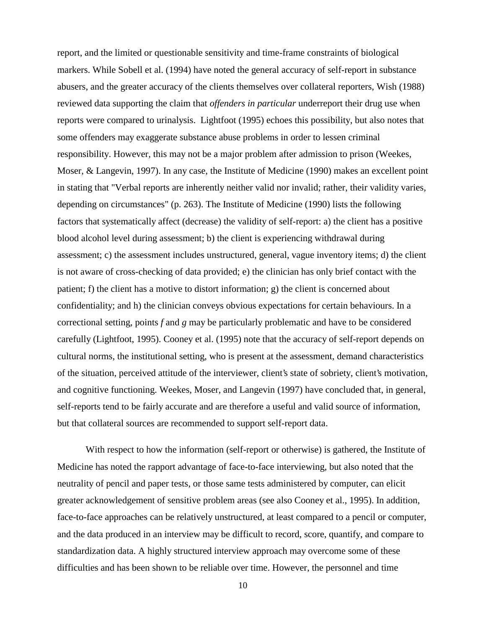report, and the limited or questionable sensitivity and time-frame constraints of biological markers. While Sobell et al. (1994) have noted the general accuracy of self-report in substance abusers, and the greater accuracy of the clients themselves over collateral reporters, Wish (1988) reviewed data supporting the claim that *offenders in particular* underreport their drug use when reports were compared to urinalysis. Lightfoot (1995) echoes this possibility, but also notes that some offenders may exaggerate substance abuse problems in order to lessen criminal responsibility. However, this may not be a major problem after admission to prison (Weekes, Moser, & Langevin, 1997). In any case, the Institute of Medicine (1990) makes an excellent point in stating that "Verbal reports are inherently neither valid nor invalid; rather, their validity varies, depending on circumstances" (p. 263). The Institute of Medicine (1990) lists the following factors that systematically affect (decrease) the validity of self-report: a) the client has a positive blood alcohol level during assessment; b) the client is experiencing withdrawal during assessment; c) the assessment includes unstructured, general, vague inventory items; d) the client is not aware of cross-checking of data provided; e) the clinician has only brief contact with the patient; f) the client has a motive to distort information; g) the client is concerned about confidentiality; and h) the clinician conveys obvious expectations for certain behaviours. In a correctional setting, points *f* and *g* may be particularly problematic and have to be considered carefully (Lightfoot, 1995). Cooney et al. (1995) note that the accuracy of self-report depends on cultural norms, the institutional setting, who is present at the assessment, demand characteristics of the situation, perceived attitude of the interviewer, client's state of sobriety, client's motivation, and cognitive functioning. Weekes, Moser, and Langevin (1997) have concluded that, in general, self-reports tend to be fairly accurate and are therefore a useful and valid source of information, but that collateral sources are recommended to support self-report data.

With respect to how the information (self-report or otherwise) is gathered, the Institute of Medicine has noted the rapport advantage of face-to-face interviewing, but also noted that the neutrality of pencil and paper tests, or those same tests administered by computer, can elicit greater acknowledgement of sensitive problem areas (see also Cooney et al., 1995). In addition, face-to-face approaches can be relatively unstructured, at least compared to a pencil or computer, and the data produced in an interview may be difficult to record, score, quantify, and compare to standardization data. A highly structured interview approach may overcome some of these difficulties and has been shown to be reliable over time. However, the personnel and time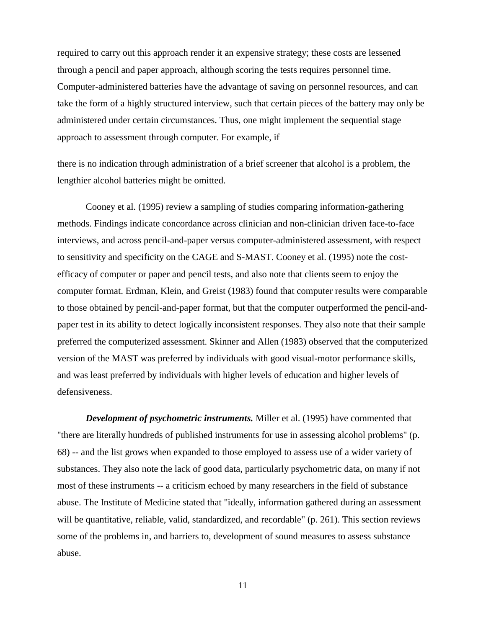required to carry out this approach render it an expensive strategy; these costs are lessened through a pencil and paper approach, although scoring the tests requires personnel time. Computer-administered batteries have the advantage of saving on personnel resources, and can take the form of a highly structured interview, such that certain pieces of the battery may only be administered under certain circumstances. Thus, one might implement the sequential stage approach to assessment through computer. For example, if

there is no indication through administration of a brief screener that alcohol is a problem, the lengthier alcohol batteries might be omitted.

Cooney et al. (1995) review a sampling of studies comparing information-gathering methods. Findings indicate concordance across clinician and non-clinician driven face-to-face interviews, and across pencil-and-paper versus computer-administered assessment, with respect to sensitivity and specificity on the CAGE and S-MAST. Cooney et al. (1995) note the costefficacy of computer or paper and pencil tests, and also note that clients seem to enjoy the computer format. Erdman, Klein, and Greist (1983) found that computer results were comparable to those obtained by pencil-and-paper format, but that the computer outperformed the pencil-andpaper test in its ability to detect logically inconsistent responses. They also note that their sample preferred the computerized assessment. Skinner and Allen (1983) observed that the computerized version of the MAST was preferred by individuals with good visual-motor performance skills, and was least preferred by individuals with higher levels of education and higher levels of defensiveness.

*Development of psychometric instruments.* Miller et al. (1995) have commented that "there are literally hundreds of published instruments for use in assessing alcohol problems" (p. 68) -- and the list grows when expanded to those employed to assess use of a wider variety of substances. They also note the lack of good data, particularly psychometric data, on many if not most of these instruments -- a criticism echoed by many researchers in the field of substance abuse. The Institute of Medicine stated that "ideally, information gathered during an assessment will be quantitative, reliable, valid, standardized, and recordable" (p. 261). This section reviews some of the problems in, and barriers to, development of sound measures to assess substance abuse.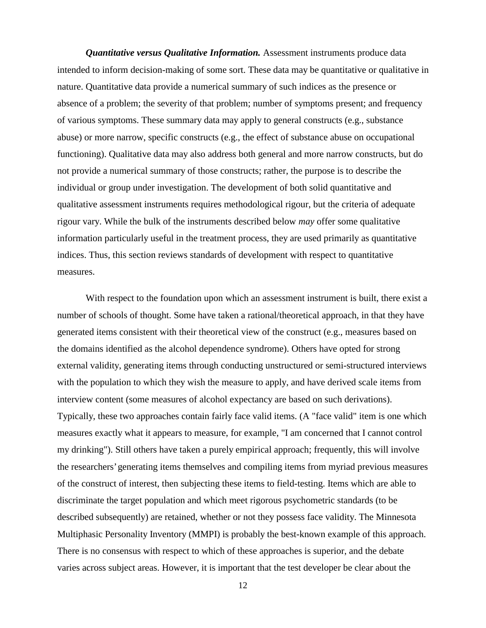*Quantitative versus Qualitative Information.* Assessment instruments produce data intended to inform decision-making of some sort. These data may be quantitative or qualitative in nature. Quantitative data provide a numerical summary of such indices as the presence or absence of a problem; the severity of that problem; number of symptoms present; and frequency of various symptoms. These summary data may apply to general constructs (e.g., substance abuse) or more narrow, specific constructs (e.g., the effect of substance abuse on occupational functioning). Qualitative data may also address both general and more narrow constructs, but do not provide a numerical summary of those constructs; rather, the purpose is to describe the individual or group under investigation. The development of both solid quantitative and qualitative assessment instruments requires methodological rigour, but the criteria of adequate rigour vary. While the bulk of the instruments described below *may* offer some qualitative information particularly useful in the treatment process, they are used primarily as quantitative indices. Thus, this section reviews standards of development with respect to quantitative measures.

With respect to the foundation upon which an assessment instrument is built, there exist a number of schools of thought. Some have taken a rational/theoretical approach, in that they have generated items consistent with their theoretical view of the construct (e.g., measures based on the domains identified as the alcohol dependence syndrome). Others have opted for strong external validity, generating items through conducting unstructured or semi-structured interviews with the population to which they wish the measure to apply, and have derived scale items from interview content (some measures of alcohol expectancy are based on such derivations). Typically, these two approaches contain fairly face valid items. (A "face valid" item is one which measures exactly what it appears to measure, for example, "I am concerned that I cannot control my drinking"). Still others have taken a purely empirical approach; frequently, this will involve the researchers' generating items themselves and compiling items from myriad previous measures of the construct of interest, then subjecting these items to field-testing. Items which are able to discriminate the target population and which meet rigorous psychometric standards (to be described subsequently) are retained, whether or not they possess face validity. The Minnesota Multiphasic Personality Inventory (MMPI) is probably the best-known example of this approach. There is no consensus with respect to which of these approaches is superior, and the debate varies across subject areas. However, it is important that the test developer be clear about the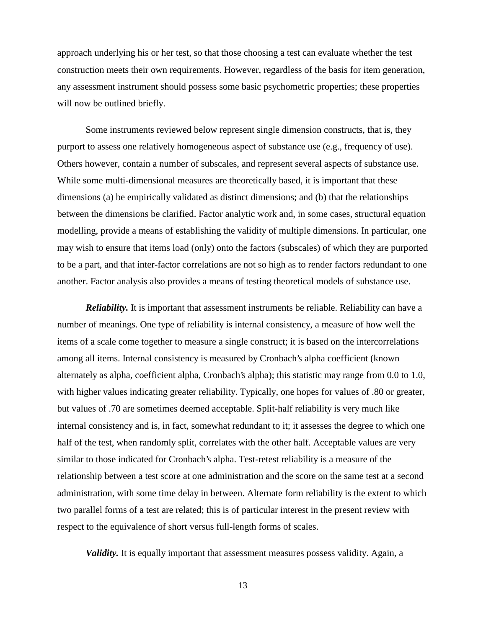approach underlying his or her test, so that those choosing a test can evaluate whether the test construction meets their own requirements. However, regardless of the basis for item generation, any assessment instrument should possess some basic psychometric properties; these properties will now be outlined briefly.

Some instruments reviewed below represent single dimension constructs, that is, they purport to assess one relatively homogeneous aspect of substance use (e.g., frequency of use). Others however, contain a number of subscales, and represent several aspects of substance use. While some multi-dimensional measures are theoretically based, it is important that these dimensions (a) be empirically validated as distinct dimensions; and (b) that the relationships between the dimensions be clarified. Factor analytic work and, in some cases, structural equation modelling, provide a means of establishing the validity of multiple dimensions. In particular, one may wish to ensure that items load (only) onto the factors (subscales) of which they are purported to be a part, and that inter-factor correlations are not so high as to render factors redundant to one another. Factor analysis also provides a means of testing theoretical models of substance use.

*Reliability.* It is important that assessment instruments be reliable. Reliability can have a number of meanings. One type of reliability is internal consistency, a measure of how well the items of a scale come together to measure a single construct; it is based on the intercorrelations among all items. Internal consistency is measured by Cronbach's alpha coefficient (known alternately as alpha, coefficient alpha, Cronbach's alpha); this statistic may range from 0.0 to 1.0, with higher values indicating greater reliability. Typically, one hopes for values of .80 or greater, but values of .70 are sometimes deemed acceptable. Split-half reliability is very much like internal consistency and is, in fact, somewhat redundant to it; it assesses the degree to which one half of the test, when randomly split, correlates with the other half. Acceptable values are very similar to those indicated for Cronbach's alpha. Test-retest reliability is a measure of the relationship between a test score at one administration and the score on the same test at a second administration, with some time delay in between. Alternate form reliability is the extent to which two parallel forms of a test are related; this is of particular interest in the present review with respect to the equivalence of short versus full-length forms of scales.

*Validity*. It is equally important that assessment measures possess validity. Again, a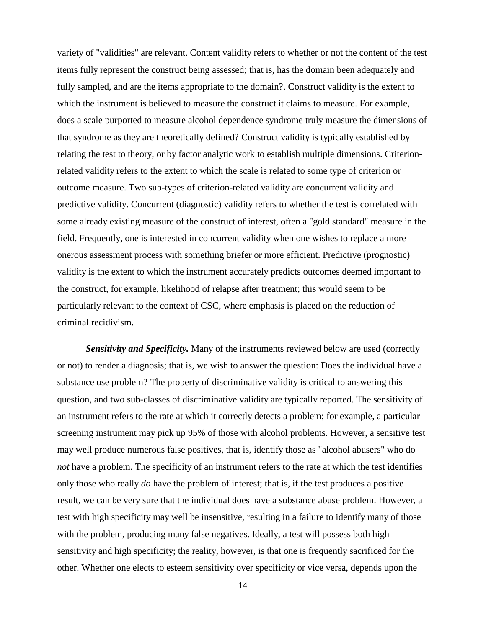variety of "validities" are relevant. Content validity refers to whether or not the content of the test items fully represent the construct being assessed; that is, has the domain been adequately and fully sampled, and are the items appropriate to the domain?. Construct validity is the extent to which the instrument is believed to measure the construct it claims to measure. For example, does a scale purported to measure alcohol dependence syndrome truly measure the dimensions of that syndrome as they are theoretically defined? Construct validity is typically established by relating the test to theory, or by factor analytic work to establish multiple dimensions. Criterionrelated validity refers to the extent to which the scale is related to some type of criterion or outcome measure. Two sub-types of criterion-related validity are concurrent validity and predictive validity. Concurrent (diagnostic) validity refers to whether the test is correlated with some already existing measure of the construct of interest, often a "gold standard" measure in the field. Frequently, one is interested in concurrent validity when one wishes to replace a more onerous assessment process with something briefer or more efficient. Predictive (prognostic) validity is the extent to which the instrument accurately predicts outcomes deemed important to the construct, for example, likelihood of relapse after treatment; this would seem to be particularly relevant to the context of CSC, where emphasis is placed on the reduction of criminal recidivism.

**Sensitivity and Specificity.** Many of the instruments reviewed below are used (correctly or not) to render a diagnosis; that is, we wish to answer the question: Does the individual have a substance use problem? The property of discriminative validity is critical to answering this question, and two sub-classes of discriminative validity are typically reported. The sensitivity of an instrument refers to the rate at which it correctly detects a problem; for example, a particular screening instrument may pick up 95% of those with alcohol problems. However, a sensitive test may well produce numerous false positives, that is, identify those as "alcohol abusers" who do *not* have a problem. The specificity of an instrument refers to the rate at which the test identifies only those who really *do* have the problem of interest; that is, if the test produces a positive result, we can be very sure that the individual does have a substance abuse problem. However, a test with high specificity may well be insensitive, resulting in a failure to identify many of those with the problem, producing many false negatives. Ideally, a test will possess both high sensitivity and high specificity; the reality, however, is that one is frequently sacrificed for the other. Whether one elects to esteem sensitivity over specificity or vice versa, depends upon the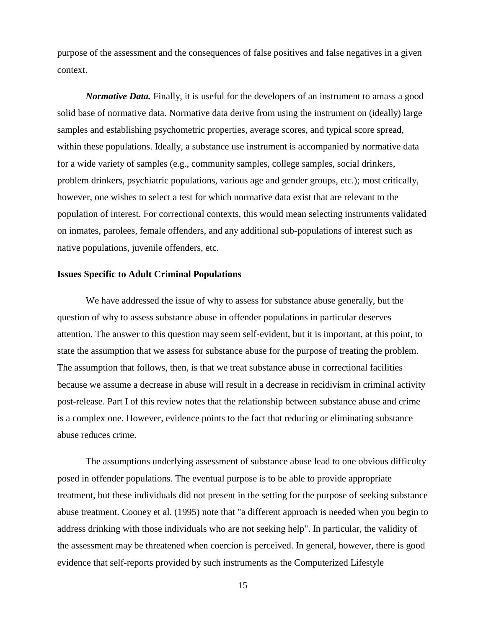purpose of the assessment and the consequences of false positives and false negatives in a given context.

*Normative Data.* Finally, it is useful for the developers of an instrument to amass a good solid base of normative data. Normative data derive from using the instrument on (ideally) large samples and establishing psychometric properties, average scores, and typical score spread, within these populations. Ideally, a substance use instrument is accompanied by normative data for a wide variety of samples (e.g., community samples, college samples, social drinkers, problem drinkers, psychiatric populations, various age and gender groups, etc.); most critically, however, one wishes to select a test for which normative data exist that are relevant to the population of interest. For correctional contexts, this would mean selecting instruments validated on inmates, parolees, female offenders, and any additional sub-populations of interest such as native populations, juvenile offenders, etc.

#### **Issues Specific to Adult Criminal Populations**

We have addressed the issue of why to assess for substance abuse generally, but the question of why to assess substance abuse in offender populations in particular deserves attention. The answer to this question may seem self-evident, but it is important, at this point, to state the assumption that we assess for substance abuse for the purpose of treating the problem. The assumption that follows, then, is that we treat substance abuse in correctional facilities because we assume a decrease in abuse will result in a decrease in recidivism in criminal activity post-release. Part I of this review notes that the relationship between substance abuse and crime is a complex one. However, evidence points to the fact that reducing or eliminating substance abuse reduces crime.

The assumptions underlying assessment of substance abuse lead to one obvious difficulty posed in offender populations. The eventual purpose is to be able to provide appropriate treatment, but these individuals did not present in the setting for the purpose of seeking substance abuse treatment. Cooney et al. (1995) note that "a different approach is needed when you begin to address drinking with those individuals who are not seeking help". In particular, the validity of the assessment may be threatened when coercion is perceived. In general, however, there is good evidence that self-reports provided by such instruments as the Computerized Lifestyle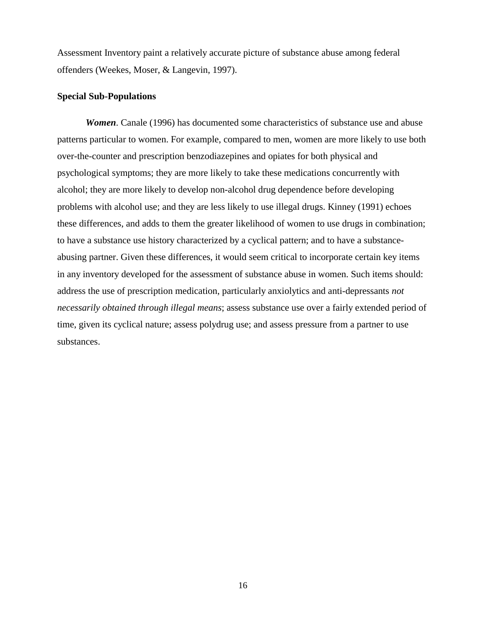Assessment Inventory paint a relatively accurate picture of substance abuse among federal offenders (Weekes, Moser, & Langevin, 1997).

### **Special Sub-Populations**

*Women*. Canale (1996) has documented some characteristics of substance use and abuse patterns particular to women. For example, compared to men, women are more likely to use both over-the-counter and prescription benzodiazepines and opiates for both physical and psychological symptoms; they are more likely to take these medications concurrently with alcohol; they are more likely to develop non-alcohol drug dependence before developing problems with alcohol use; and they are less likely to use illegal drugs. Kinney (1991) echoes these differences, and adds to them the greater likelihood of women to use drugs in combination; to have a substance use history characterized by a cyclical pattern; and to have a substanceabusing partner. Given these differences, it would seem critical to incorporate certain key items in any inventory developed for the assessment of substance abuse in women. Such items should: address the use of prescription medication, particularly anxiolytics and anti-depressants *not necessarily obtained through illegal means*; assess substance use over a fairly extended period of time, given its cyclical nature; assess polydrug use; and assess pressure from a partner to use substances.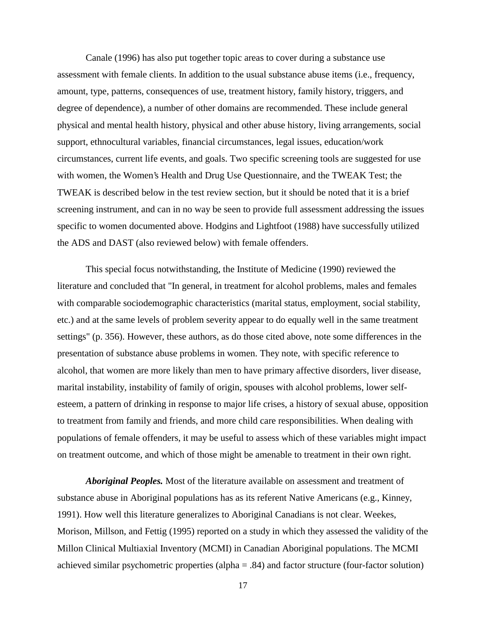Canale (1996) has also put together topic areas to cover during a substance use assessment with female clients. In addition to the usual substance abuse items (i.e., frequency, amount, type, patterns, consequences of use, treatment history, family history, triggers, and degree of dependence), a number of other domains are recommended. These include general physical and mental health history, physical and other abuse history, living arrangements, social support, ethnocultural variables, financial circumstances, legal issues, education/work circumstances, current life events, and goals. Two specific screening tools are suggested for use with women, the Women's Health and Drug Use Questionnaire, and the TWEAK Test; the TWEAK is described below in the test review section, but it should be noted that it is a brief screening instrument, and can in no way be seen to provide full assessment addressing the issues specific to women documented above. Hodgins and Lightfoot (1988) have successfully utilized the ADS and DAST (also reviewed below) with female offenders.

This special focus notwithstanding, the Institute of Medicine (1990) reviewed the literature and concluded that "In general, in treatment for alcohol problems, males and females with comparable sociodemographic characteristics (marital status, employment, social stability, etc.) and at the same levels of problem severity appear to do equally well in the same treatment settings" (p. 356). However, these authors, as do those cited above, note some differences in the presentation of substance abuse problems in women. They note, with specific reference to alcohol, that women are more likely than men to have primary affective disorders, liver disease, marital instability, instability of family of origin, spouses with alcohol problems, lower selfesteem, a pattern of drinking in response to major life crises, a history of sexual abuse, opposition to treatment from family and friends, and more child care responsibilities. When dealing with populations of female offenders, it may be useful to assess which of these variables might impact on treatment outcome, and which of those might be amenable to treatment in their own right.

*Aboriginal Peoples.* Most of the literature available on assessment and treatment of substance abuse in Aboriginal populations has as its referent Native Americans (e.g., Kinney, 1991). How well this literature generalizes to Aboriginal Canadians is not clear. Weekes, Morison, Millson, and Fettig (1995) reported on a study in which they assessed the validity of the Millon Clinical Multiaxial Inventory (MCMI) in Canadian Aboriginal populations. The MCMI achieved similar psychometric properties (alpha = .84) and factor structure (four-factor solution)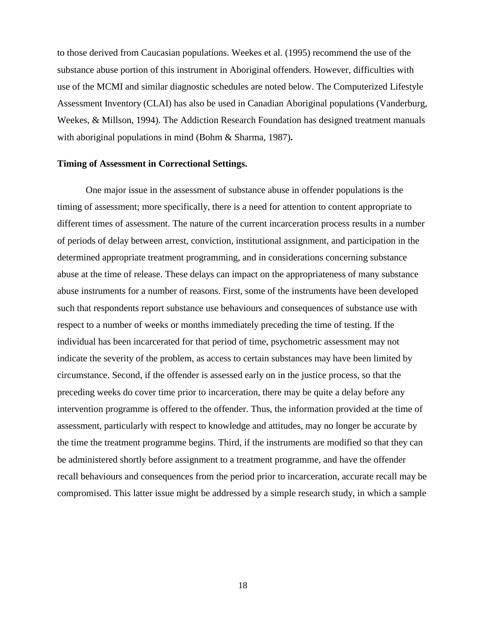to those derived from Caucasian populations. Weekes et al. (1995) recommend the use of the substance abuse portion of this instrument in Aboriginal offenders. However, difficulties with use of the MCMI and similar diagnostic schedules are noted below. The Computerized Lifestyle Assessment Inventory (CLAI) has also be used in Canadian Aboriginal populations (Vanderburg, Weekes, & Millson, 1994). The Addiction Research Foundation has designed treatment manuals with aboriginal populations in mind (Bohm & Sharma, 1987)**.**

#### **Timing of Assessment in Correctional Settings.**

One major issue in the assessment of substance abuse in offender populations is the timing of assessment; more specifically, there is a need for attention to content appropriate to different times of assessment. The nature of the current incarceration process results in a number of periods of delay between arrest, conviction, institutional assignment, and participation in the determined appropriate treatment programming, and in considerations concerning substance abuse at the time of release. These delays can impact on the appropriateness of many substance abuse instruments for a number of reasons. First, some of the instruments have been developed such that respondents report substance use behaviours and consequences of substance use with respect to a number of weeks or months immediately preceding the time of testing. If the individual has been incarcerated for that period of time, psychometric assessment may not indicate the severity of the problem, as access to certain substances may have been limited by circumstance. Second, if the offender is assessed early on in the justice process, so that the preceding weeks do cover time prior to incarceration, there may be quite a delay before any intervention programme is offered to the offender. Thus, the information provided at the time of assessment, particularly with respect to knowledge and attitudes, may no longer be accurate by the time the treatment programme begins. Third, if the instruments are modified so that they can be administered shortly before assignment to a treatment programme, and have the offender recall behaviours and consequences from the period prior to incarceration, accurate recall may be compromised. This latter issue might be addressed by a simple research study, in which a sample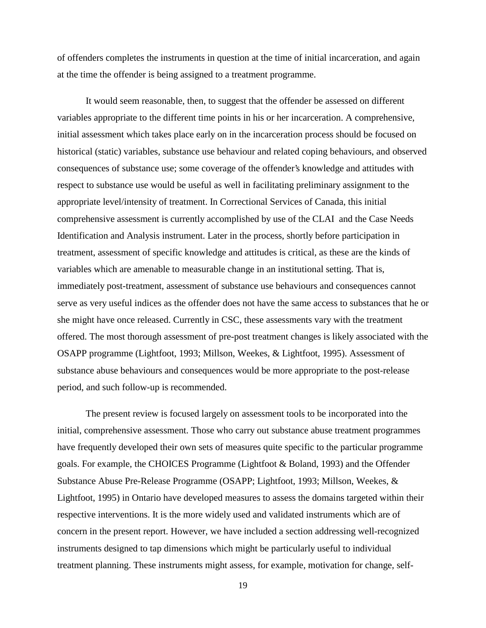of offenders completes the instruments in question at the time of initial incarceration, and again at the time the offender is being assigned to a treatment programme.

It would seem reasonable, then, to suggest that the offender be assessed on different variables appropriate to the different time points in his or her incarceration. A comprehensive, initial assessment which takes place early on in the incarceration process should be focused on historical (static) variables, substance use behaviour and related coping behaviours, and observed consequences of substance use; some coverage of the offender's knowledge and attitudes with respect to substance use would be useful as well in facilitating preliminary assignment to the appropriate level/intensity of treatment. In Correctional Services of Canada, this initial comprehensive assessment is currently accomplished by use of the CLAI and the Case Needs Identification and Analysis instrument. Later in the process, shortly before participation in treatment, assessment of specific knowledge and attitudes is critical, as these are the kinds of variables which are amenable to measurable change in an institutional setting. That is, immediately post-treatment, assessment of substance use behaviours and consequences cannot serve as very useful indices as the offender does not have the same access to substances that he or she might have once released. Currently in CSC, these assessments vary with the treatment offered. The most thorough assessment of pre-post treatment changes is likely associated with the OSAPP programme (Lightfoot, 1993; Millson, Weekes, & Lightfoot, 1995). Assessment of substance abuse behaviours and consequences would be more appropriate to the post-release period, and such follow-up is recommended.

The present review is focused largely on assessment tools to be incorporated into the initial, comprehensive assessment. Those who carry out substance abuse treatment programmes have frequently developed their own sets of measures quite specific to the particular programme goals. For example, the CHOICES Programme (Lightfoot & Boland, 1993) and the Offender Substance Abuse Pre-Release Programme (OSAPP; Lightfoot, 1993; Millson, Weekes, & Lightfoot, 1995) in Ontario have developed measures to assess the domains targeted within their respective interventions. It is the more widely used and validated instruments which are of concern in the present report. However, we have included a section addressing well-recognized instruments designed to tap dimensions which might be particularly useful to individual treatment planning. These instruments might assess, for example, motivation for change, self-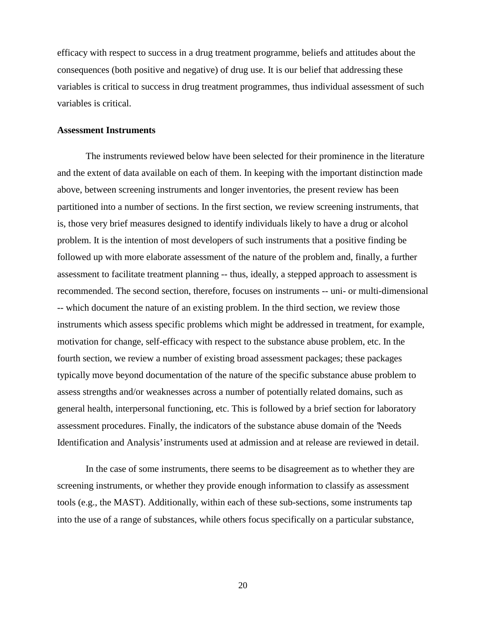efficacy with respect to success in a drug treatment programme, beliefs and attitudes about the consequences (both positive and negative) of drug use. It is our belief that addressing these variables is critical to success in drug treatment programmes, thus individual assessment of such variables is critical.

#### **Assessment Instruments**

The instruments reviewed below have been selected for their prominence in the literature and the extent of data available on each of them. In keeping with the important distinction made above, between screening instruments and longer inventories, the present review has been partitioned into a number of sections. In the first section, we review screening instruments, that is, those very brief measures designed to identify individuals likely to have a drug or alcohol problem. It is the intention of most developers of such instruments that a positive finding be followed up with more elaborate assessment of the nature of the problem and, finally, a further assessment to facilitate treatment planning -- thus, ideally, a stepped approach to assessment is recommended. The second section, therefore, focuses on instruments -- uni- or multi-dimensional -- which document the nature of an existing problem. In the third section, we review those instruments which assess specific problems which might be addressed in treatment, for example, motivation for change, self-efficacy with respect to the substance abuse problem, etc. In the fourth section, we review a number of existing broad assessment packages; these packages typically move beyond documentation of the nature of the specific substance abuse problem to assess strengths and/or weaknesses across a number of potentially related domains, such as general health, interpersonal functioning, etc. This is followed by a brief section for laboratory assessment procedures. Finally, the indicators of the substance abuse domain of the 'Needs Identification and Analysis' instruments used at admission and at release are reviewed in detail.

In the case of some instruments, there seems to be disagreement as to whether they are screening instruments, or whether they provide enough information to classify as assessment tools (e.g., the MAST). Additionally, within each of these sub-sections, some instruments tap into the use of a range of substances, while others focus specifically on a particular substance,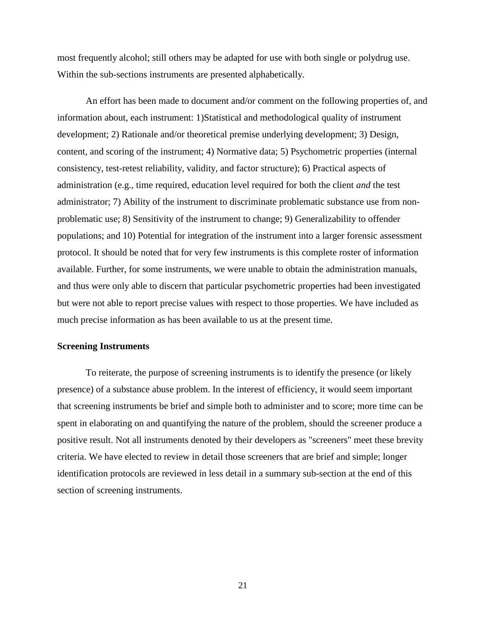most frequently alcohol; still others may be adapted for use with both single or polydrug use. Within the sub-sections instruments are presented alphabetically.

An effort has been made to document and/or comment on the following properties of, and information about, each instrument: 1)Statistical and methodological quality of instrument development; 2) Rationale and/or theoretical premise underlying development; 3) Design, content, and scoring of the instrument; 4) Normative data; 5) Psychometric properties (internal consistency, test-retest reliability, validity, and factor structure); 6) Practical aspects of administration (e.g., time required, education level required for both the client *and* the test administrator; 7) Ability of the instrument to discriminate problematic substance use from nonproblematic use; 8) Sensitivity of the instrument to change; 9) Generalizability to offender populations; and 10) Potential for integration of the instrument into a larger forensic assessment protocol. It should be noted that for very few instruments is this complete roster of information available. Further, for some instruments, we were unable to obtain the administration manuals, and thus were only able to discern that particular psychometric properties had been investigated but were not able to report precise values with respect to those properties. We have included as much precise information as has been available to us at the present time.

#### **Screening Instruments**

To reiterate, the purpose of screening instruments is to identify the presence (or likely presence) of a substance abuse problem. In the interest of efficiency, it would seem important that screening instruments be brief and simple both to administer and to score; more time can be spent in elaborating on and quantifying the nature of the problem, should the screener produce a positive result. Not all instruments denoted by their developers as "screeners" meet these brevity criteria. We have elected to review in detail those screeners that are brief and simple; longer identification protocols are reviewed in less detail in a summary sub-section at the end of this section of screening instruments.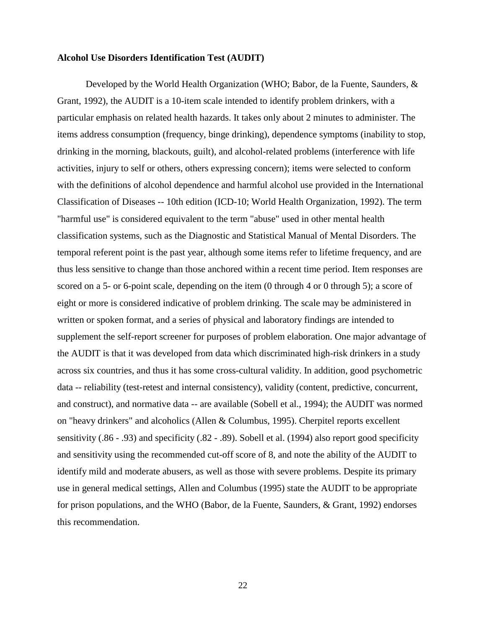#### **Alcohol Use Disorders Identification Test (AUDIT)**

Developed by the World Health Organization (WHO; Babor, de la Fuente, Saunders, & Grant, 1992), the AUDIT is a 10-item scale intended to identify problem drinkers, with a particular emphasis on related health hazards. It takes only about 2 minutes to administer. The items address consumption (frequency, binge drinking), dependence symptoms (inability to stop, drinking in the morning, blackouts, guilt), and alcohol-related problems (interference with life activities, injury to self or others, others expressing concern); items were selected to conform with the definitions of alcohol dependence and harmful alcohol use provided in the International Classification of Diseases -- 10th edition (ICD-10; World Health Organization, 1992). The term "harmful use" is considered equivalent to the term "abuse" used in other mental health classification systems, such as the Diagnostic and Statistical Manual of Mental Disorders. The temporal referent point is the past year, although some items refer to lifetime frequency, and are thus less sensitive to change than those anchored within a recent time period. Item responses are scored on a 5- or 6-point scale, depending on the item (0 through 4 or 0 through 5); a score of eight or more is considered indicative of problem drinking. The scale may be administered in written or spoken format, and a series of physical and laboratory findings are intended to supplement the self-report screener for purposes of problem elaboration. One major advantage of the AUDIT is that it was developed from data which discriminated high-risk drinkers in a study across six countries, and thus it has some cross-cultural validity. In addition, good psychometric data -- reliability (test-retest and internal consistency), validity (content, predictive, concurrent, and construct), and normative data -- are available (Sobell et al., 1994); the AUDIT was normed on "heavy drinkers" and alcoholics (Allen & Columbus, 1995). Cherpitel reports excellent sensitivity (.86 - .93) and specificity (.82 - .89). Sobell et al. (1994) also report good specificity and sensitivity using the recommended cut-off score of 8, and note the ability of the AUDIT to identify mild and moderate abusers, as well as those with severe problems. Despite its primary use in general medical settings, Allen and Columbus (1995) state the AUDIT to be appropriate for prison populations, and the WHO (Babor, de la Fuente, Saunders, & Grant, 1992) endorses this recommendation.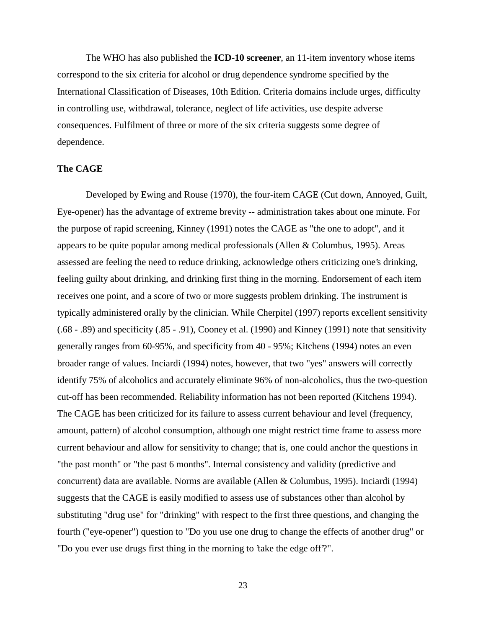The WHO has also published the **ICD-10 screener**, an 11-item inventory whose items correspond to the six criteria for alcohol or drug dependence syndrome specified by the International Classification of Diseases, 10th Edition. Criteria domains include urges, difficulty in controlling use, withdrawal, tolerance, neglect of life activities, use despite adverse consequences. Fulfilment of three or more of the six criteria suggests some degree of dependence.

#### **The CAGE**

Developed by Ewing and Rouse (1970), the four-item CAGE (Cut down, Annoyed, Guilt, Eye-opener) has the advantage of extreme brevity -- administration takes about one minute. For the purpose of rapid screening, Kinney (1991) notes the CAGE as "the one to adopt", and it appears to be quite popular among medical professionals (Allen & Columbus, 1995). Areas assessed are feeling the need to reduce drinking, acknowledge others criticizing one's drinking, feeling guilty about drinking, and drinking first thing in the morning. Endorsement of each item receives one point, and a score of two or more suggests problem drinking. The instrument is typically administered orally by the clinician. While Cherpitel (1997) reports excellent sensitivity (.68 - .89) and specificity (.85 - .91), Cooney et al. (1990) and Kinney (1991) note that sensitivity generally ranges from 60-95%, and specificity from 40 - 95%; Kitchens (1994) notes an even broader range of values. Inciardi (1994) notes, however, that two "yes" answers will correctly identify 75% of alcoholics and accurately eliminate 96% of non-alcoholics, thus the two-question cut-off has been recommended. Reliability information has not been reported (Kitchens 1994). The CAGE has been criticized for its failure to assess current behaviour and level (frequency, amount, pattern) of alcohol consumption, although one might restrict time frame to assess more current behaviour and allow for sensitivity to change; that is, one could anchor the questions in "the past month" or "the past 6 months". Internal consistency and validity (predictive and concurrent) data are available. Norms are available (Allen & Columbus, 1995). Inciardi (1994) suggests that the CAGE is easily modified to assess use of substances other than alcohol by substituting "drug use" for "drinking" with respect to the first three questions, and changing the fourth ("eye-opener") question to "Do you use one drug to change the effects of another drug" or "Do you ever use drugs first thing in the morning to 'take the edge off'?".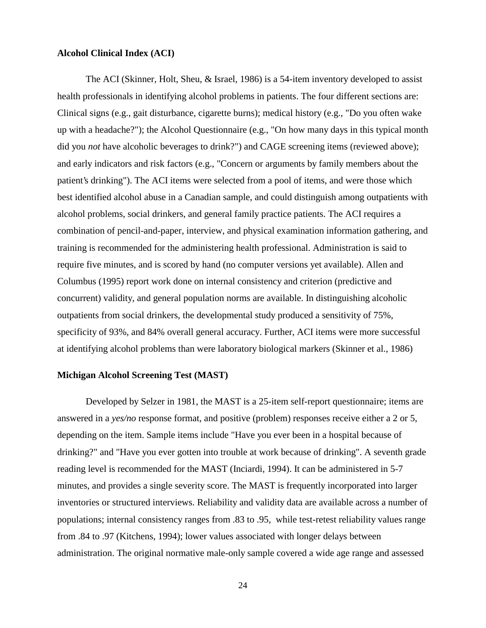#### **Alcohol Clinical Index (ACI)**

The ACI (Skinner, Holt, Sheu, & Israel, 1986) is a 54-item inventory developed to assist health professionals in identifying alcohol problems in patients. The four different sections are: Clinical signs (e.g., gait disturbance, cigarette burns); medical history (e.g., "Do you often wake up with a headache?"); the Alcohol Questionnaire (e.g., "On how many days in this typical month did you *not* have alcoholic beverages to drink?") and CAGE screening items (reviewed above); and early indicators and risk factors (e.g., "Concern or arguments by family members about the patient's drinking"). The ACI items were selected from a pool of items, and were those which best identified alcohol abuse in a Canadian sample, and could distinguish among outpatients with alcohol problems, social drinkers, and general family practice patients. The ACI requires a combination of pencil-and-paper, interview, and physical examination information gathering, and training is recommended for the administering health professional. Administration is said to require five minutes, and is scored by hand (no computer versions yet available). Allen and Columbus (1995) report work done on internal consistency and criterion (predictive and concurrent) validity, and general population norms are available. In distinguishing alcoholic outpatients from social drinkers, the developmental study produced a sensitivity of 75%, specificity of 93%, and 84% overall general accuracy. Further, ACI items were more successful at identifying alcohol problems than were laboratory biological markers (Skinner et al., 1986)

#### **Michigan Alcohol Screening Test (MAST)**

Developed by Selzer in 1981, the MAST is a 25-item self-report questionnaire; items are answered in a *yes/no* response format, and positive (problem) responses receive either a 2 or 5, depending on the item. Sample items include "Have you ever been in a hospital because of drinking?" and "Have you ever gotten into trouble at work because of drinking". A seventh grade reading level is recommended for the MAST (Inciardi, 1994). It can be administered in 5-7 minutes, and provides a single severity score. The MAST is frequently incorporated into larger inventories or structured interviews. Reliability and validity data are available across a number of populations; internal consistency ranges from .83 to .95, while test-retest reliability values range from .84 to .97 (Kitchens, 1994); lower values associated with longer delays between administration. The original normative male-only sample covered a wide age range and assessed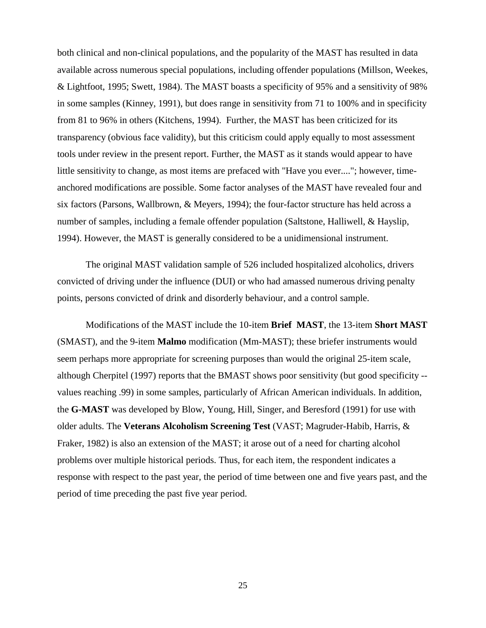both clinical and non-clinical populations, and the popularity of the MAST has resulted in data available across numerous special populations, including offender populations (Millson, Weekes, & Lightfoot, 1995; Swett, 1984). The MAST boasts a specificity of 95% and a sensitivity of 98% in some samples (Kinney, 1991), but does range in sensitivity from 71 to 100% and in specificity from 81 to 96% in others (Kitchens, 1994). Further, the MAST has been criticized for its transparency (obvious face validity), but this criticism could apply equally to most assessment tools under review in the present report. Further, the MAST as it stands would appear to have little sensitivity to change, as most items are prefaced with "Have you ever...."; however, timeanchored modifications are possible. Some factor analyses of the MAST have revealed four and six factors (Parsons, Wallbrown, & Meyers, 1994); the four-factor structure has held across a number of samples, including a female offender population (Saltstone, Halliwell, & Hayslip, 1994). However, the MAST is generally considered to be a unidimensional instrument.

The original MAST validation sample of 526 included hospitalized alcoholics, drivers convicted of driving under the influence (DUI) or who had amassed numerous driving penalty points, persons convicted of drink and disorderly behaviour, and a control sample.

Modifications of the MAST include the 10-item **Brief MAST**, the 13-item **Short MAST** (SMAST), and the 9-item **Malmo** modification (Mm-MAST); these briefer instruments would seem perhaps more appropriate for screening purposes than would the original 25-item scale, although Cherpitel (1997) reports that the BMAST shows poor sensitivity (but good specificity - values reaching .99) in some samples, particularly of African American individuals. In addition, the **G-MAST** was developed by Blow, Young, Hill, Singer, and Beresford (1991) for use with older adults. The **Veterans Alcoholism Screening Test** (VAST; Magruder-Habib, Harris, & Fraker, 1982) is also an extension of the MAST; it arose out of a need for charting alcohol problems over multiple historical periods. Thus, for each item, the respondent indicates a response with respect to the past year, the period of time between one and five years past, and the period of time preceding the past five year period.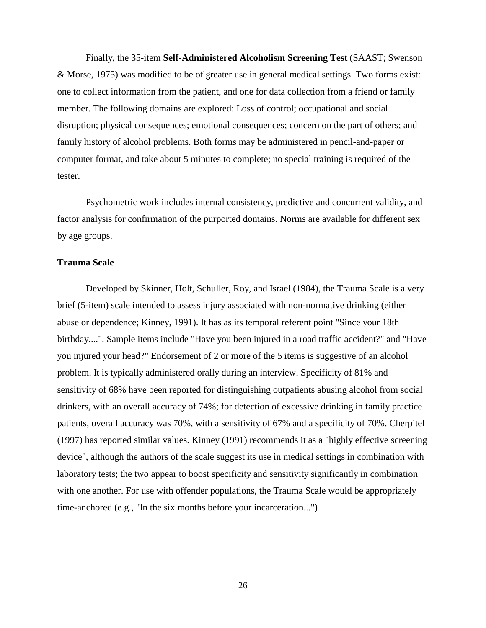Finally, the 35-item **Self-Administered Alcoholism Screening Test** (SAAST; Swenson & Morse, 1975) was modified to be of greater use in general medical settings. Two forms exist: one to collect information from the patient, and one for data collection from a friend or family member. The following domains are explored: Loss of control; occupational and social disruption; physical consequences; emotional consequences; concern on the part of others; and family history of alcohol problems. Both forms may be administered in pencil-and-paper or computer format, and take about 5 minutes to complete; no special training is required of the tester.

Psychometric work includes internal consistency, predictive and concurrent validity, and factor analysis for confirmation of the purported domains. Norms are available for different sex by age groups.

#### **Trauma Scale**

Developed by Skinner, Holt, Schuller, Roy, and Israel (1984), the Trauma Scale is a very brief (5-item) scale intended to assess injury associated with non-normative drinking (either abuse or dependence; Kinney, 1991). It has as its temporal referent point "Since your 18th birthday....". Sample items include "Have you been injured in a road traffic accident?" and "Have you injured your head?" Endorsement of 2 or more of the 5 items is suggestive of an alcohol problem. It is typically administered orally during an interview. Specificity of 81% and sensitivity of 68% have been reported for distinguishing outpatients abusing alcohol from social drinkers, with an overall accuracy of 74%; for detection of excessive drinking in family practice patients, overall accuracy was 70%, with a sensitivity of 67% and a specificity of 70%. Cherpitel (1997) has reported similar values. Kinney (1991) recommends it as a "highly effective screening device", although the authors of the scale suggest its use in medical settings in combination with laboratory tests; the two appear to boost specificity and sensitivity significantly in combination with one another. For use with offender populations, the Trauma Scale would be appropriately time-anchored (e.g., "In the six months before your incarceration...")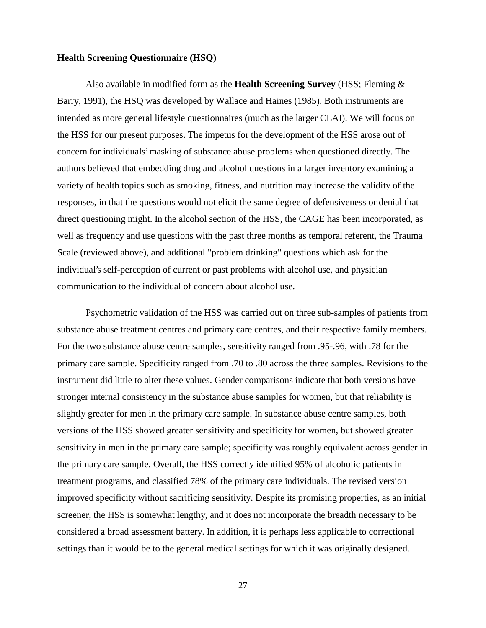#### **Health Screening Questionnaire (HSQ)**

Also available in modified form as the **Health Screening Survey** (HSS; Fleming & Barry, 1991), the HSQ was developed by Wallace and Haines (1985). Both instruments are intended as more general lifestyle questionnaires (much as the larger CLAI). We will focus on the HSS for our present purposes. The impetus for the development of the HSS arose out of concern for individuals' masking of substance abuse problems when questioned directly. The authors believed that embedding drug and alcohol questions in a larger inventory examining a variety of health topics such as smoking, fitness, and nutrition may increase the validity of the responses, in that the questions would not elicit the same degree of defensiveness or denial that direct questioning might. In the alcohol section of the HSS, the CAGE has been incorporated, as well as frequency and use questions with the past three months as temporal referent, the Trauma Scale (reviewed above), and additional "problem drinking" questions which ask for the individual's self-perception of current or past problems with alcohol use, and physician communication to the individual of concern about alcohol use.

Psychometric validation of the HSS was carried out on three sub-samples of patients from substance abuse treatment centres and primary care centres, and their respective family members. For the two substance abuse centre samples, sensitivity ranged from .95-.96, with .78 for the primary care sample. Specificity ranged from .70 to .80 across the three samples. Revisions to the instrument did little to alter these values. Gender comparisons indicate that both versions have stronger internal consistency in the substance abuse samples for women, but that reliability is slightly greater for men in the primary care sample. In substance abuse centre samples, both versions of the HSS showed greater sensitivity and specificity for women, but showed greater sensitivity in men in the primary care sample; specificity was roughly equivalent across gender in the primary care sample. Overall, the HSS correctly identified 95% of alcoholic patients in treatment programs, and classified 78% of the primary care individuals. The revised version improved specificity without sacrificing sensitivity. Despite its promising properties, as an initial screener, the HSS is somewhat lengthy, and it does not incorporate the breadth necessary to be considered a broad assessment battery. In addition, it is perhaps less applicable to correctional settings than it would be to the general medical settings for which it was originally designed.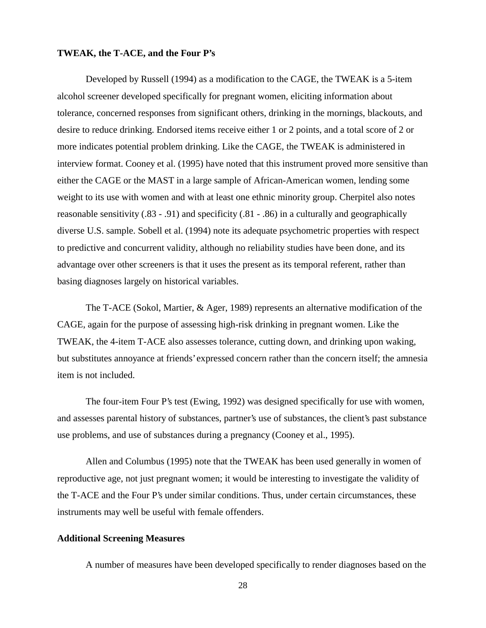#### **TWEAK, the T-ACE, and the Four P's**

Developed by Russell (1994) as a modification to the CAGE, the TWEAK is a 5-item alcohol screener developed specifically for pregnant women, eliciting information about tolerance, concerned responses from significant others, drinking in the mornings, blackouts, and desire to reduce drinking. Endorsed items receive either 1 or 2 points, and a total score of 2 or more indicates potential problem drinking. Like the CAGE, the TWEAK is administered in interview format. Cooney et al. (1995) have noted that this instrument proved more sensitive than either the CAGE or the MAST in a large sample of African-American women, lending some weight to its use with women and with at least one ethnic minority group. Cherpitel also notes reasonable sensitivity (.83 - .91) and specificity (.81 - .86) in a culturally and geographically diverse U.S. sample. Sobell et al. (1994) note its adequate psychometric properties with respect to predictive and concurrent validity, although no reliability studies have been done, and its advantage over other screeners is that it uses the present as its temporal referent, rather than basing diagnoses largely on historical variables.

The T-ACE (Sokol, Martier, & Ager, 1989) represents an alternative modification of the CAGE, again for the purpose of assessing high-risk drinking in pregnant women. Like the TWEAK, the 4-item T-ACE also assesses tolerance, cutting down, and drinking upon waking, but substitutes annoyance at friends' expressed concern rather than the concern itself; the amnesia item is not included.

The four-item Four P's test (Ewing, 1992) was designed specifically for use with women, and assesses parental history of substances, partner's use of substances, the client's past substance use problems, and use of substances during a pregnancy (Cooney et al., 1995).

Allen and Columbus (1995) note that the TWEAK has been used generally in women of reproductive age, not just pregnant women; it would be interesting to investigate the validity of the T-ACE and the Four P's under similar conditions. Thus, under certain circumstances, these instruments may well be useful with female offenders.

## **Additional Screening Measures**

A number of measures have been developed specifically to render diagnoses based on the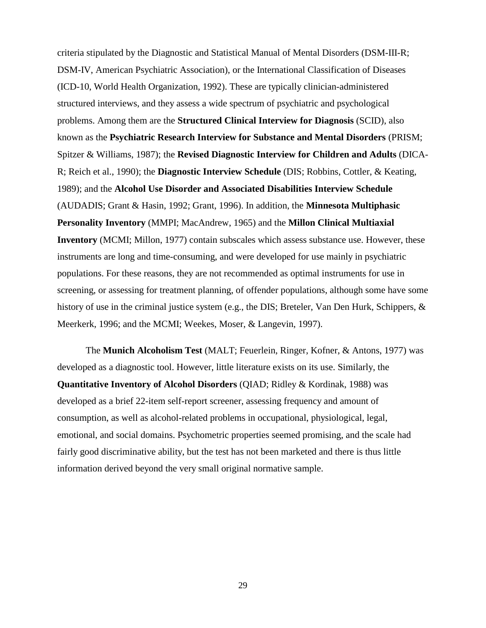criteria stipulated by the Diagnostic and Statistical Manual of Mental Disorders (DSM-III-R; DSM-IV, American Psychiatric Association), or the International Classification of Diseases (ICD-10, World Health Organization, 1992). These are typically clinician-administered structured interviews, and they assess a wide spectrum of psychiatric and psychological problems. Among them are the **Structured Clinical Interview for Diagnosis** (SCID), also known as the **Psychiatric Research Interview for Substance and Mental Disorders** (PRISM; Spitzer & Williams, 1987); the **Revised Diagnostic Interview for Children and Adults** (DICA-R; Reich et al., 1990); the **Diagnostic Interview Schedule** (DIS; Robbins, Cottler, & Keating, 1989); and the **Alcohol Use Disorder and Associated Disabilities Interview Schedule** (AUDADIS; Grant & Hasin, 1992; Grant, 1996). In addition, the **Minnesota Multiphasic Personality Inventory** (MMPI; MacAndrew, 1965) and the **Millon Clinical Multiaxial Inventory** (MCMI; Millon, 1977) contain subscales which assess substance use. However, these instruments are long and time-consuming, and were developed for use mainly in psychiatric populations. For these reasons, they are not recommended as optimal instruments for use in screening, or assessing for treatment planning, of offender populations, although some have some history of use in the criminal justice system (e.g., the DIS; Breteler, Van Den Hurk, Schippers, & Meerkerk, 1996; and the MCMI; Weekes, Moser, & Langevin, 1997).

The **Munich Alcoholism Test** (MALT; Feuerlein, Ringer, Kofner, & Antons, 1977) was developed as a diagnostic tool. However, little literature exists on its use. Similarly, the **Quantitative Inventory of Alcohol Disorders** (QIAD; Ridley & Kordinak, 1988) was developed as a brief 22-item self-report screener, assessing frequency and amount of consumption, as well as alcohol-related problems in occupational, physiological, legal, emotional, and social domains. Psychometric properties seemed promising, and the scale had fairly good discriminative ability, but the test has not been marketed and there is thus little information derived beyond the very small original normative sample.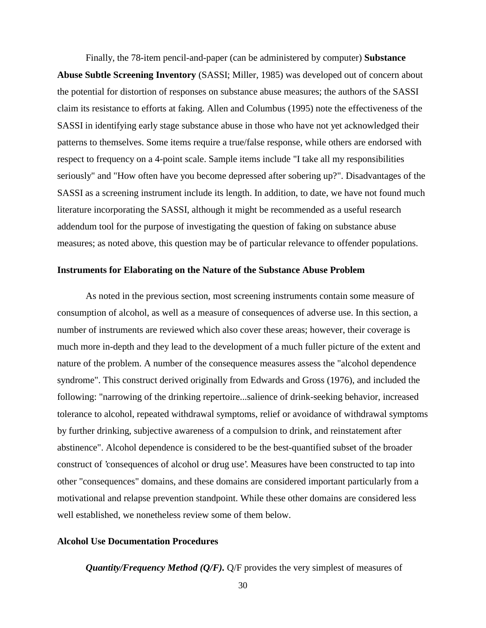Finally, the 78-item pencil-and-paper (can be administered by computer) **Substance Abuse Subtle Screening Inventory** (SASSI; Miller, 1985) was developed out of concern about the potential for distortion of responses on substance abuse measures; the authors of the SASSI claim its resistance to efforts at faking. Allen and Columbus (1995) note the effectiveness of the SASSI in identifying early stage substance abuse in those who have not yet acknowledged their patterns to themselves. Some items require a true/false response, while others are endorsed with respect to frequency on a 4-point scale. Sample items include "I take all my responsibilities seriously" and "How often have you become depressed after sobering up?". Disadvantages of the SASSI as a screening instrument include its length. In addition, to date, we have not found much literature incorporating the SASSI, although it might be recommended as a useful research addendum tool for the purpose of investigating the question of faking on substance abuse measures; as noted above, this question may be of particular relevance to offender populations.

### **Instruments for Elaborating on the Nature of the Substance Abuse Problem**

As noted in the previous section, most screening instruments contain some measure of consumption of alcohol, as well as a measure of consequences of adverse use. In this section, a number of instruments are reviewed which also cover these areas; however, their coverage is much more in-depth and they lead to the development of a much fuller picture of the extent and nature of the problem. A number of the consequence measures assess the "alcohol dependence syndrome". This construct derived originally from Edwards and Gross (1976), and included the following: "narrowing of the drinking repertoire...salience of drink-seeking behavior, increased tolerance to alcohol, repeated withdrawal symptoms, relief or avoidance of withdrawal symptoms by further drinking, subjective awareness of a compulsion to drink, and reinstatement after abstinence". Alcohol dependence is considered to be the best-quantified subset of the broader construct of 'consequences of alcohol or drug use'. Measures have been constructed to tap into other "consequences" domains, and these domains are considered important particularly from a motivational and relapse prevention standpoint. While these other domains are considered less well established, we nonetheless review some of them below.

## **Alcohol Use Documentation Procedures**

*Quantity/Frequency Method (Q/F).* Q/F provides the very simplest of measures of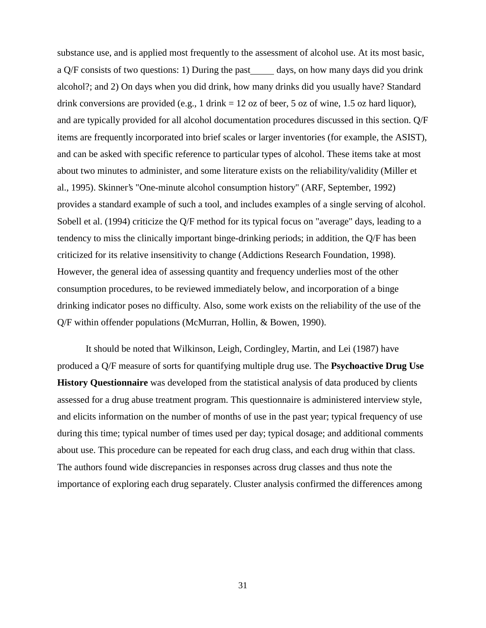substance use, and is applied most frequently to the assessment of alcohol use. At its most basic, a Q/F consists of two questions: 1) During the past days, on how many days did you drink alcohol?; and 2) On days when you did drink, how many drinks did you usually have? Standard drink conversions are provided (e.g., 1 drink  $= 12$  oz of beer, 5 oz of wine, 1.5 oz hard liquor), and are typically provided for all alcohol documentation procedures discussed in this section. Q/F items are frequently incorporated into brief scales or larger inventories (for example, the ASIST), and can be asked with specific reference to particular types of alcohol. These items take at most about two minutes to administer, and some literature exists on the reliability/validity (Miller et al., 1995). Skinner's "One-minute alcohol consumption history" (ARF, September, 1992) provides a standard example of such a tool, and includes examples of a single serving of alcohol. Sobell et al. (1994) criticize the Q/F method for its typical focus on "average" days, leading to a tendency to miss the clinically important binge-drinking periods; in addition, the Q/F has been criticized for its relative insensitivity to change (Addictions Research Foundation, 1998). However, the general idea of assessing quantity and frequency underlies most of the other consumption procedures, to be reviewed immediately below, and incorporation of a binge drinking indicator poses no difficulty. Also, some work exists on the reliability of the use of the Q/F within offender populations (McMurran, Hollin, & Bowen, 1990).

It should be noted that Wilkinson, Leigh, Cordingley, Martin, and Lei (1987) have produced a Q/F measure of sorts for quantifying multiple drug use. The **Psychoactive Drug Use History Questionnaire** was developed from the statistical analysis of data produced by clients assessed for a drug abuse treatment program. This questionnaire is administered interview style, and elicits information on the number of months of use in the past year; typical frequency of use during this time; typical number of times used per day; typical dosage; and additional comments about use. This procedure can be repeated for each drug class, and each drug within that class. The authors found wide discrepancies in responses across drug classes and thus note the importance of exploring each drug separately. Cluster analysis confirmed the differences among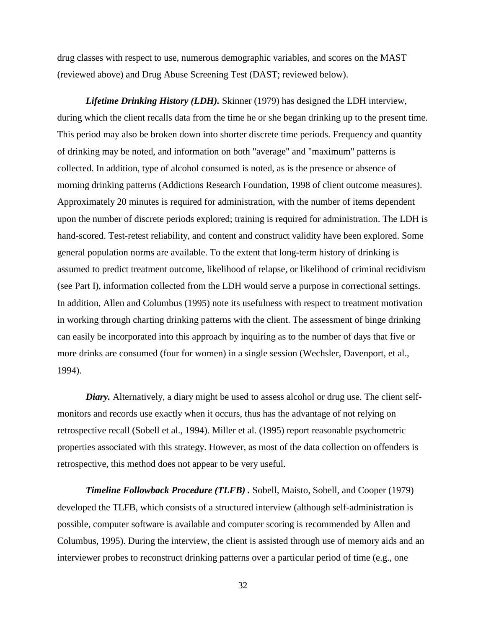drug classes with respect to use, numerous demographic variables, and scores on the MAST (reviewed above) and Drug Abuse Screening Test (DAST; reviewed below).

*Lifetime Drinking History (LDH).* Skinner (1979) has designed the LDH interview, during which the client recalls data from the time he or she began drinking up to the present time. This period may also be broken down into shorter discrete time periods. Frequency and quantity of drinking may be noted, and information on both "average" and "maximum" patterns is collected. In addition, type of alcohol consumed is noted, as is the presence or absence of morning drinking patterns (Addictions Research Foundation, 1998 of client outcome measures). Approximately 20 minutes is required for administration, with the number of items dependent upon the number of discrete periods explored; training is required for administration. The LDH is hand-scored. Test-retest reliability, and content and construct validity have been explored. Some general population norms are available. To the extent that long-term history of drinking is assumed to predict treatment outcome, likelihood of relapse, or likelihood of criminal recidivism (see Part I), information collected from the LDH would serve a purpose in correctional settings. In addition, Allen and Columbus (1995) note its usefulness with respect to treatment motivation in working through charting drinking patterns with the client. The assessment of binge drinking can easily be incorporated into this approach by inquiring as to the number of days that five or more drinks are consumed (four for women) in a single session (Wechsler, Davenport, et al., 1994).

*Diary.* Alternatively, a diary might be used to assess alcohol or drug use. The client selfmonitors and records use exactly when it occurs, thus has the advantage of not relying on retrospective recall (Sobell et al., 1994). Miller et al. (1995) report reasonable psychometric properties associated with this strategy. However, as most of the data collection on offenders is retrospective, this method does not appear to be very useful.

*Timeline Followback Procedure (TLFB) .* Sobell, Maisto, Sobell, and Cooper (1979) developed the TLFB, which consists of a structured interview (although self-administration is possible, computer software is available and computer scoring is recommended by Allen and Columbus, 1995). During the interview, the client is assisted through use of memory aids and an interviewer probes to reconstruct drinking patterns over a particular period of time (e.g., one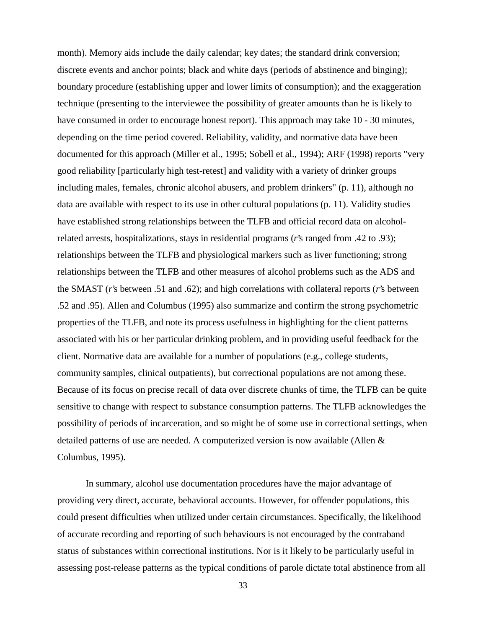month). Memory aids include the daily calendar; key dates; the standard drink conversion; discrete events and anchor points; black and white days (periods of abstinence and binging); boundary procedure (establishing upper and lower limits of consumption); and the exaggeration technique (presenting to the interviewee the possibility of greater amounts than he is likely to have consumed in order to encourage honest report). This approach may take 10 - 30 minutes, depending on the time period covered. Reliability, validity, and normative data have been documented for this approach (Miller et al., 1995; Sobell et al., 1994); ARF (1998) reports "very good reliability [particularly high test-retest] and validity with a variety of drinker groups including males, females, chronic alcohol abusers, and problem drinkers" (p. 11), although no data are available with respect to its use in other cultural populations (p. 11). Validity studies have established strong relationships between the TLFB and official record data on alcoholrelated arrests, hospitalizations, stays in residential programs (*r*'s ranged from .42 to .93); relationships between the TLFB and physiological markers such as liver functioning; strong relationships between the TLFB and other measures of alcohol problems such as the ADS and the SMAST (*r*'s between .51 and .62); and high correlations with collateral reports (*r*'s between .52 and .95). Allen and Columbus (1995) also summarize and confirm the strong psychometric properties of the TLFB, and note its process usefulness in highlighting for the client patterns associated with his or her particular drinking problem, and in providing useful feedback for the client. Normative data are available for a number of populations (e.g., college students, community samples, clinical outpatients), but correctional populations are not among these. Because of its focus on precise recall of data over discrete chunks of time, the TLFB can be quite sensitive to change with respect to substance consumption patterns. The TLFB acknowledges the possibility of periods of incarceration, and so might be of some use in correctional settings, when detailed patterns of use are needed. A computerized version is now available (Allen & Columbus, 1995).

In summary, alcohol use documentation procedures have the major advantage of providing very direct, accurate, behavioral accounts. However, for offender populations, this could present difficulties when utilized under certain circumstances. Specifically, the likelihood of accurate recording and reporting of such behaviours is not encouraged by the contraband status of substances within correctional institutions. Nor is it likely to be particularly useful in assessing post-release patterns as the typical conditions of parole dictate total abstinence from all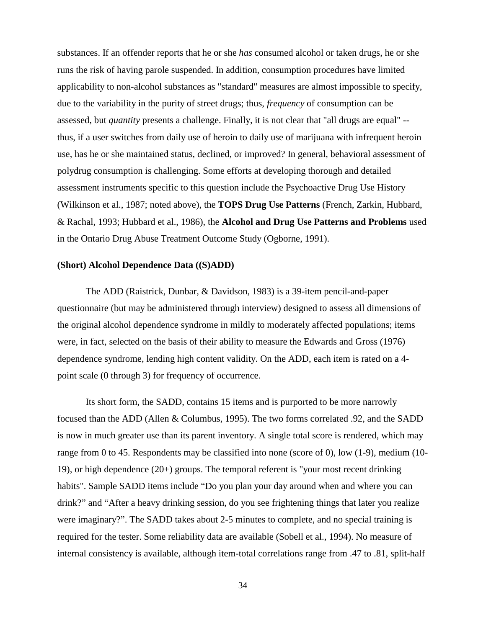substances. If an offender reports that he or she *has* consumed alcohol or taken drugs, he or she runs the risk of having parole suspended. In addition, consumption procedures have limited applicability to non-alcohol substances as "standard" measures are almost impossible to specify, due to the variability in the purity of street drugs; thus, *frequency* of consumption can be assessed, but *quantity* presents a challenge. Finally, it is not clear that "all drugs are equal" - thus, if a user switches from daily use of heroin to daily use of marijuana with infrequent heroin use, has he or she maintained status, declined, or improved? In general, behavioral assessment of polydrug consumption is challenging. Some efforts at developing thorough and detailed assessment instruments specific to this question include the Psychoactive Drug Use History (Wilkinson et al., 1987; noted above), the **TOPS Drug Use Patterns** (French, Zarkin, Hubbard, & Rachal, 1993; Hubbard et al., 1986), the **Alcohol and Drug Use Patterns and Problems** used in the Ontario Drug Abuse Treatment Outcome Study (Ogborne, 1991).

#### **(Short) Alcohol Dependence Data ((S)ADD)**

The ADD (Raistrick, Dunbar, & Davidson, 1983) is a 39-item pencil-and-paper questionnaire (but may be administered through interview) designed to assess all dimensions of the original alcohol dependence syndrome in mildly to moderately affected populations; items were, in fact, selected on the basis of their ability to measure the Edwards and Gross (1976) dependence syndrome, lending high content validity. On the ADD, each item is rated on a 4 point scale (0 through 3) for frequency of occurrence.

Its short form, the SADD, contains 15 items and is purported to be more narrowly focused than the ADD (Allen & Columbus, 1995). The two forms correlated .92, and the SADD is now in much greater use than its parent inventory. A single total score is rendered, which may range from 0 to 45. Respondents may be classified into none (score of 0), low (1-9), medium (10- 19), or high dependence (20+) groups. The temporal referent is "your most recent drinking habits". Sample SADD items include "Do you plan your day around when and where you can drink?" and "After a heavy drinking session, do you see frightening things that later you realize were imaginary?". The SADD takes about 2-5 minutes to complete, and no special training is required for the tester. Some reliability data are available (Sobell et al., 1994). No measure of internal consistency is available, although item-total correlations range from .47 to .81, split-half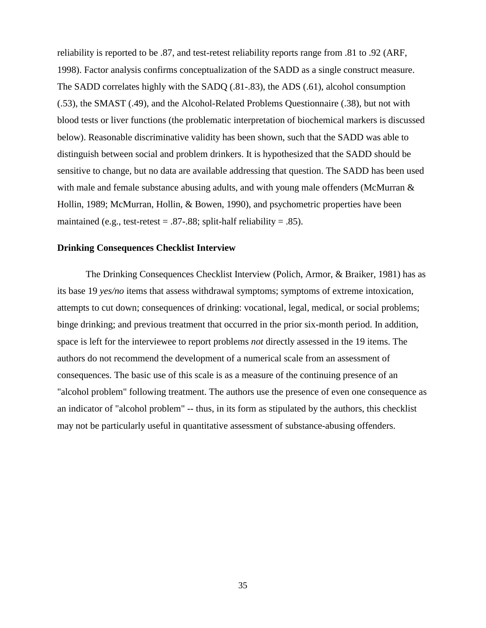reliability is reported to be .87, and test-retest reliability reports range from .81 to .92 (ARF, 1998). Factor analysis confirms conceptualization of the SADD as a single construct measure. The SADD correlates highly with the SADQ (.81-.83), the ADS (.61), alcohol consumption (.53), the SMAST (.49), and the Alcohol-Related Problems Questionnaire (.38), but not with blood tests or liver functions (the problematic interpretation of biochemical markers is discussed below). Reasonable discriminative validity has been shown, such that the SADD was able to distinguish between social and problem drinkers. It is hypothesized that the SADD should be sensitive to change, but no data are available addressing that question. The SADD has been used with male and female substance abusing adults, and with young male offenders (McMurran & Hollin, 1989; McMurran, Hollin, & Bowen, 1990), and psychometric properties have been maintained (e.g., test-retest =  $.87-.88$ ; split-half reliability =  $.85$ ).

#### **Drinking Consequences Checklist Interview**

The Drinking Consequences Checklist Interview (Polich, Armor, & Braiker, 1981) has as its base 19 *yes/no* items that assess withdrawal symptoms; symptoms of extreme intoxication, attempts to cut down; consequences of drinking: vocational, legal, medical, or social problems; binge drinking; and previous treatment that occurred in the prior six-month period. In addition, space is left for the interviewee to report problems *not* directly assessed in the 19 items. The authors do not recommend the development of a numerical scale from an assessment of consequences. The basic use of this scale is as a measure of the continuing presence of an "alcohol problem" following treatment. The authors use the presence of even one consequence as an indicator of "alcohol problem" -- thus, in its form as stipulated by the authors, this checklist may not be particularly useful in quantitative assessment of substance-abusing offenders.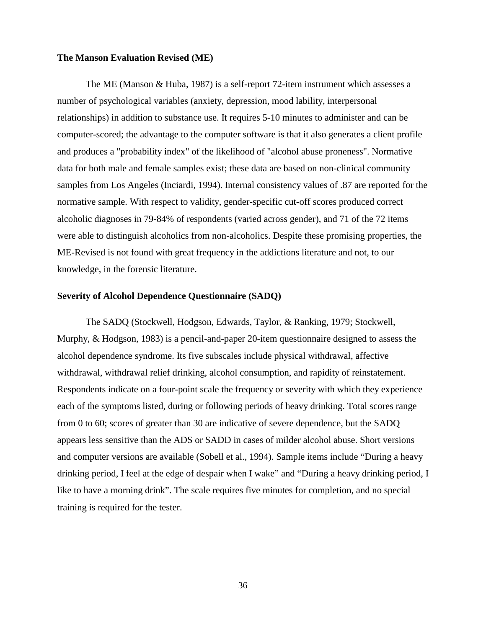### **The Manson Evaluation Revised (ME)**

The ME (Manson & Huba, 1987) is a self-report 72-item instrument which assesses a number of psychological variables (anxiety, depression, mood lability, interpersonal relationships) in addition to substance use. It requires 5-10 minutes to administer and can be computer-scored; the advantage to the computer software is that it also generates a client profile and produces a "probability index" of the likelihood of "alcohol abuse proneness". Normative data for both male and female samples exist; these data are based on non-clinical community samples from Los Angeles (Inciardi, 1994). Internal consistency values of .87 are reported for the normative sample. With respect to validity, gender-specific cut-off scores produced correct alcoholic diagnoses in 79-84% of respondents (varied across gender), and 71 of the 72 items were able to distinguish alcoholics from non-alcoholics. Despite these promising properties, the ME-Revised is not found with great frequency in the addictions literature and not, to our knowledge, in the forensic literature.

#### **Severity of Alcohol Dependence Questionnaire (SADQ)**

The SADQ (Stockwell, Hodgson, Edwards, Taylor, & Ranking, 1979; Stockwell, Murphy, & Hodgson, 1983) is a pencil-and-paper 20-item questionnaire designed to assess the alcohol dependence syndrome. Its five subscales include physical withdrawal, affective withdrawal, withdrawal relief drinking, alcohol consumption, and rapidity of reinstatement. Respondents indicate on a four-point scale the frequency or severity with which they experience each of the symptoms listed, during or following periods of heavy drinking. Total scores range from 0 to 60; scores of greater than 30 are indicative of severe dependence, but the SADQ appears less sensitive than the ADS or SADD in cases of milder alcohol abuse. Short versions and computer versions are available (Sobell et al., 1994). Sample items include "During a heavy drinking period, I feel at the edge of despair when I wake" and "During a heavy drinking period, I like to have a morning drink". The scale requires five minutes for completion, and no special training is required for the tester.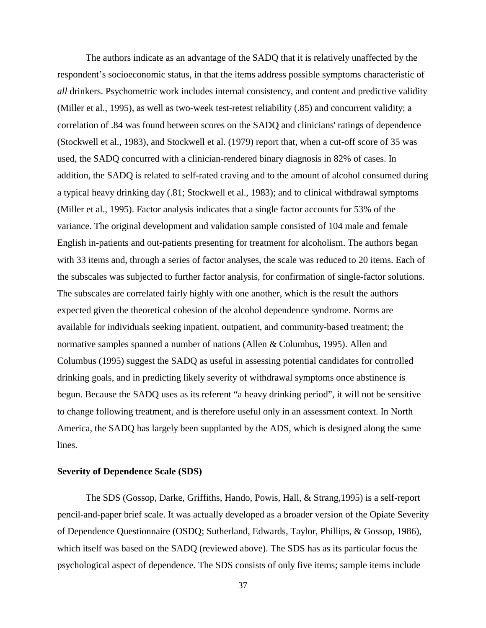The authors indicate as an advantage of the SADQ that it is relatively unaffected by the respondent's socioeconomic status, in that the items address possible symptoms characteristic of *all* drinkers. Psychometric work includes internal consistency, and content and predictive validity (Miller et al., 1995), as well as two-week test-retest reliability (.85) and concurrent validity; a correlation of .84 was found between scores on the SADQ and clinicians' ratings of dependence (Stockwell et al., 1983), and Stockwell et al. (1979) report that, when a cut-off score of 35 was used, the SADQ concurred with a clinician-rendered binary diagnosis in 82% of cases. In addition, the SADQ is related to self-rated craving and to the amount of alcohol consumed during a typical heavy drinking day (.81; Stockwell et al., 1983); and to clinical withdrawal symptoms (Miller et al., 1995). Factor analysis indicates that a single factor accounts for 53% of the variance. The original development and validation sample consisted of 104 male and female English in-patients and out-patients presenting for treatment for alcoholism. The authors began with 33 items and, through a series of factor analyses, the scale was reduced to 20 items. Each of the subscales was subjected to further factor analysis, for confirmation of single-factor solutions. The subscales are correlated fairly highly with one another, which is the result the authors expected given the theoretical cohesion of the alcohol dependence syndrome. Norms are available for individuals seeking inpatient, outpatient, and community-based treatment; the normative samples spanned a number of nations (Allen & Columbus, 1995). Allen and Columbus (1995) suggest the SADQ as useful in assessing potential candidates for controlled drinking goals, and in predicting likely severity of withdrawal symptoms once abstinence is begun. Because the SADQ uses as its referent "a heavy drinking period", it will not be sensitive to change following treatment, and is therefore useful only in an assessment context. In North America, the SADQ has largely been supplanted by the ADS, which is designed along the same lines.

### **Severity of Dependence Scale (SDS)**

The SDS (Gossop, Darke, Griffiths, Hando, Powis, Hall, & Strang,1995) is a self-report pencil-and-paper brief scale. It was actually developed as a broader version of the Opiate Severity of Dependence Questionnaire (OSDQ; Sutherland, Edwards, Taylor, Phillips, & Gossop, 1986), which itself was based on the SADQ (reviewed above). The SDS has as its particular focus the psychological aspect of dependence. The SDS consists of only five items; sample items include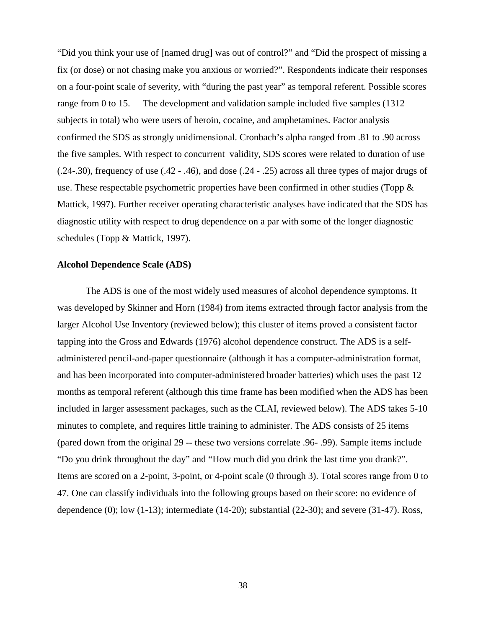"Did you think your use of [named drug] was out of control?" and "Did the prospect of missing a fix (or dose) or not chasing make you anxious or worried?". Respondents indicate their responses on a four-point scale of severity, with "during the past year" as temporal referent. Possible scores range from 0 to 15. The development and validation sample included five samples (1312 subjects in total) who were users of heroin, cocaine, and amphetamines. Factor analysis confirmed the SDS as strongly unidimensional. Cronbach's alpha ranged from .81 to .90 across the five samples. With respect to concurrent validity, SDS scores were related to duration of use (.24-.30), frequency of use (.42 - .46), and dose (.24 - .25) across all three types of major drugs of use. These respectable psychometric properties have been confirmed in other studies (Topp  $\&$ Mattick, 1997). Further receiver operating characteristic analyses have indicated that the SDS has diagnostic utility with respect to drug dependence on a par with some of the longer diagnostic schedules (Topp & Mattick, 1997).

#### **Alcohol Dependence Scale (ADS)**

The ADS is one of the most widely used measures of alcohol dependence symptoms. It was developed by Skinner and Horn (1984) from items extracted through factor analysis from the larger Alcohol Use Inventory (reviewed below); this cluster of items proved a consistent factor tapping into the Gross and Edwards (1976) alcohol dependence construct. The ADS is a selfadministered pencil-and-paper questionnaire (although it has a computer-administration format, and has been incorporated into computer-administered broader batteries) which uses the past 12 months as temporal referent (although this time frame has been modified when the ADS has been included in larger assessment packages, such as the CLAI, reviewed below). The ADS takes 5-10 minutes to complete, and requires little training to administer. The ADS consists of 25 items (pared down from the original 29 -- these two versions correlate .96- .99). Sample items include "Do you drink throughout the day" and "How much did you drink the last time you drank?". Items are scored on a 2-point, 3-point, or 4-point scale (0 through 3). Total scores range from 0 to 47. One can classify individuals into the following groups based on their score: no evidence of dependence (0); low (1-13); intermediate (14-20); substantial (22-30); and severe (31-47). Ross,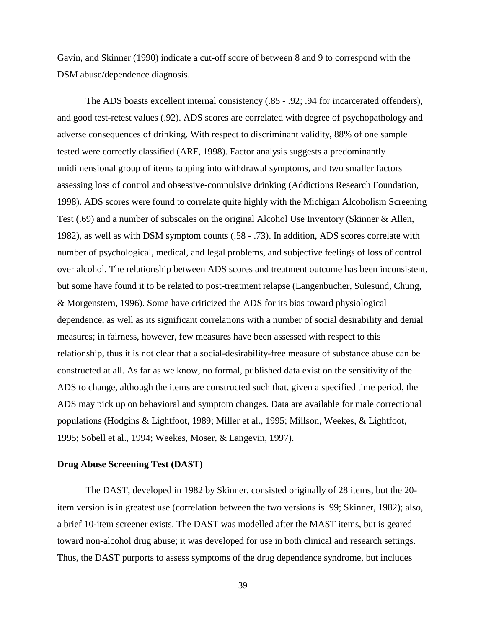Gavin, and Skinner (1990) indicate a cut-off score of between 8 and 9 to correspond with the DSM abuse/dependence diagnosis.

The ADS boasts excellent internal consistency (.85 - .92; .94 for incarcerated offenders), and good test-retest values (.92). ADS scores are correlated with degree of psychopathology and adverse consequences of drinking. With respect to discriminant validity, 88% of one sample tested were correctly classified (ARF, 1998). Factor analysis suggests a predominantly unidimensional group of items tapping into withdrawal symptoms, and two smaller factors assessing loss of control and obsessive-compulsive drinking (Addictions Research Foundation, 1998). ADS scores were found to correlate quite highly with the Michigan Alcoholism Screening Test (.69) and a number of subscales on the original Alcohol Use Inventory (Skinner & Allen, 1982), as well as with DSM symptom counts (.58 - .73). In addition, ADS scores correlate with number of psychological, medical, and legal problems, and subjective feelings of loss of control over alcohol. The relationship between ADS scores and treatment outcome has been inconsistent, but some have found it to be related to post-treatment relapse (Langenbucher, Sulesund, Chung, & Morgenstern, 1996). Some have criticized the ADS for its bias toward physiological dependence, as well as its significant correlations with a number of social desirability and denial measures; in fairness, however, few measures have been assessed with respect to this relationship, thus it is not clear that a social-desirability-free measure of substance abuse can be constructed at all. As far as we know, no formal, published data exist on the sensitivity of the ADS to change, although the items are constructed such that, given a specified time period, the ADS may pick up on behavioral and symptom changes. Data are available for male correctional populations (Hodgins & Lightfoot, 1989; Miller et al., 1995; Millson, Weekes, & Lightfoot, 1995; Sobell et al., 1994; Weekes, Moser, & Langevin, 1997).

### **Drug Abuse Screening Test (DAST)**

The DAST, developed in 1982 by Skinner, consisted originally of 28 items, but the 20 item version is in greatest use (correlation between the two versions is .99; Skinner, 1982); also, a brief 10-item screener exists. The DAST was modelled after the MAST items, but is geared toward non-alcohol drug abuse; it was developed for use in both clinical and research settings. Thus, the DAST purports to assess symptoms of the drug dependence syndrome, but includes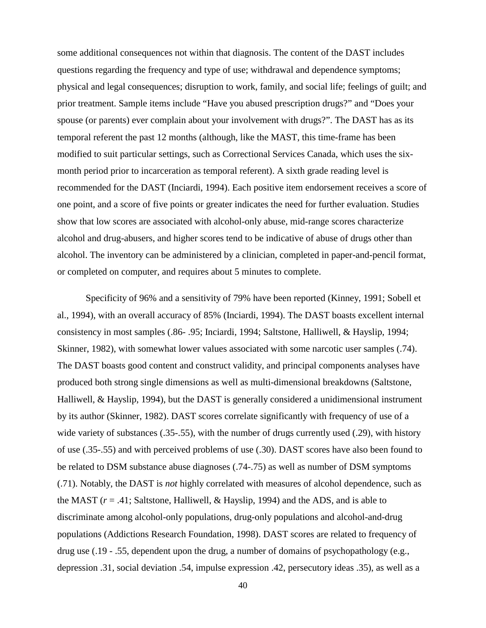some additional consequences not within that diagnosis. The content of the DAST includes questions regarding the frequency and type of use; withdrawal and dependence symptoms; physical and legal consequences; disruption to work, family, and social life; feelings of guilt; and prior treatment. Sample items include "Have you abused prescription drugs?" and "Does your spouse (or parents) ever complain about your involvement with drugs?". The DAST has as its temporal referent the past 12 months (although, like the MAST, this time-frame has been modified to suit particular settings, such as Correctional Services Canada, which uses the sixmonth period prior to incarceration as temporal referent). A sixth grade reading level is recommended for the DAST (Inciardi, 1994). Each positive item endorsement receives a score of one point, and a score of five points or greater indicates the need for further evaluation. Studies show that low scores are associated with alcohol-only abuse, mid-range scores characterize alcohol and drug-abusers, and higher scores tend to be indicative of abuse of drugs other than alcohol. The inventory can be administered by a clinician, completed in paper-and-pencil format, or completed on computer, and requires about 5 minutes to complete.

Specificity of 96% and a sensitivity of 79% have been reported (Kinney, 1991; Sobell et al., 1994), with an overall accuracy of 85% (Inciardi, 1994). The DAST boasts excellent internal consistency in most samples (.86- .95; Inciardi, 1994; Saltstone, Halliwell, & Hayslip, 1994; Skinner, 1982), with somewhat lower values associated with some narcotic user samples (.74). The DAST boasts good content and construct validity, and principal components analyses have produced both strong single dimensions as well as multi-dimensional breakdowns (Saltstone, Halliwell, & Hayslip, 1994), but the DAST is generally considered a unidimensional instrument by its author (Skinner, 1982). DAST scores correlate significantly with frequency of use of a wide variety of substances (.35-.55), with the number of drugs currently used (.29), with history of use (.35-.55) and with perceived problems of use (.30). DAST scores have also been found to be related to DSM substance abuse diagnoses (.74-.75) as well as number of DSM symptoms (.71). Notably, the DAST is *not* highly correlated with measures of alcohol dependence, such as the MAST  $(r = .41;$  Saltstone, Halliwell, & Hayslip, 1994) and the ADS, and is able to discriminate among alcohol-only populations, drug-only populations and alcohol-and-drug populations (Addictions Research Foundation, 1998). DAST scores are related to frequency of drug use (.19 - .55, dependent upon the drug, a number of domains of psychopathology (e.g., depression .31, social deviation .54, impulse expression .42, persecutory ideas .35), as well as a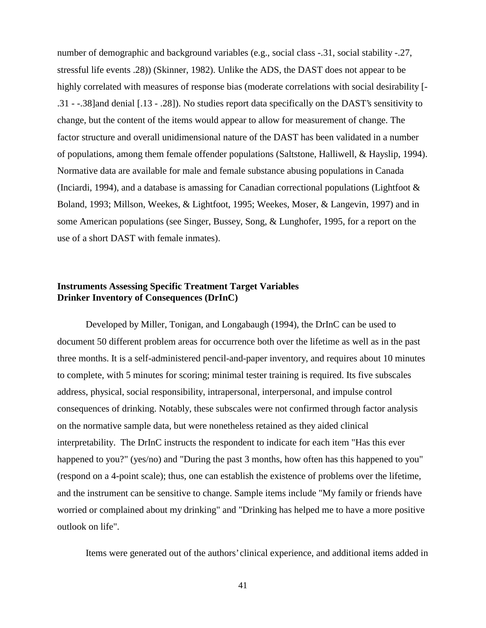number of demographic and background variables (e.g., social class -.31, social stability -.27, stressful life events .28)) (Skinner, 1982). Unlike the ADS, the DAST does not appear to be highly correlated with measures of response bias (moderate correlations with social desirability [- .31 - -.38]and denial [.13 - .28]). No studies report data specifically on the DAST's sensitivity to change, but the content of the items would appear to allow for measurement of change. The factor structure and overall unidimensional nature of the DAST has been validated in a number of populations, among them female offender populations (Saltstone, Halliwell, & Hayslip, 1994). Normative data are available for male and female substance abusing populations in Canada (Inciardi, 1994), and a database is amassing for Canadian correctional populations (Lightfoot & Boland, 1993; Millson, Weekes, & Lightfoot, 1995; Weekes, Moser, & Langevin, 1997) and in some American populations (see Singer, Bussey, Song, & Lunghofer, 1995, for a report on the use of a short DAST with female inmates).

# **Instruments Assessing Specific Treatment Target Variables Drinker Inventory of Consequences (DrInC)**

Developed by Miller, Tonigan, and Longabaugh (1994), the DrInC can be used to document 50 different problem areas for occurrence both over the lifetime as well as in the past three months. It is a self-administered pencil-and-paper inventory, and requires about 10 minutes to complete, with 5 minutes for scoring; minimal tester training is required. Its five subscales address, physical, social responsibility, intrapersonal, interpersonal, and impulse control consequences of drinking. Notably, these subscales were not confirmed through factor analysis on the normative sample data, but were nonetheless retained as they aided clinical interpretability. The DrInC instructs the respondent to indicate for each item "Has this ever happened to you?" (yes/no) and "During the past 3 months, how often has this happened to you" (respond on a 4-point scale); thus, one can establish the existence of problems over the lifetime, and the instrument can be sensitive to change. Sample items include "My family or friends have worried or complained about my drinking" and "Drinking has helped me to have a more positive outlook on life".

Items were generated out of the authors' clinical experience, and additional items added in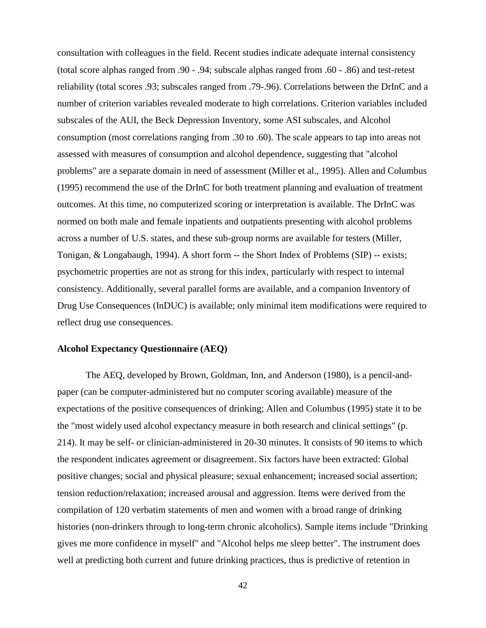consultation with colleagues in the field. Recent studies indicate adequate internal consistency (total score alphas ranged from .90 - .94; subscale alphas ranged from .60 - .86) and test-retest reliability (total scores .93; subscales ranged from .79-.96). Correlations between the DrInC and a number of criterion variables revealed moderate to high correlations. Criterion variables included subscales of the AUI, the Beck Depression Inventory, some ASI subscales, and Alcohol consumption (most correlations ranging from .30 to .60). The scale appears to tap into areas not assessed with measures of consumption and alcohol dependence, suggesting that "alcohol problems" are a separate domain in need of assessment (Miller et al., 1995). Allen and Columbus (1995) recommend the use of the DrInC for both treatment planning and evaluation of treatment outcomes. At this time, no computerized scoring or interpretation is available. The DrInC was normed on both male and female inpatients and outpatients presenting with alcohol problems across a number of U.S. states, and these sub-group norms are available for testers (Miller, Tonigan, & Longabaugh, 1994). A short form -- the Short Index of Problems (SIP) -- exists; psychometric properties are not as strong for this index, particularly with respect to internal consistency. Additionally, several parallel forms are available, and a companion Inventory of Drug Use Consequences (InDUC) is available; only minimal item modifications were required to reflect drug use consequences.

# **Alcohol Expectancy Questionnaire (AEQ)**

The AEQ, developed by Brown, Goldman, Inn, and Anderson (1980), is a pencil-andpaper (can be computer-administered but no computer scoring available) measure of the expectations of the positive consequences of drinking; Allen and Columbus (1995) state it to be the "most widely used alcohol expectancy measure in both research and clinical settings" (p. 214). It may be self- or clinician-administered in 20-30 minutes. It consists of 90 items to which the respondent indicates agreement or disagreement. Six factors have been extracted: Global positive changes; social and physical pleasure; sexual enhancement; increased social assertion; tension reduction/relaxation; increased arousal and aggression. Items were derived from the compilation of 120 verbatim statements of men and women with a broad range of drinking histories (non-drinkers through to long-term chronic alcoholics). Sample items include "Drinking gives me more confidence in myself" and "Alcohol helps me sleep better". The instrument does well at predicting both current and future drinking practices, thus is predictive of retention in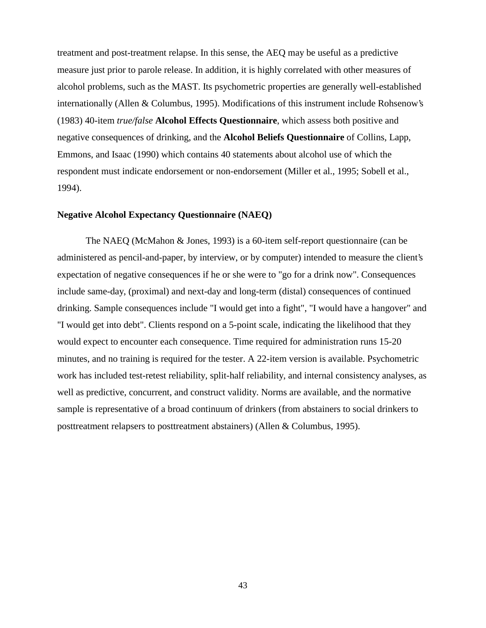treatment and post-treatment relapse. In this sense, the AEQ may be useful as a predictive measure just prior to parole release. In addition, it is highly correlated with other measures of alcohol problems, such as the MAST. Its psychometric properties are generally well-established internationally (Allen & Columbus, 1995). Modifications of this instrument include Rohsenow's (1983) 40-item *true/false* **Alcohol Effects Questionnaire**, which assess both positive and negative consequences of drinking, and the **Alcohol Beliefs Questionnaire** of Collins, Lapp, Emmons, and Isaac (1990) which contains 40 statements about alcohol use of which the respondent must indicate endorsement or non-endorsement (Miller et al., 1995; Sobell et al., 1994).

## **Negative Alcohol Expectancy Questionnaire (NAEQ)**

The NAEQ (McMahon & Jones, 1993) is a 60-item self-report questionnaire (can be administered as pencil-and-paper, by interview, or by computer) intended to measure the client's expectation of negative consequences if he or she were to "go for a drink now". Consequences include same-day, (proximal) and next-day and long-term (distal) consequences of continued drinking. Sample consequences include "I would get into a fight", "I would have a hangover" and "I would get into debt". Clients respond on a 5-point scale, indicating the likelihood that they would expect to encounter each consequence. Time required for administration runs 15-20 minutes, and no training is required for the tester. A 22-item version is available. Psychometric work has included test-retest reliability, split-half reliability, and internal consistency analyses, as well as predictive, concurrent, and construct validity. Norms are available, and the normative sample is representative of a broad continuum of drinkers (from abstainers to social drinkers to posttreatment relapsers to posttreatment abstainers) (Allen & Columbus, 1995).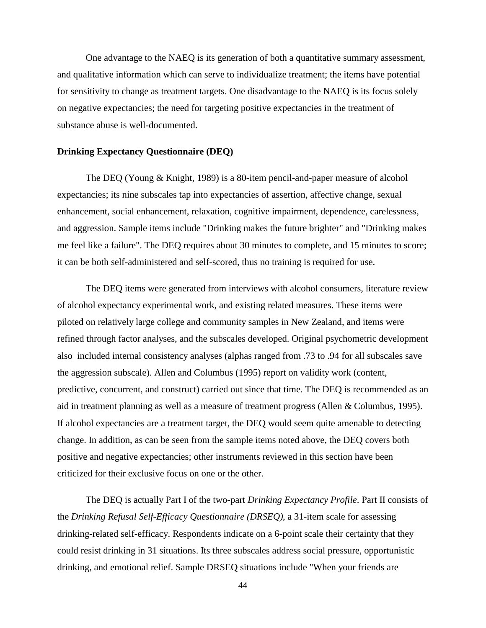One advantage to the NAEQ is its generation of both a quantitative summary assessment, and qualitative information which can serve to individualize treatment; the items have potential for sensitivity to change as treatment targets. One disadvantage to the NAEQ is its focus solely on negative expectancies; the need for targeting positive expectancies in the treatment of substance abuse is well-documented.

#### **Drinking Expectancy Questionnaire (DEQ)**

The DEQ (Young & Knight, 1989) is a 80-item pencil-and-paper measure of alcohol expectancies; its nine subscales tap into expectancies of assertion, affective change, sexual enhancement, social enhancement, relaxation, cognitive impairment, dependence, carelessness, and aggression. Sample items include "Drinking makes the future brighter" and "Drinking makes me feel like a failure". The DEQ requires about 30 minutes to complete, and 15 minutes to score; it can be both self-administered and self-scored, thus no training is required for use.

The DEQ items were generated from interviews with alcohol consumers, literature review of alcohol expectancy experimental work, and existing related measures. These items were piloted on relatively large college and community samples in New Zealand, and items were refined through factor analyses, and the subscales developed. Original psychometric development also included internal consistency analyses (alphas ranged from .73 to .94 for all subscales save the aggression subscale). Allen and Columbus (1995) report on validity work (content, predictive, concurrent, and construct) carried out since that time. The DEQ is recommended as an aid in treatment planning as well as a measure of treatment progress (Allen & Columbus, 1995). If alcohol expectancies are a treatment target, the DEQ would seem quite amenable to detecting change. In addition, as can be seen from the sample items noted above, the DEQ covers both positive and negative expectancies; other instruments reviewed in this section have been criticized for their exclusive focus on one or the other.

The DEQ is actually Part I of the two-part *Drinking Expectancy Profile*. Part II consists of the *Drinking Refusal Self-Efficacy Questionnaire (DRSEQ)*, a 31-item scale for assessing drinking-related self-efficacy. Respondents indicate on a 6-point scale their certainty that they could resist drinking in 31 situations. Its three subscales address social pressure, opportunistic drinking, and emotional relief. Sample DRSEQ situations include "When your friends are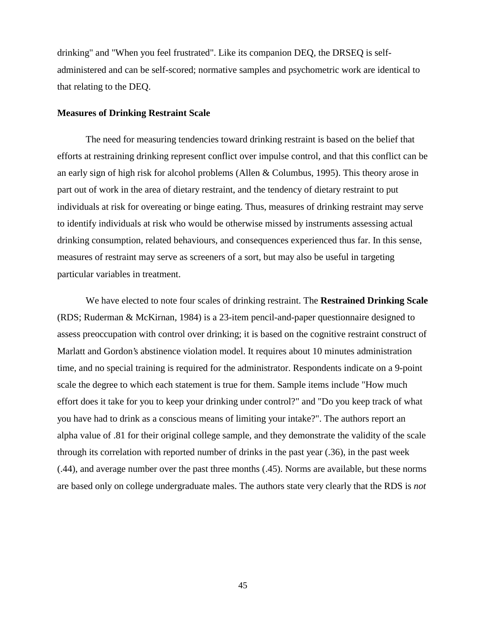drinking" and "When you feel frustrated". Like its companion DEQ, the DRSEQ is selfadministered and can be self-scored; normative samples and psychometric work are identical to that relating to the DEQ.

### **Measures of Drinking Restraint Scale**

The need for measuring tendencies toward drinking restraint is based on the belief that efforts at restraining drinking represent conflict over impulse control, and that this conflict can be an early sign of high risk for alcohol problems (Allen & Columbus, 1995). This theory arose in part out of work in the area of dietary restraint, and the tendency of dietary restraint to put individuals at risk for overeating or binge eating. Thus, measures of drinking restraint may serve to identify individuals at risk who would be otherwise missed by instruments assessing actual drinking consumption, related behaviours, and consequences experienced thus far. In this sense, measures of restraint may serve as screeners of a sort, but may also be useful in targeting particular variables in treatment.

We have elected to note four scales of drinking restraint. The **Restrained Drinking Scale** (RDS; Ruderman & McKirnan, 1984) is a 23-item pencil-and-paper questionnaire designed to assess preoccupation with control over drinking; it is based on the cognitive restraint construct of Marlatt and Gordon's abstinence violation model. It requires about 10 minutes administration time, and no special training is required for the administrator. Respondents indicate on a 9-point scale the degree to which each statement is true for them. Sample items include "How much effort does it take for you to keep your drinking under control?" and "Do you keep track of what you have had to drink as a conscious means of limiting your intake?". The authors report an alpha value of .81 for their original college sample, and they demonstrate the validity of the scale through its correlation with reported number of drinks in the past year (.36), in the past week (.44), and average number over the past three months (.45). Norms are available, but these norms are based only on college undergraduate males. The authors state very clearly that the RDS is *not*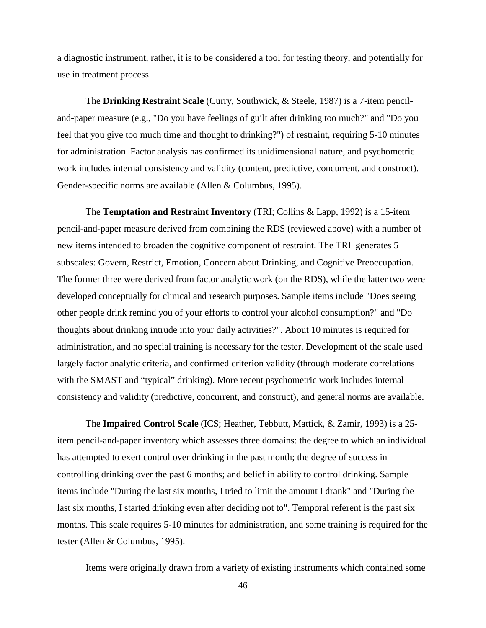a diagnostic instrument, rather, it is to be considered a tool for testing theory, and potentially for use in treatment process.

The **Drinking Restraint Scale** (Curry, Southwick, & Steele, 1987) is a 7-item penciland-paper measure (e.g., "Do you have feelings of guilt after drinking too much?" and "Do you feel that you give too much time and thought to drinking?") of restraint, requiring 5-10 minutes for administration. Factor analysis has confirmed its unidimensional nature, and psychometric work includes internal consistency and validity (content, predictive, concurrent, and construct). Gender-specific norms are available (Allen & Columbus, 1995).

The **Temptation and Restraint Inventory** (TRI; Collins & Lapp, 1992) is a 15-item pencil-and-paper measure derived from combining the RDS (reviewed above) with a number of new items intended to broaden the cognitive component of restraint. The TRI generates 5 subscales: Govern, Restrict, Emotion, Concern about Drinking, and Cognitive Preoccupation. The former three were derived from factor analytic work (on the RDS), while the latter two were developed conceptually for clinical and research purposes. Sample items include "Does seeing other people drink remind you of your efforts to control your alcohol consumption?" and "Do thoughts about drinking intrude into your daily activities?". About 10 minutes is required for administration, and no special training is necessary for the tester. Development of the scale used largely factor analytic criteria, and confirmed criterion validity (through moderate correlations with the SMAST and "typical" drinking). More recent psychometric work includes internal consistency and validity (predictive, concurrent, and construct), and general norms are available.

The **Impaired Control Scale** (ICS; Heather, Tebbutt, Mattick, & Zamir, 1993) is a 25 item pencil-and-paper inventory which assesses three domains: the degree to which an individual has attempted to exert control over drinking in the past month; the degree of success in controlling drinking over the past 6 months; and belief in ability to control drinking. Sample items include "During the last six months, I tried to limit the amount I drank" and "During the last six months, I started drinking even after deciding not to". Temporal referent is the past six months. This scale requires 5-10 minutes for administration, and some training is required for the tester (Allen & Columbus, 1995).

Items were originally drawn from a variety of existing instruments which contained some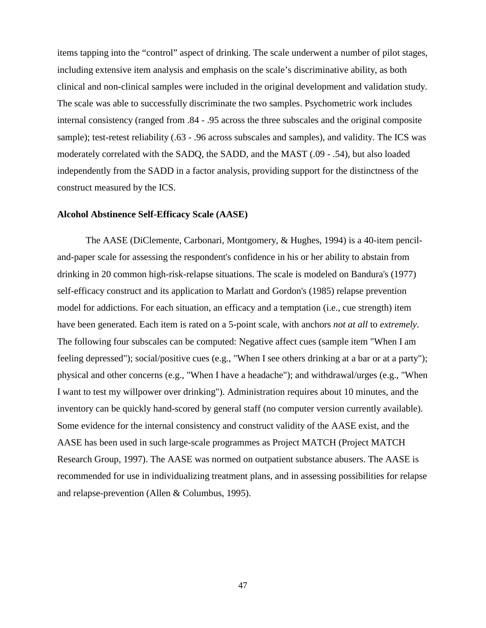items tapping into the "control" aspect of drinking. The scale underwent a number of pilot stages, including extensive item analysis and emphasis on the scale's discriminative ability, as both clinical and non-clinical samples were included in the original development and validation study. The scale was able to successfully discriminate the two samples. Psychometric work includes internal consistency (ranged from .84 - .95 across the three subscales and the original composite sample); test-retest reliability (.63 - .96 across subscales and samples), and validity. The ICS was moderately correlated with the SADQ, the SADD, and the MAST (.09 - .54), but also loaded independently from the SADD in a factor analysis, providing support for the distinctness of the construct measured by the ICS.

## **Alcohol Abstinence Self-Efficacy Scale (AASE)**

The AASE (DiClemente, Carbonari, Montgomery, & Hughes, 1994) is a 40-item penciland-paper scale for assessing the respondent's confidence in his or her ability to abstain from drinking in 20 common high-risk-relapse situations. The scale is modeled on Bandura's (1977) self-efficacy construct and its application to Marlatt and Gordon's (1985) relapse prevention model for addictions. For each situation, an efficacy and a temptation (i.e., cue strength) item have been generated. Each item is rated on a 5-point scale, with anchors *not at all* to *extremely*. The following four subscales can be computed: Negative affect cues (sample item "When I am feeling depressed"); social/positive cues (e.g., "When I see others drinking at a bar or at a party"); physical and other concerns (e.g., "When I have a headache"); and withdrawal/urges (e.g., "When I want to test my willpower over drinking"). Administration requires about 10 minutes, and the inventory can be quickly hand-scored by general staff (no computer version currently available). Some evidence for the internal consistency and construct validity of the AASE exist, and the AASE has been used in such large-scale programmes as Project MATCH (Project MATCH Research Group, 1997). The AASE was normed on outpatient substance abusers. The AASE is recommended for use in individualizing treatment plans, and in assessing possibilities for relapse and relapse-prevention (Allen & Columbus, 1995).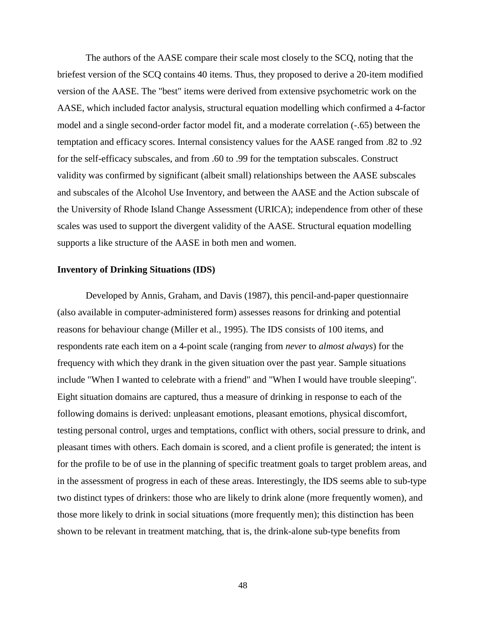The authors of the AASE compare their scale most closely to the SCQ, noting that the briefest version of the SCQ contains 40 items. Thus, they proposed to derive a 20-item modified version of the AASE. The "best" items were derived from extensive psychometric work on the AASE, which included factor analysis, structural equation modelling which confirmed a 4-factor model and a single second-order factor model fit, and a moderate correlation (-.65) between the temptation and efficacy scores. Internal consistency values for the AASE ranged from .82 to .92 for the self-efficacy subscales, and from .60 to .99 for the temptation subscales. Construct validity was confirmed by significant (albeit small) relationships between the AASE subscales and subscales of the Alcohol Use Inventory, and between the AASE and the Action subscale of the University of Rhode Island Change Assessment (URICA); independence from other of these scales was used to support the divergent validity of the AASE. Structural equation modelling supports a like structure of the AASE in both men and women.

#### **Inventory of Drinking Situations (IDS)**

Developed by Annis, Graham, and Davis (1987), this pencil-and-paper questionnaire (also available in computer-administered form) assesses reasons for drinking and potential reasons for behaviour change (Miller et al., 1995). The IDS consists of 100 items, and respondents rate each item on a 4-point scale (ranging from *never* to *almost always*) for the frequency with which they drank in the given situation over the past year. Sample situations include "When I wanted to celebrate with a friend" and "When I would have trouble sleeping". Eight situation domains are captured, thus a measure of drinking in response to each of the following domains is derived: unpleasant emotions, pleasant emotions, physical discomfort, testing personal control, urges and temptations, conflict with others, social pressure to drink, and pleasant times with others. Each domain is scored, and a client profile is generated; the intent is for the profile to be of use in the planning of specific treatment goals to target problem areas, and in the assessment of progress in each of these areas. Interestingly, the IDS seems able to sub-type two distinct types of drinkers: those who are likely to drink alone (more frequently women), and those more likely to drink in social situations (more frequently men); this distinction has been shown to be relevant in treatment matching, that is, the drink-alone sub-type benefits from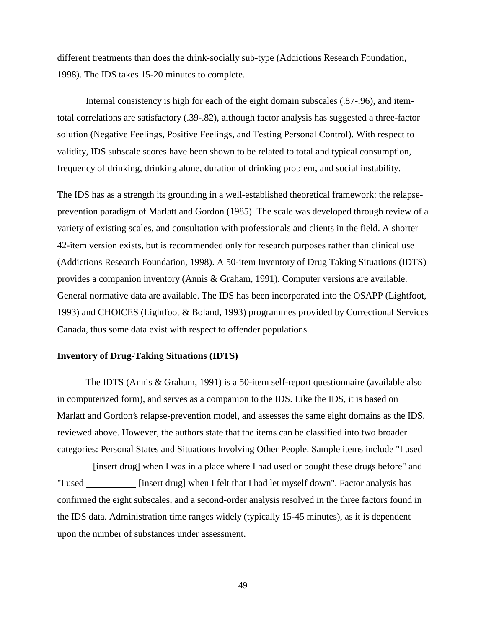different treatments than does the drink-socially sub-type (Addictions Research Foundation, 1998). The IDS takes 15-20 minutes to complete.

Internal consistency is high for each of the eight domain subscales (.87-.96), and itemtotal correlations are satisfactory (.39-.82), although factor analysis has suggested a three-factor solution (Negative Feelings, Positive Feelings, and Testing Personal Control). With respect to validity, IDS subscale scores have been shown to be related to total and typical consumption, frequency of drinking, drinking alone, duration of drinking problem, and social instability.

The IDS has as a strength its grounding in a well-established theoretical framework: the relapseprevention paradigm of Marlatt and Gordon (1985). The scale was developed through review of a variety of existing scales, and consultation with professionals and clients in the field. A shorter 42-item version exists, but is recommended only for research purposes rather than clinical use (Addictions Research Foundation, 1998). A 50-item Inventory of Drug Taking Situations (IDTS) provides a companion inventory (Annis & Graham, 1991). Computer versions are available. General normative data are available. The IDS has been incorporated into the OSAPP (Lightfoot, 1993) and CHOICES (Lightfoot & Boland, 1993) programmes provided by Correctional Services Canada, thus some data exist with respect to offender populations.

#### **Inventory of Drug-Taking Situations (IDTS)**

The IDTS (Annis & Graham, 1991) is a 50-item self-report questionnaire (available also in computerized form), and serves as a companion to the IDS. Like the IDS, it is based on Marlatt and Gordon's relapse-prevention model, and assesses the same eight domains as the IDS, reviewed above. However, the authors state that the items can be classified into two broader categories: Personal States and Situations Involving Other People. Sample items include "I used [insert drug] when I was in a place where I had used or bought these drugs before" and "I used \_\_\_\_\_\_\_\_\_\_ [insert drug] when I felt that I had let myself down". Factor analysis has confirmed the eight subscales, and a second-order analysis resolved in the three factors found in the IDS data. Administration time ranges widely (typically 15-45 minutes), as it is dependent upon the number of substances under assessment.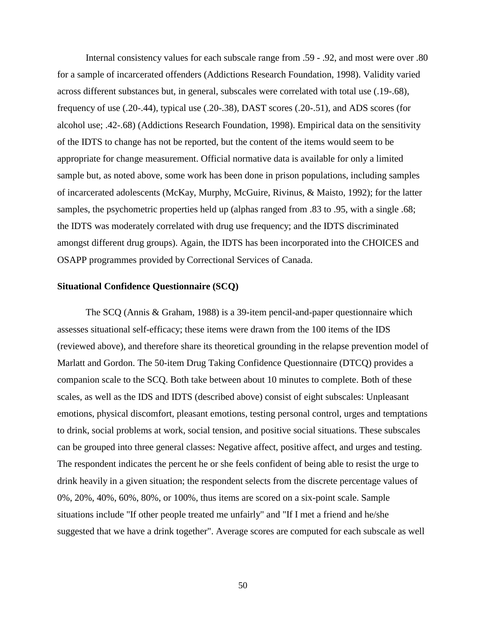Internal consistency values for each subscale range from .59 - .92, and most were over .80 for a sample of incarcerated offenders (Addictions Research Foundation, 1998). Validity varied across different substances but, in general, subscales were correlated with total use (.19-.68), frequency of use (.20-.44), typical use (.20-.38), DAST scores (.20-.51), and ADS scores (for alcohol use; .42-.68) (Addictions Research Foundation, 1998). Empirical data on the sensitivity of the IDTS to change has not be reported, but the content of the items would seem to be appropriate for change measurement. Official normative data is available for only a limited sample but, as noted above, some work has been done in prison populations, including samples of incarcerated adolescents (McKay, Murphy, McGuire, Rivinus, & Maisto, 1992); for the latter samples, the psychometric properties held up (alphas ranged from .83 to .95, with a single .68; the IDTS was moderately correlated with drug use frequency; and the IDTS discriminated amongst different drug groups). Again, the IDTS has been incorporated into the CHOICES and OSAPP programmes provided by Correctional Services of Canada.

## **Situational Confidence Questionnaire (SCQ)**

The SCQ (Annis & Graham, 1988) is a 39-item pencil-and-paper questionnaire which assesses situational self-efficacy; these items were drawn from the 100 items of the IDS (reviewed above), and therefore share its theoretical grounding in the relapse prevention model of Marlatt and Gordon. The 50-item Drug Taking Confidence Questionnaire (DTCQ) provides a companion scale to the SCQ. Both take between about 10 minutes to complete. Both of these scales, as well as the IDS and IDTS (described above) consist of eight subscales: Unpleasant emotions, physical discomfort, pleasant emotions, testing personal control, urges and temptations to drink, social problems at work, social tension, and positive social situations. These subscales can be grouped into three general classes: Negative affect, positive affect, and urges and testing. The respondent indicates the percent he or she feels confident of being able to resist the urge to drink heavily in a given situation; the respondent selects from the discrete percentage values of 0%, 20%, 40%, 60%, 80%, or 100%, thus items are scored on a six-point scale. Sample situations include "If other people treated me unfairly" and "If I met a friend and he/she suggested that we have a drink together". Average scores are computed for each subscale as well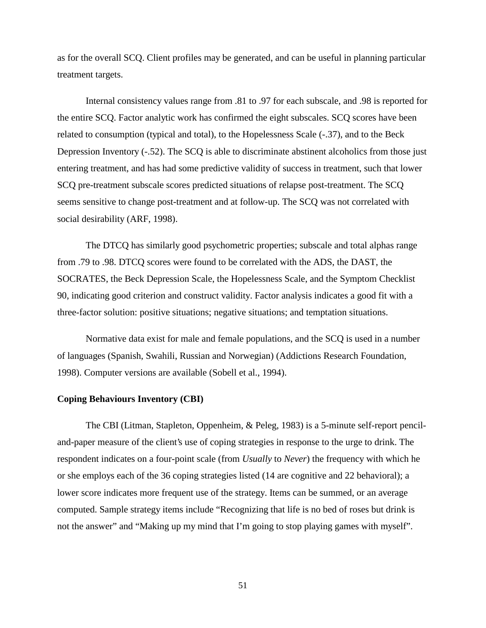as for the overall SCQ. Client profiles may be generated, and can be useful in planning particular treatment targets.

Internal consistency values range from .81 to .97 for each subscale, and .98 is reported for the entire SCQ. Factor analytic work has confirmed the eight subscales. SCQ scores have been related to consumption (typical and total), to the Hopelessness Scale (-.37), and to the Beck Depression Inventory (-.52). The SCQ is able to discriminate abstinent alcoholics from those just entering treatment, and has had some predictive validity of success in treatment, such that lower SCQ pre-treatment subscale scores predicted situations of relapse post-treatment. The SCQ seems sensitive to change post-treatment and at follow-up. The SCQ was not correlated with social desirability (ARF, 1998).

The DTCQ has similarly good psychometric properties; subscale and total alphas range from .79 to .98. DTCQ scores were found to be correlated with the ADS, the DAST, the SOCRATES, the Beck Depression Scale, the Hopelessness Scale, and the Symptom Checklist 90, indicating good criterion and construct validity. Factor analysis indicates a good fit with a three-factor solution: positive situations; negative situations; and temptation situations.

Normative data exist for male and female populations, and the SCQ is used in a number of languages (Spanish, Swahili, Russian and Norwegian) (Addictions Research Foundation, 1998). Computer versions are available (Sobell et al., 1994).

### **Coping Behaviours Inventory (CBI)**

The CBI (Litman, Stapleton, Oppenheim, & Peleg, 1983) is a 5-minute self-report penciland-paper measure of the client's use of coping strategies in response to the urge to drink. The respondent indicates on a four-point scale (from *Usually* to *Never*) the frequency with which he or she employs each of the 36 coping strategies listed (14 are cognitive and 22 behavioral); a lower score indicates more frequent use of the strategy. Items can be summed, or an average computed. Sample strategy items include "Recognizing that life is no bed of roses but drink is not the answer" and "Making up my mind that I'm going to stop playing games with myself".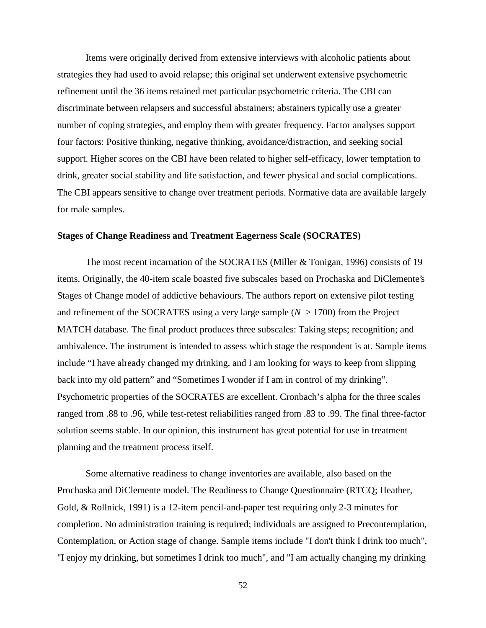Items were originally derived from extensive interviews with alcoholic patients about strategies they had used to avoid relapse; this original set underwent extensive psychometric refinement until the 36 items retained met particular psychometric criteria. The CBI can discriminate between relapsers and successful abstainers; abstainers typically use a greater number of coping strategies, and employ them with greater frequency. Factor analyses support four factors: Positive thinking, negative thinking, avoidance/distraction, and seeking social support. Higher scores on the CBI have been related to higher self-efficacy, lower temptation to drink, greater social stability and life satisfaction, and fewer physical and social complications. The CBI appears sensitive to change over treatment periods. Normative data are available largely for male samples.

### **Stages of Change Readiness and Treatment Eagerness Scale (SOCRATES)**

The most recent incarnation of the SOCRATES (Miller & Tonigan, 1996) consists of 19 items. Originally, the 40-item scale boasted five subscales based on Prochaska and DiClemente's Stages of Change model of addictive behaviours. The authors report on extensive pilot testing and refinement of the SOCRATES using a very large sample  $(N > 1700)$  from the Project MATCH database. The final product produces three subscales: Taking steps; recognition; and ambivalence. The instrument is intended to assess which stage the respondent is at. Sample items include "I have already changed my drinking, and I am looking for ways to keep from slipping back into my old pattern" and "Sometimes I wonder if I am in control of my drinking". Psychometric properties of the SOCRATES are excellent. Cronbach's alpha for the three scales ranged from .88 to .96, while test-retest reliabilities ranged from .83 to .99. The final three-factor solution seems stable. In our opinion, this instrument has great potential for use in treatment planning and the treatment process itself.

Some alternative readiness to change inventories are available, also based on the Prochaska and DiClemente model. The Readiness to Change Questionnaire (RTCQ; Heather, Gold, & Rollnick, 1991) is a 12-item pencil-and-paper test requiring only 2-3 minutes for completion. No administration training is required; individuals are assigned to Precontemplation, Contemplation, or Action stage of change. Sample items include "I don't think I drink too much", "I enjoy my drinking, but sometimes I drink too much", and "I am actually changing my drinking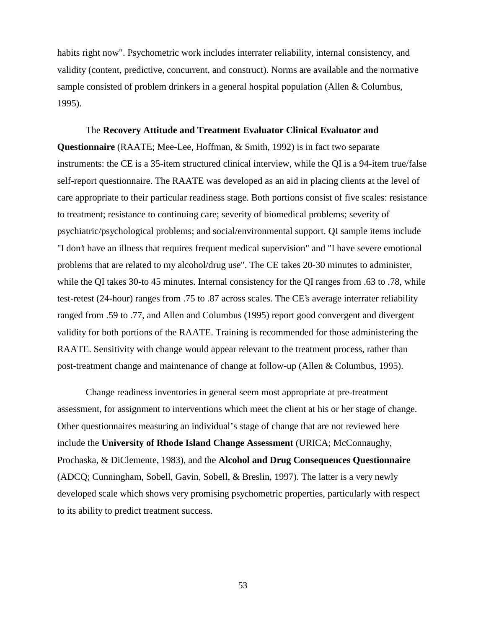habits right now". Psychometric work includes interrater reliability, internal consistency, and validity (content, predictive, concurrent, and construct). Norms are available and the normative sample consisted of problem drinkers in a general hospital population (Allen & Columbus, 1995).

The **Recovery Attitude and Treatment Evaluator Clinical Evaluator and Questionnaire** (RAATE; Mee-Lee, Hoffman, & Smith, 1992) is in fact two separate instruments: the CE is a 35-item structured clinical interview, while the QI is a 94-item true/false self-report questionnaire. The RAATE was developed as an aid in placing clients at the level of care appropriate to their particular readiness stage. Both portions consist of five scales: resistance to treatment; resistance to continuing care; severity of biomedical problems; severity of psychiatric/psychological problems; and social/environmental support. QI sample items include "I don't have an illness that requires frequent medical supervision" and "I have severe emotional problems that are related to my alcohol/drug use". The CE takes 20-30 minutes to administer, while the QI takes 30-to 45 minutes. Internal consistency for the QI ranges from .63 to .78, while test-retest (24-hour) ranges from .75 to .87 across scales. The CE's average interrater reliability ranged from .59 to .77, and Allen and Columbus (1995) report good convergent and divergent validity for both portions of the RAATE. Training is recommended for those administering the RAATE. Sensitivity with change would appear relevant to the treatment process, rather than post-treatment change and maintenance of change at follow-up (Allen & Columbus, 1995).

Change readiness inventories in general seem most appropriate at pre-treatment assessment, for assignment to interventions which meet the client at his or her stage of change. Other questionnaires measuring an individual's stage of change that are not reviewed here include the **University of Rhode Island Change Assessment** (URICA; McConnaughy, Prochaska, & DiClemente, 1983), and the **Alcohol and Drug Consequences Questionnaire** (ADCQ; Cunningham, Sobell, Gavin, Sobell, & Breslin, 1997). The latter is a very newly developed scale which shows very promising psychometric properties, particularly with respect to its ability to predict treatment success.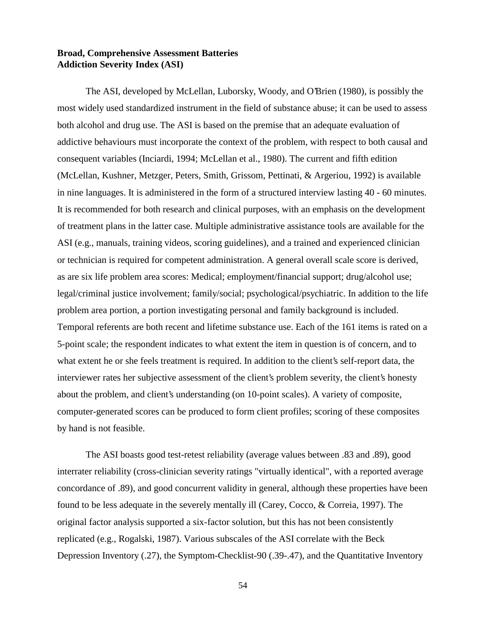# **Broad, Comprehensive Assessment Batteries Addiction Severity Index (ASI)**

The ASI, developed by McLellan, Luborsky, Woody, and O'Brien (1980), is possibly the most widely used standardized instrument in the field of substance abuse; it can be used to assess both alcohol and drug use. The ASI is based on the premise that an adequate evaluation of addictive behaviours must incorporate the context of the problem, with respect to both causal and consequent variables (Inciardi, 1994; McLellan et al., 1980). The current and fifth edition (McLellan, Kushner, Metzger, Peters, Smith, Grissom, Pettinati, & Argeriou, 1992) is available in nine languages. It is administered in the form of a structured interview lasting 40 - 60 minutes. It is recommended for both research and clinical purposes, with an emphasis on the development of treatment plans in the latter case. Multiple administrative assistance tools are available for the ASI (e.g., manuals, training videos, scoring guidelines), and a trained and experienced clinician or technician is required for competent administration. A general overall scale score is derived, as are six life problem area scores: Medical; employment/financial support; drug/alcohol use; legal/criminal justice involvement; family/social; psychological/psychiatric. In addition to the life problem area portion, a portion investigating personal and family background is included. Temporal referents are both recent and lifetime substance use. Each of the 161 items is rated on a 5-point scale; the respondent indicates to what extent the item in question is of concern, and to what extent he or she feels treatment is required. In addition to the client's self-report data, the interviewer rates her subjective assessment of the client's problem severity, the client's honesty about the problem, and client's understanding (on 10-point scales). A variety of composite, computer-generated scores can be produced to form client profiles; scoring of these composites by hand is not feasible.

The ASI boasts good test-retest reliability (average values between .83 and .89), good interrater reliability (cross-clinician severity ratings "virtually identical", with a reported average concordance of .89), and good concurrent validity in general, although these properties have been found to be less adequate in the severely mentally ill (Carey, Cocco, & Correia, 1997). The original factor analysis supported a six-factor solution, but this has not been consistently replicated (e.g., Rogalski, 1987). Various subscales of the ASI correlate with the Beck Depression Inventory (.27), the Symptom-Checklist-90 (.39-.47), and the Quantitative Inventory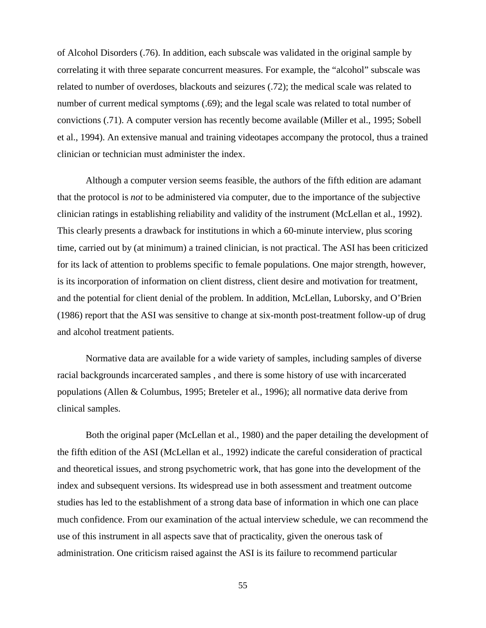of Alcohol Disorders (.76). In addition, each subscale was validated in the original sample by correlating it with three separate concurrent measures. For example, the "alcohol" subscale was related to number of overdoses, blackouts and seizures (.72); the medical scale was related to number of current medical symptoms (.69); and the legal scale was related to total number of convictions (.71). A computer version has recently become available (Miller et al., 1995; Sobell et al., 1994). An extensive manual and training videotapes accompany the protocol, thus a trained clinician or technician must administer the index.

Although a computer version seems feasible, the authors of the fifth edition are adamant that the protocol is *not* to be administered via computer, due to the importance of the subjective clinician ratings in establishing reliability and validity of the instrument (McLellan et al., 1992). This clearly presents a drawback for institutions in which a 60-minute interview, plus scoring time, carried out by (at minimum) a trained clinician, is not practical. The ASI has been criticized for its lack of attention to problems specific to female populations. One major strength, however, is its incorporation of information on client distress, client desire and motivation for treatment, and the potential for client denial of the problem. In addition, McLellan, Luborsky, and O'Brien (1986) report that the ASI was sensitive to change at six-month post-treatment follow-up of drug and alcohol treatment patients.

Normative data are available for a wide variety of samples, including samples of diverse racial backgrounds incarcerated samples , and there is some history of use with incarcerated populations (Allen & Columbus, 1995; Breteler et al., 1996); all normative data derive from clinical samples.

Both the original paper (McLellan et al., 1980) and the paper detailing the development of the fifth edition of the ASI (McLellan et al., 1992) indicate the careful consideration of practical and theoretical issues, and strong psychometric work, that has gone into the development of the index and subsequent versions. Its widespread use in both assessment and treatment outcome studies has led to the establishment of a strong data base of information in which one can place much confidence. From our examination of the actual interview schedule, we can recommend the use of this instrument in all aspects save that of practicality, given the onerous task of administration. One criticism raised against the ASI is its failure to recommend particular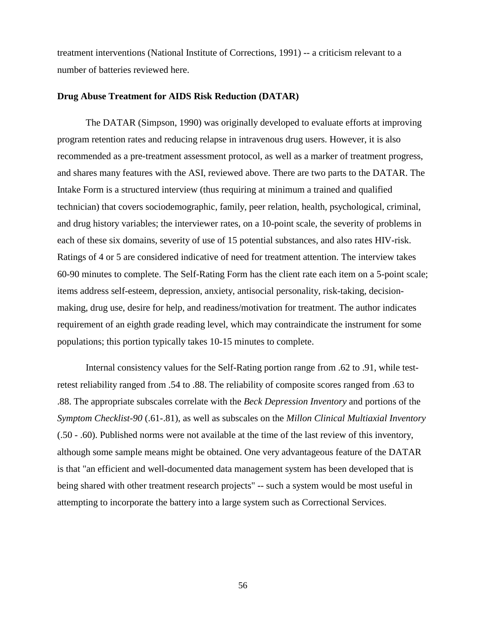treatment interventions (National Institute of Corrections, 1991) -- a criticism relevant to a number of batteries reviewed here.

#### **Drug Abuse Treatment for AIDS Risk Reduction (DATAR)**

The DATAR (Simpson, 1990) was originally developed to evaluate efforts at improving program retention rates and reducing relapse in intravenous drug users. However, it is also recommended as a pre-treatment assessment protocol, as well as a marker of treatment progress, and shares many features with the ASI, reviewed above. There are two parts to the DATAR. The Intake Form is a structured interview (thus requiring at minimum a trained and qualified technician) that covers sociodemographic, family, peer relation, health, psychological, criminal, and drug history variables; the interviewer rates, on a 10-point scale, the severity of problems in each of these six domains, severity of use of 15 potential substances, and also rates HIV-risk. Ratings of 4 or 5 are considered indicative of need for treatment attention. The interview takes 60-90 minutes to complete. The Self-Rating Form has the client rate each item on a 5-point scale; items address self-esteem, depression, anxiety, antisocial personality, risk-taking, decisionmaking, drug use, desire for help, and readiness/motivation for treatment. The author indicates requirement of an eighth grade reading level, which may contraindicate the instrument for some populations; this portion typically takes 10-15 minutes to complete.

Internal consistency values for the Self-Rating portion range from .62 to .91, while testretest reliability ranged from .54 to .88. The reliability of composite scores ranged from .63 to .88. The appropriate subscales correlate with the *Beck Depression Inventory* and portions of the *Symptom Checklist-90* (.61-.81), as well as subscales on the *Millon Clinical Multiaxial Inventory* (.50 - .60). Published norms were not available at the time of the last review of this inventory, although some sample means might be obtained. One very advantageous feature of the DATAR is that "an efficient and well-documented data management system has been developed that is being shared with other treatment research projects" -- such a system would be most useful in attempting to incorporate the battery into a large system such as Correctional Services.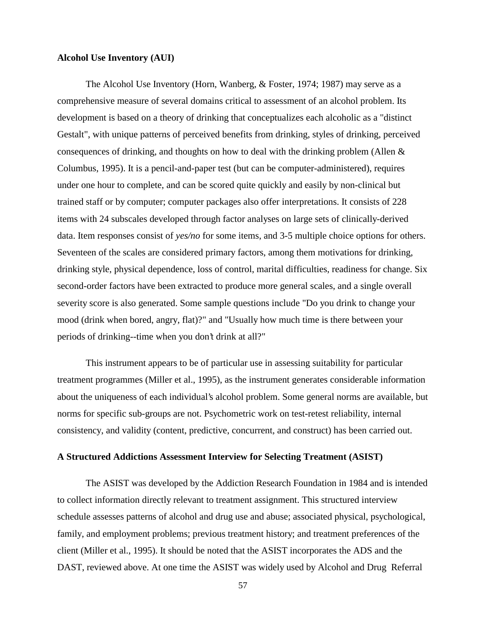### **Alcohol Use Inventory (AUI)**

The Alcohol Use Inventory (Horn, Wanberg, & Foster, 1974; 1987) may serve as a comprehensive measure of several domains critical to assessment of an alcohol problem. Its development is based on a theory of drinking that conceptualizes each alcoholic as a "distinct Gestalt", with unique patterns of perceived benefits from drinking, styles of drinking, perceived consequences of drinking, and thoughts on how to deal with the drinking problem (Allen & Columbus, 1995). It is a pencil-and-paper test (but can be computer-administered), requires under one hour to complete, and can be scored quite quickly and easily by non-clinical but trained staff or by computer; computer packages also offer interpretations. It consists of 228 items with 24 subscales developed through factor analyses on large sets of clinically-derived data. Item responses consist of *yes/no* for some items, and 3-5 multiple choice options for others. Seventeen of the scales are considered primary factors, among them motivations for drinking, drinking style, physical dependence, loss of control, marital difficulties, readiness for change. Six second-order factors have been extracted to produce more general scales, and a single overall severity score is also generated. Some sample questions include "Do you drink to change your mood (drink when bored, angry, flat)?" and "Usually how much time is there between your periods of drinking--time when you don't drink at all?"

This instrument appears to be of particular use in assessing suitability for particular treatment programmes (Miller et al., 1995), as the instrument generates considerable information about the uniqueness of each individual's alcohol problem. Some general norms are available, but norms for specific sub-groups are not. Psychometric work on test-retest reliability, internal consistency, and validity (content, predictive, concurrent, and construct) has been carried out.

#### **A Structured Addictions Assessment Interview for Selecting Treatment (ASIST)**

The ASIST was developed by the Addiction Research Foundation in 1984 and is intended to collect information directly relevant to treatment assignment. This structured interview schedule assesses patterns of alcohol and drug use and abuse; associated physical, psychological, family, and employment problems; previous treatment history; and treatment preferences of the client (Miller et al., 1995). It should be noted that the ASIST incorporates the ADS and the DAST, reviewed above. At one time the ASIST was widely used by Alcohol and Drug Referral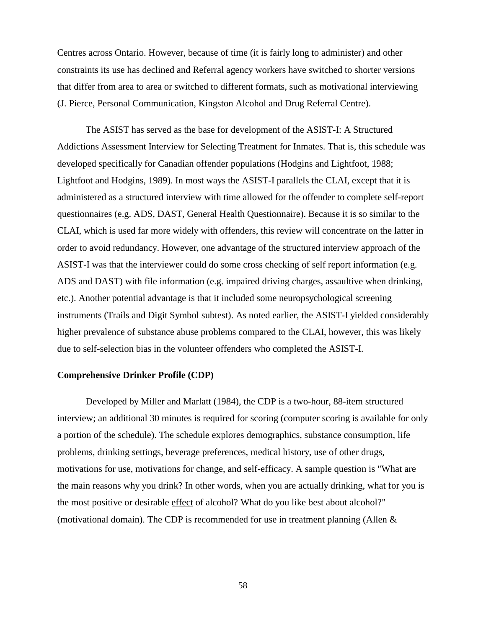Centres across Ontario. However, because of time (it is fairly long to administer) and other constraints its use has declined and Referral agency workers have switched to shorter versions that differ from area to area or switched to different formats, such as motivational interviewing (J. Pierce, Personal Communication, Kingston Alcohol and Drug Referral Centre).

The ASIST has served as the base for development of the ASIST-I: A Structured Addictions Assessment Interview for Selecting Treatment for Inmates. That is, this schedule was developed specifically for Canadian offender populations (Hodgins and Lightfoot, 1988; Lightfoot and Hodgins, 1989). In most ways the ASIST-I parallels the CLAI, except that it is administered as a structured interview with time allowed for the offender to complete self-report questionnaires (e.g. ADS, DAST, General Health Questionnaire). Because it is so similar to the CLAI, which is used far more widely with offenders, this review will concentrate on the latter in order to avoid redundancy. However, one advantage of the structured interview approach of the ASIST-I was that the interviewer could do some cross checking of self report information (e.g. ADS and DAST) with file information (e.g. impaired driving charges, assaultive when drinking, etc.). Another potential advantage is that it included some neuropsychological screening instruments (Trails and Digit Symbol subtest). As noted earlier, the ASIST-I yielded considerably higher prevalence of substance abuse problems compared to the CLAI, however, this was likely due to self-selection bias in the volunteer offenders who completed the ASIST-I.

### **Comprehensive Drinker Profile (CDP)**

Developed by Miller and Marlatt (1984), the CDP is a two-hour, 88-item structured interview; an additional 30 minutes is required for scoring (computer scoring is available for only a portion of the schedule). The schedule explores demographics, substance consumption, life problems, drinking settings, beverage preferences, medical history, use of other drugs, motivations for use, motivations for change, and self-efficacy. A sample question is "What are the main reasons why you drink? In other words, when you are actually drinking, what for you is the most positive or desirable effect of alcohol? What do you like best about alcohol?" (motivational domain). The CDP is recommended for use in treatment planning (Allen  $\&$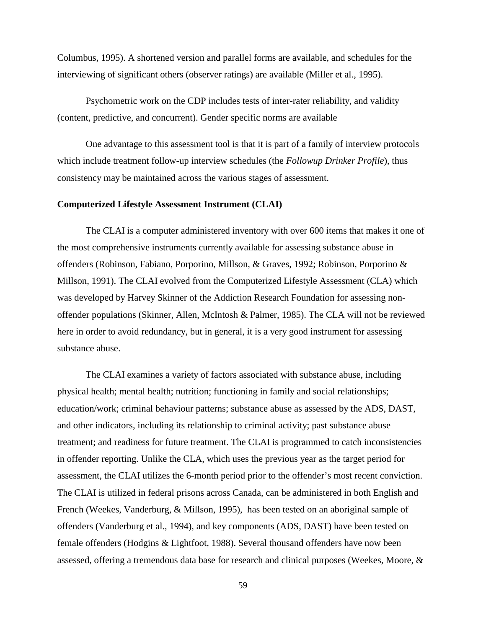Columbus, 1995). A shortened version and parallel forms are available, and schedules for the interviewing of significant others (observer ratings) are available (Miller et al., 1995).

Psychometric work on the CDP includes tests of inter-rater reliability, and validity (content, predictive, and concurrent). Gender specific norms are available

One advantage to this assessment tool is that it is part of a family of interview protocols which include treatment follow-up interview schedules (the *Followup Drinker Profile*), thus consistency may be maintained across the various stages of assessment.

### **Computerized Lifestyle Assessment Instrument (CLAI)**

The CLAI is a computer administered inventory with over 600 items that makes it one of the most comprehensive instruments currently available for assessing substance abuse in offenders (Robinson, Fabiano, Porporino, Millson, & Graves, 1992; Robinson, Porporino & Millson, 1991). The CLAI evolved from the Computerized Lifestyle Assessment (CLA) which was developed by Harvey Skinner of the Addiction Research Foundation for assessing nonoffender populations (Skinner, Allen, McIntosh & Palmer, 1985). The CLA will not be reviewed here in order to avoid redundancy, but in general, it is a very good instrument for assessing substance abuse.

The CLAI examines a variety of factors associated with substance abuse, including physical health; mental health; nutrition; functioning in family and social relationships; education/work; criminal behaviour patterns; substance abuse as assessed by the ADS, DAST, and other indicators, including its relationship to criminal activity; past substance abuse treatment; and readiness for future treatment. The CLAI is programmed to catch inconsistencies in offender reporting. Unlike the CLA, which uses the previous year as the target period for assessment, the CLAI utilizes the 6-month period prior to the offender's most recent conviction. The CLAI is utilized in federal prisons across Canada, can be administered in both English and French (Weekes, Vanderburg, & Millson, 1995), has been tested on an aboriginal sample of offenders (Vanderburg et al., 1994), and key components (ADS, DAST) have been tested on female offenders (Hodgins & Lightfoot, 1988). Several thousand offenders have now been assessed, offering a tremendous data base for research and clinical purposes (Weekes, Moore, &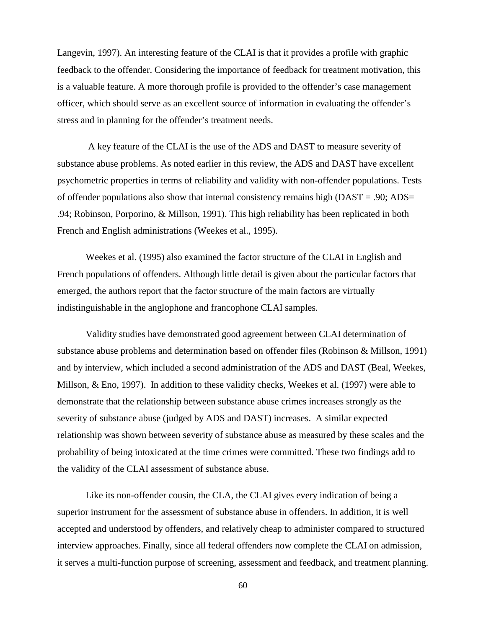Langevin, 1997). An interesting feature of the CLAI is that it provides a profile with graphic feedback to the offender. Considering the importance of feedback for treatment motivation, this is a valuable feature. A more thorough profile is provided to the offender's case management officer, which should serve as an excellent source of information in evaluating the offender's stress and in planning for the offender's treatment needs.

 A key feature of the CLAI is the use of the ADS and DAST to measure severity of substance abuse problems. As noted earlier in this review, the ADS and DAST have excellent psychometric properties in terms of reliability and validity with non-offender populations. Tests of offender populations also show that internal consistency remains high ( $DAST = .90$ ;  $ADS =$ .94; Robinson, Porporino, & Millson, 1991). This high reliability has been replicated in both French and English administrations (Weekes et al., 1995).

Weekes et al. (1995) also examined the factor structure of the CLAI in English and French populations of offenders. Although little detail is given about the particular factors that emerged, the authors report that the factor structure of the main factors are virtually indistinguishable in the anglophone and francophone CLAI samples.

Validity studies have demonstrated good agreement between CLAI determination of substance abuse problems and determination based on offender files (Robinson & Millson, 1991) and by interview, which included a second administration of the ADS and DAST (Beal, Weekes, Millson, & Eno, 1997). In addition to these validity checks, Weekes et al. (1997) were able to demonstrate that the relationship between substance abuse crimes increases strongly as the severity of substance abuse (judged by ADS and DAST) increases. A similar expected relationship was shown between severity of substance abuse as measured by these scales and the probability of being intoxicated at the time crimes were committed. These two findings add to the validity of the CLAI assessment of substance abuse.

Like its non-offender cousin, the CLA, the CLAI gives every indication of being a superior instrument for the assessment of substance abuse in offenders. In addition, it is well accepted and understood by offenders, and relatively cheap to administer compared to structured interview approaches. Finally, since all federal offenders now complete the CLAI on admission, it serves a multi-function purpose of screening, assessment and feedback, and treatment planning.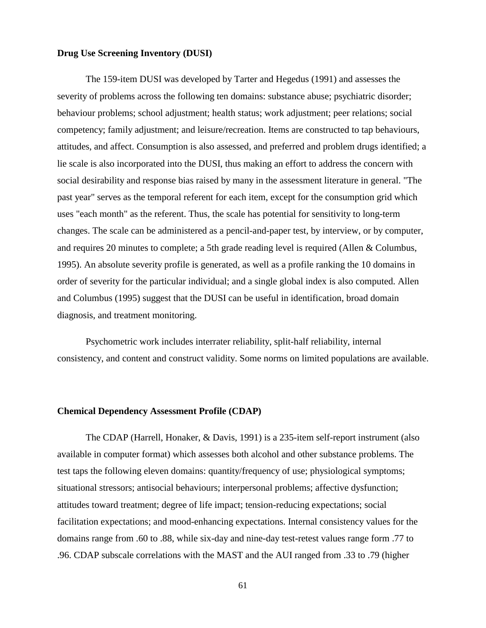## **Drug Use Screening Inventory (DUSI)**

The 159-item DUSI was developed by Tarter and Hegedus (1991) and assesses the severity of problems across the following ten domains: substance abuse; psychiatric disorder; behaviour problems; school adjustment; health status; work adjustment; peer relations; social competency; family adjustment; and leisure/recreation. Items are constructed to tap behaviours, attitudes, and affect. Consumption is also assessed, and preferred and problem drugs identified; a lie scale is also incorporated into the DUSI, thus making an effort to address the concern with social desirability and response bias raised by many in the assessment literature in general. "The past year" serves as the temporal referent for each item, except for the consumption grid which uses "each month" as the referent. Thus, the scale has potential for sensitivity to long-term changes. The scale can be administered as a pencil-and-paper test, by interview, or by computer, and requires 20 minutes to complete; a 5th grade reading level is required (Allen & Columbus, 1995). An absolute severity profile is generated, as well as a profile ranking the 10 domains in order of severity for the particular individual; and a single global index is also computed. Allen and Columbus (1995) suggest that the DUSI can be useful in identification, broad domain diagnosis, and treatment monitoring.

Psychometric work includes interrater reliability, split-half reliability, internal consistency, and content and construct validity. Some norms on limited populations are available.

#### **Chemical Dependency Assessment Profile (CDAP)**

The CDAP (Harrell, Honaker, & Davis, 1991) is a 235-item self-report instrument (also available in computer format) which assesses both alcohol and other substance problems. The test taps the following eleven domains: quantity/frequency of use; physiological symptoms; situational stressors; antisocial behaviours; interpersonal problems; affective dysfunction; attitudes toward treatment; degree of life impact; tension-reducing expectations; social facilitation expectations; and mood-enhancing expectations. Internal consistency values for the domains range from .60 to .88, while six-day and nine-day test-retest values range form .77 to .96. CDAP subscale correlations with the MAST and the AUI ranged from .33 to .79 (higher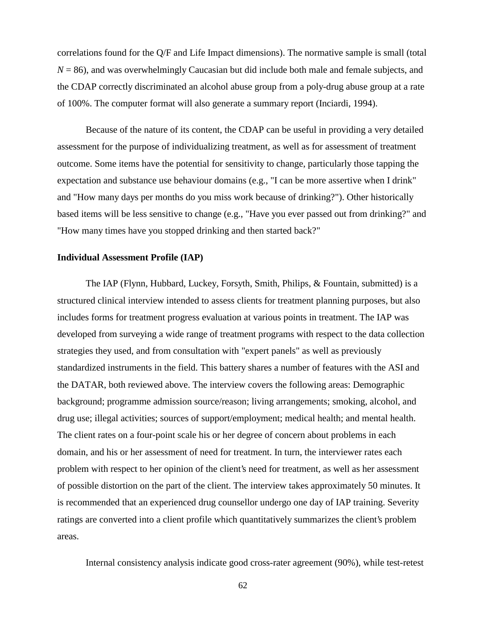correlations found for the Q/F and Life Impact dimensions). The normative sample is small (total  $N = 86$ ), and was overwhelmingly Caucasian but did include both male and female subjects, and the CDAP correctly discriminated an alcohol abuse group from a poly-drug abuse group at a rate of 100%. The computer format will also generate a summary report (Inciardi, 1994).

Because of the nature of its content, the CDAP can be useful in providing a very detailed assessment for the purpose of individualizing treatment, as well as for assessment of treatment outcome. Some items have the potential for sensitivity to change, particularly those tapping the expectation and substance use behaviour domains (e.g., "I can be more assertive when I drink" and "How many days per months do you miss work because of drinking?"). Other historically based items will be less sensitive to change (e.g., "Have you ever passed out from drinking?" and "How many times have you stopped drinking and then started back?"

#### **Individual Assessment Profile (IAP)**

The IAP (Flynn, Hubbard, Luckey, Forsyth, Smith, Philips, & Fountain, submitted) is a structured clinical interview intended to assess clients for treatment planning purposes, but also includes forms for treatment progress evaluation at various points in treatment. The IAP was developed from surveying a wide range of treatment programs with respect to the data collection strategies they used, and from consultation with "expert panels" as well as previously standardized instruments in the field. This battery shares a number of features with the ASI and the DATAR, both reviewed above. The interview covers the following areas: Demographic background; programme admission source/reason; living arrangements; smoking, alcohol, and drug use; illegal activities; sources of support/employment; medical health; and mental health. The client rates on a four-point scale his or her degree of concern about problems in each domain, and his or her assessment of need for treatment. In turn, the interviewer rates each problem with respect to her opinion of the client's need for treatment, as well as her assessment of possible distortion on the part of the client. The interview takes approximately 50 minutes. It is recommended that an experienced drug counsellor undergo one day of IAP training. Severity ratings are converted into a client profile which quantitatively summarizes the client's problem areas.

Internal consistency analysis indicate good cross-rater agreement (90%), while test-retest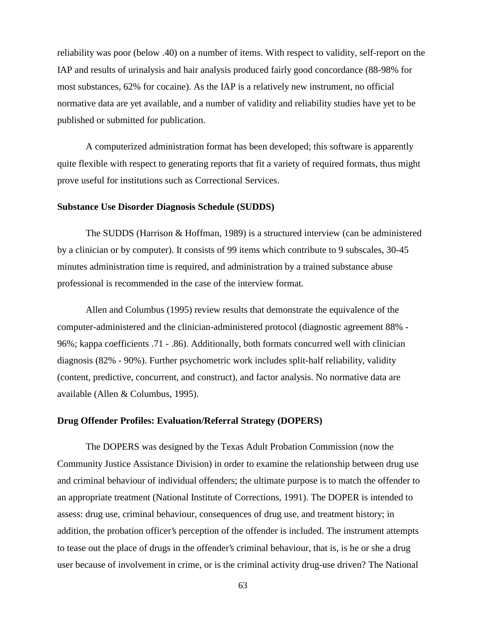reliability was poor (below .40) on a number of items. With respect to validity, self-report on the IAP and results of urinalysis and hair analysis produced fairly good concordance (88-98% for most substances, 62% for cocaine). As the IAP is a relatively new instrument, no official normative data are yet available, and a number of validity and reliability studies have yet to be published or submitted for publication.

A computerized administration format has been developed; this software is apparently quite flexible with respect to generating reports that fit a variety of required formats, thus might prove useful for institutions such as Correctional Services.

### **Substance Use Disorder Diagnosis Schedule (SUDDS)**

The SUDDS (Harrison & Hoffman, 1989) is a structured interview (can be administered by a clinician or by computer). It consists of 99 items which contribute to 9 subscales, 30-45 minutes administration time is required, and administration by a trained substance abuse professional is recommended in the case of the interview format.

Allen and Columbus (1995) review results that demonstrate the equivalence of the computer-administered and the clinician-administered protocol (diagnostic agreement 88% - 96%; kappa coefficients .71 - .86). Additionally, both formats concurred well with clinician diagnosis (82% - 90%). Further psychometric work includes split-half reliability, validity (content, predictive, concurrent, and construct), and factor analysis. No normative data are available (Allen & Columbus, 1995).

#### **Drug Offender Profiles: Evaluation/Referral Strategy (DOPERS)**

The DOPERS was designed by the Texas Adult Probation Commission (now the Community Justice Assistance Division) in order to examine the relationship between drug use and criminal behaviour of individual offenders; the ultimate purpose is to match the offender to an appropriate treatment (National Institute of Corrections, 1991). The DOPER is intended to assess: drug use, criminal behaviour, consequences of drug use, and treatment history; in addition, the probation officer's perception of the offender is included. The instrument attempts to tease out the place of drugs in the offender's criminal behaviour, that is, is he or she a drug user because of involvement in crime, or is the criminal activity drug-use driven? The National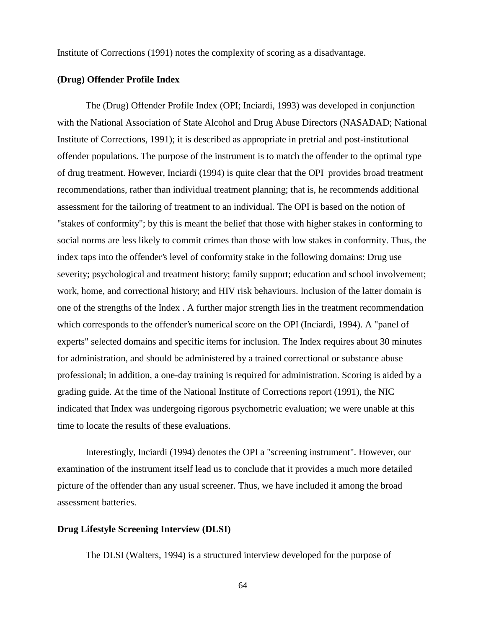Institute of Corrections (1991) notes the complexity of scoring as a disadvantage.

#### **(Drug) Offender Profile Index**

The (Drug) Offender Profile Index (OPI; Inciardi, 1993) was developed in conjunction with the National Association of State Alcohol and Drug Abuse Directors (NASADAD; National Institute of Corrections, 1991); it is described as appropriate in pretrial and post-institutional offender populations. The purpose of the instrument is to match the offender to the optimal type of drug treatment. However, Inciardi (1994) is quite clear that the OPI provides broad treatment recommendations, rather than individual treatment planning; that is, he recommends additional assessment for the tailoring of treatment to an individual. The OPI is based on the notion of "stakes of conformity"; by this is meant the belief that those with higher stakes in conforming to social norms are less likely to commit crimes than those with low stakes in conformity. Thus, the index taps into the offender's level of conformity stake in the following domains: Drug use severity; psychological and treatment history; family support; education and school involvement; work, home, and correctional history; and HIV risk behaviours. Inclusion of the latter domain is one of the strengths of the Index . A further major strength lies in the treatment recommendation which corresponds to the offender's numerical score on the OPI (Inciardi, 1994). A "panel of experts" selected domains and specific items for inclusion. The Index requires about 30 minutes for administration, and should be administered by a trained correctional or substance abuse professional; in addition, a one-day training is required for administration. Scoring is aided by a grading guide. At the time of the National Institute of Corrections report (1991), the NIC indicated that Index was undergoing rigorous psychometric evaluation; we were unable at this time to locate the results of these evaluations.

Interestingly, Inciardi (1994) denotes the OPI a "screening instrument". However, our examination of the instrument itself lead us to conclude that it provides a much more detailed picture of the offender than any usual screener. Thus, we have included it among the broad assessment batteries.

### **Drug Lifestyle Screening Interview (DLSI)**

The DLSI (Walters, 1994) is a structured interview developed for the purpose of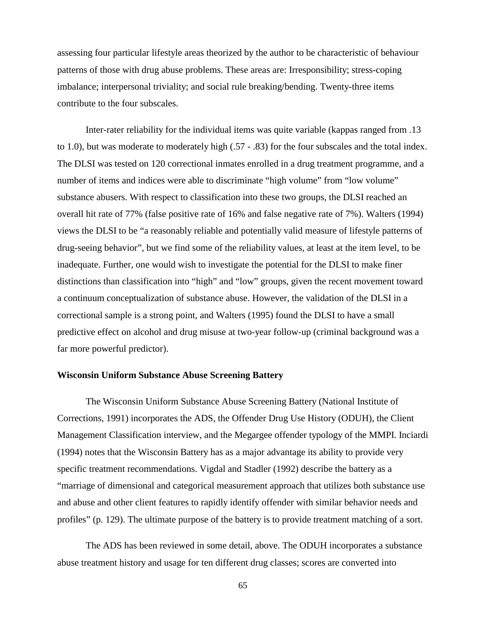assessing four particular lifestyle areas theorized by the author to be characteristic of behaviour patterns of those with drug abuse problems. These areas are: Irresponsibility; stress-coping imbalance; interpersonal triviality; and social rule breaking/bending. Twenty-three items contribute to the four subscales.

Inter-rater reliability for the individual items was quite variable (kappas ranged from .13 to 1.0), but was moderate to moderately high (.57 - .83) for the four subscales and the total index. The DLSI was tested on 120 correctional inmates enrolled in a drug treatment programme, and a number of items and indices were able to discriminate "high volume" from "low volume" substance abusers. With respect to classification into these two groups, the DLSI reached an overall hit rate of 77% (false positive rate of 16% and false negative rate of 7%). Walters (1994) views the DLSI to be "a reasonably reliable and potentially valid measure of lifestyle patterns of drug-seeing behavior", but we find some of the reliability values, at least at the item level, to be inadequate. Further, one would wish to investigate the potential for the DLSI to make finer distinctions than classification into "high" and "low" groups, given the recent movement toward a continuum conceptualization of substance abuse. However, the validation of the DLSI in a correctional sample is a strong point, and Walters (1995) found the DLSI to have a small predictive effect on alcohol and drug misuse at two-year follow-up (criminal background was a far more powerful predictor).

#### **Wisconsin Uniform Substance Abuse Screening Battery**

The Wisconsin Uniform Substance Abuse Screening Battery (National Institute of Corrections, 1991) incorporates the ADS, the Offender Drug Use History (ODUH), the Client Management Classification interview, and the Megargee offender typology of the MMPI. Inciardi (1994) notes that the Wisconsin Battery has as a major advantage its ability to provide very specific treatment recommendations. Vigdal and Stadler (1992) describe the battery as a "marriage of dimensional and categorical measurement approach that utilizes both substance use and abuse and other client features to rapidly identify offender with similar behavior needs and profiles" (p. 129). The ultimate purpose of the battery is to provide treatment matching of a sort.

The ADS has been reviewed in some detail, above. The ODUH incorporates a substance abuse treatment history and usage for ten different drug classes; scores are converted into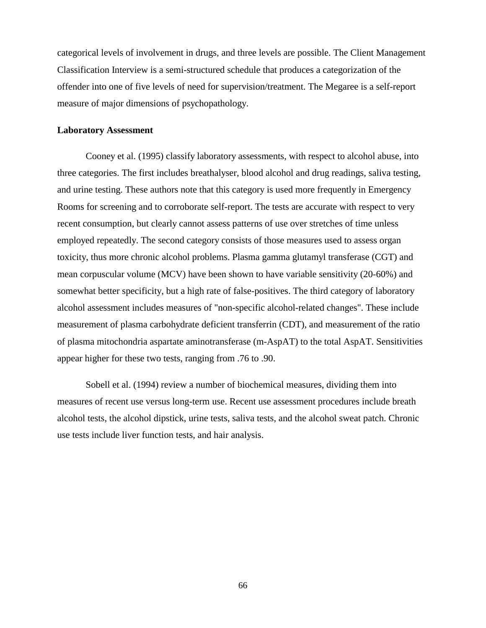categorical levels of involvement in drugs, and three levels are possible. The Client Management Classification Interview is a semi-structured schedule that produces a categorization of the offender into one of five levels of need for supervision/treatment. The Megaree is a self-report measure of major dimensions of psychopathology.

#### **Laboratory Assessment**

Cooney et al. (1995) classify laboratory assessments, with respect to alcohol abuse, into three categories. The first includes breathalyser, blood alcohol and drug readings, saliva testing, and urine testing. These authors note that this category is used more frequently in Emergency Rooms for screening and to corroborate self-report. The tests are accurate with respect to very recent consumption, but clearly cannot assess patterns of use over stretches of time unless employed repeatedly. The second category consists of those measures used to assess organ toxicity, thus more chronic alcohol problems. Plasma gamma glutamyl transferase (CGT) and mean corpuscular volume (MCV) have been shown to have variable sensitivity (20-60%) and somewhat better specificity, but a high rate of false-positives. The third category of laboratory alcohol assessment includes measures of "non-specific alcohol-related changes". These include measurement of plasma carbohydrate deficient transferrin (CDT), and measurement of the ratio of plasma mitochondria aspartate aminotransferase (m-AspAT) to the total AspAT. Sensitivities appear higher for these two tests, ranging from .76 to .90.

Sobell et al. (1994) review a number of biochemical measures, dividing them into measures of recent use versus long-term use. Recent use assessment procedures include breath alcohol tests, the alcohol dipstick, urine tests, saliva tests, and the alcohol sweat patch. Chronic use tests include liver function tests, and hair analysis.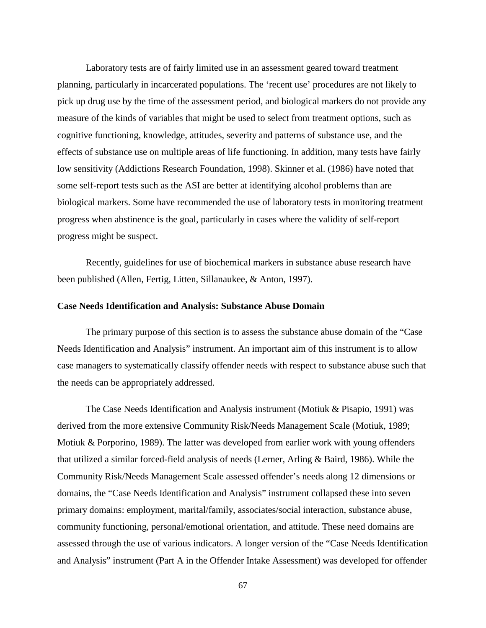Laboratory tests are of fairly limited use in an assessment geared toward treatment planning, particularly in incarcerated populations. The 'recent use' procedures are not likely to pick up drug use by the time of the assessment period, and biological markers do not provide any measure of the kinds of variables that might be used to select from treatment options, such as cognitive functioning, knowledge, attitudes, severity and patterns of substance use, and the effects of substance use on multiple areas of life functioning. In addition, many tests have fairly low sensitivity (Addictions Research Foundation, 1998). Skinner et al. (1986) have noted that some self-report tests such as the ASI are better at identifying alcohol problems than are biological markers. Some have recommended the use of laboratory tests in monitoring treatment progress when abstinence is the goal, particularly in cases where the validity of self-report progress might be suspect.

Recently, guidelines for use of biochemical markers in substance abuse research have been published (Allen, Fertig, Litten, Sillanaukee, & Anton, 1997).

#### **Case Needs Identification and Analysis: Substance Abuse Domain**

The primary purpose of this section is to assess the substance abuse domain of the "Case Needs Identification and Analysis" instrument. An important aim of this instrument is to allow case managers to systematically classify offender needs with respect to substance abuse such that the needs can be appropriately addressed.

The Case Needs Identification and Analysis instrument (Motiuk & Pisapio, 1991) was derived from the more extensive Community Risk/Needs Management Scale (Motiuk, 1989; Motiuk & Porporino, 1989). The latter was developed from earlier work with young offenders that utilized a similar forced-field analysis of needs (Lerner, Arling & Baird, 1986). While the Community Risk/Needs Management Scale assessed offender's needs along 12 dimensions or domains, the "Case Needs Identification and Analysis" instrument collapsed these into seven primary domains: employment, marital/family, associates/social interaction, substance abuse, community functioning, personal/emotional orientation, and attitude. These need domains are assessed through the use of various indicators. A longer version of the "Case Needs Identification and Analysis" instrument (Part A in the Offender Intake Assessment) was developed for offender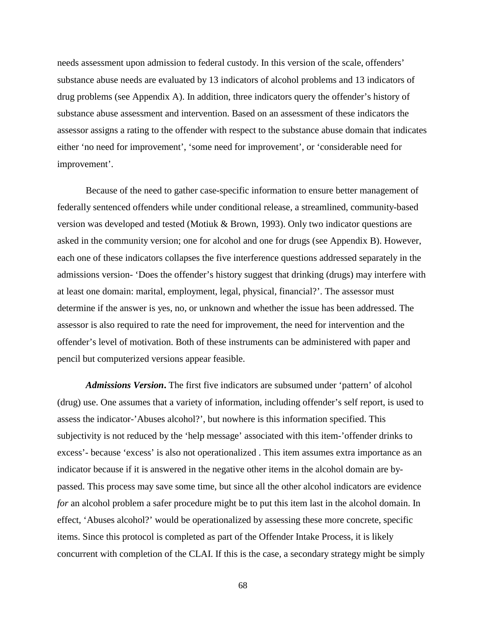needs assessment upon admission to federal custody. In this version of the scale, offenders' substance abuse needs are evaluated by 13 indicators of alcohol problems and 13 indicators of drug problems (see Appendix A). In addition, three indicators query the offender's history of substance abuse assessment and intervention. Based on an assessment of these indicators the assessor assigns a rating to the offender with respect to the substance abuse domain that indicates either 'no need for improvement', 'some need for improvement', or 'considerable need for improvement'.

Because of the need to gather case-specific information to ensure better management of federally sentenced offenders while under conditional release, a streamlined, community-based version was developed and tested (Motiuk & Brown, 1993). Only two indicator questions are asked in the community version; one for alcohol and one for drugs (see Appendix B). However, each one of these indicators collapses the five interference questions addressed separately in the admissions version- 'Does the offender's history suggest that drinking (drugs) may interfere with at least one domain: marital, employment, legal, physical, financial?'. The assessor must determine if the answer is yes, no, or unknown and whether the issue has been addressed. The assessor is also required to rate the need for improvement, the need for intervention and the offender's level of motivation. Both of these instruments can be administered with paper and pencil but computerized versions appear feasible.

*Admissions Version***.** The first five indicators are subsumed under 'pattern' of alcohol (drug) use. One assumes that a variety of information, including offender's self report, is used to assess the indicator-'Abuses alcohol?', but nowhere is this information specified. This subjectivity is not reduced by the 'help message' associated with this item-'offender drinks to excess'- because 'excess' is also not operationalized . This item assumes extra importance as an indicator because if it is answered in the negative other items in the alcohol domain are bypassed. This process may save some time, but since all the other alcohol indicators are evidence *for* an alcohol problem a safer procedure might be to put this item last in the alcohol domain. In effect, 'Abuses alcohol?' would be operationalized by assessing these more concrete, specific items. Since this protocol is completed as part of the Offender Intake Process, it is likely concurrent with completion of the CLAI. If this is the case, a secondary strategy might be simply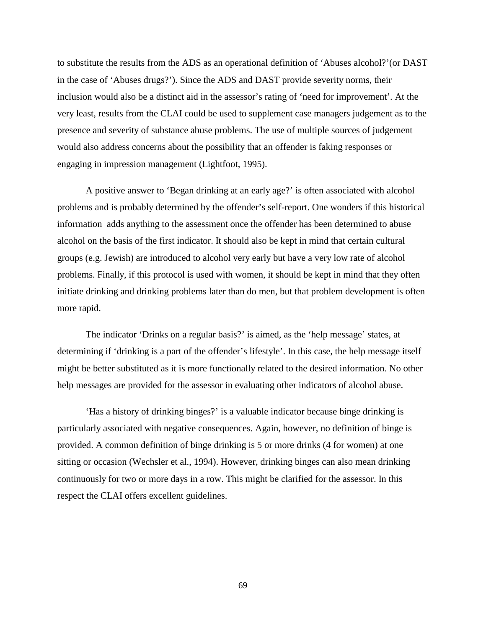to substitute the results from the ADS as an operational definition of 'Abuses alcohol?'(or DAST in the case of 'Abuses drugs?'). Since the ADS and DAST provide severity norms, their inclusion would also be a distinct aid in the assessor's rating of 'need for improvement'. At the very least, results from the CLAI could be used to supplement case managers judgement as to the presence and severity of substance abuse problems. The use of multiple sources of judgement would also address concerns about the possibility that an offender is faking responses or engaging in impression management (Lightfoot, 1995).

A positive answer to 'Began drinking at an early age?' is often associated with alcohol problems and is probably determined by the offender's self-report. One wonders if this historical information adds anything to the assessment once the offender has been determined to abuse alcohol on the basis of the first indicator. It should also be kept in mind that certain cultural groups (e.g. Jewish) are introduced to alcohol very early but have a very low rate of alcohol problems. Finally, if this protocol is used with women, it should be kept in mind that they often initiate drinking and drinking problems later than do men, but that problem development is often more rapid.

The indicator 'Drinks on a regular basis?' is aimed, as the 'help message' states, at determining if 'drinking is a part of the offender's lifestyle'. In this case, the help message itself might be better substituted as it is more functionally related to the desired information. No other help messages are provided for the assessor in evaluating other indicators of alcohol abuse.

'Has a history of drinking binges?' is a valuable indicator because binge drinking is particularly associated with negative consequences. Again, however, no definition of binge is provided. A common definition of binge drinking is 5 or more drinks (4 for women) at one sitting or occasion (Wechsler et al., 1994). However, drinking binges can also mean drinking continuously for two or more days in a row. This might be clarified for the assessor. In this respect the CLAI offers excellent guidelines.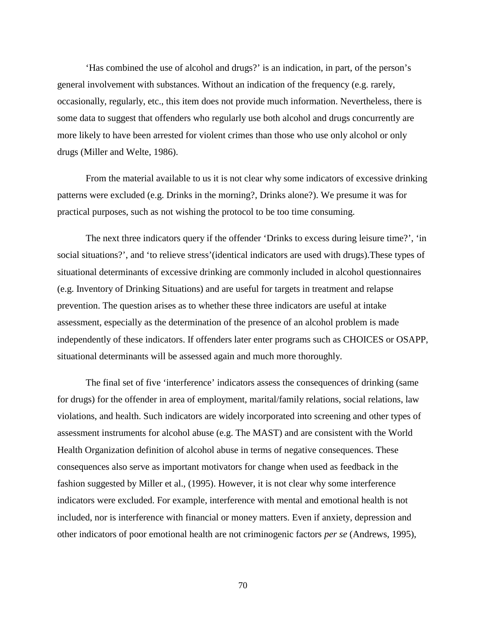'Has combined the use of alcohol and drugs?' is an indication, in part, of the person's general involvement with substances. Without an indication of the frequency (e.g. rarely, occasionally, regularly, etc., this item does not provide much information. Nevertheless, there is some data to suggest that offenders who regularly use both alcohol and drugs concurrently are more likely to have been arrested for violent crimes than those who use only alcohol or only drugs (Miller and Welte, 1986).

From the material available to us it is not clear why some indicators of excessive drinking patterns were excluded (e.g. Drinks in the morning?, Drinks alone?). We presume it was for practical purposes, such as not wishing the protocol to be too time consuming.

The next three indicators query if the offender 'Drinks to excess during leisure time?', 'in social situations?', and 'to relieve stress'(identical indicators are used with drugs).These types of situational determinants of excessive drinking are commonly included in alcohol questionnaires (e.g. Inventory of Drinking Situations) and are useful for targets in treatment and relapse prevention. The question arises as to whether these three indicators are useful at intake assessment, especially as the determination of the presence of an alcohol problem is made independently of these indicators. If offenders later enter programs such as CHOICES or OSAPP, situational determinants will be assessed again and much more thoroughly.

The final set of five 'interference' indicators assess the consequences of drinking (same for drugs) for the offender in area of employment, marital/family relations, social relations, law violations, and health. Such indicators are widely incorporated into screening and other types of assessment instruments for alcohol abuse (e.g. The MAST) and are consistent with the World Health Organization definition of alcohol abuse in terms of negative consequences. These consequences also serve as important motivators for change when used as feedback in the fashion suggested by Miller et al., (1995). However, it is not clear why some interference indicators were excluded. For example, interference with mental and emotional health is not included, nor is interference with financial or money matters. Even if anxiety, depression and other indicators of poor emotional health are not criminogenic factors *per se* (Andrews, 1995),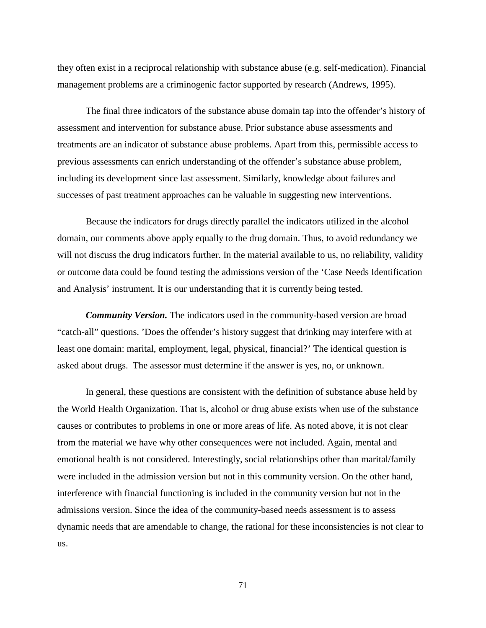they often exist in a reciprocal relationship with substance abuse (e.g. self-medication). Financial management problems are a criminogenic factor supported by research (Andrews, 1995).

The final three indicators of the substance abuse domain tap into the offender's history of assessment and intervention for substance abuse. Prior substance abuse assessments and treatments are an indicator of substance abuse problems. Apart from this, permissible access to previous assessments can enrich understanding of the offender's substance abuse problem, including its development since last assessment. Similarly, knowledge about failures and successes of past treatment approaches can be valuable in suggesting new interventions.

Because the indicators for drugs directly parallel the indicators utilized in the alcohol domain, our comments above apply equally to the drug domain. Thus, to avoid redundancy we will not discuss the drug indicators further. In the material available to us, no reliability, validity or outcome data could be found testing the admissions version of the 'Case Needs Identification and Analysis' instrument. It is our understanding that it is currently being tested.

 *Community Version.* The indicators used in the community-based version are broad "catch-all" questions. 'Does the offender's history suggest that drinking may interfere with at least one domain: marital, employment, legal, physical, financial?' The identical question is asked about drugs. The assessor must determine if the answer is yes, no, or unknown.

In general, these questions are consistent with the definition of substance abuse held by the World Health Organization. That is, alcohol or drug abuse exists when use of the substance causes or contributes to problems in one or more areas of life. As noted above, it is not clear from the material we have why other consequences were not included. Again, mental and emotional health is not considered. Interestingly, social relationships other than marital/family were included in the admission version but not in this community version. On the other hand, interference with financial functioning is included in the community version but not in the admissions version. Since the idea of the community-based needs assessment is to assess dynamic needs that are amendable to change, the rational for these inconsistencies is not clear to us.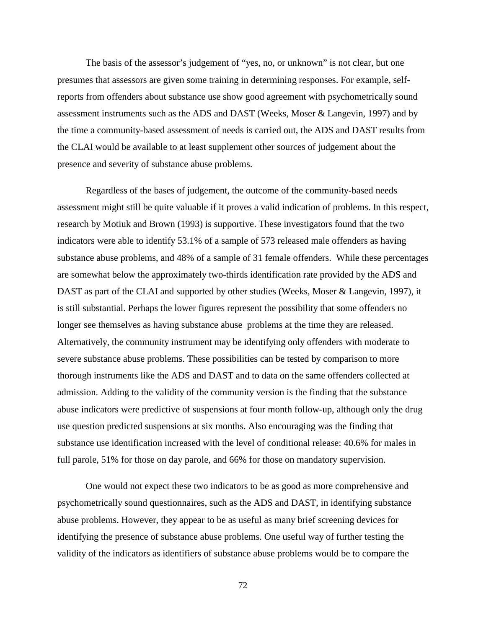The basis of the assessor's judgement of "yes, no, or unknown" is not clear, but one presumes that assessors are given some training in determining responses. For example, selfreports from offenders about substance use show good agreement with psychometrically sound assessment instruments such as the ADS and DAST (Weeks, Moser & Langevin, 1997) and by the time a community-based assessment of needs is carried out, the ADS and DAST results from the CLAI would be available to at least supplement other sources of judgement about the presence and severity of substance abuse problems.

Regardless of the bases of judgement, the outcome of the community-based needs assessment might still be quite valuable if it proves a valid indication of problems. In this respect, research by Motiuk and Brown (1993) is supportive. These investigators found that the two indicators were able to identify 53.1% of a sample of 573 released male offenders as having substance abuse problems, and 48% of a sample of 31 female offenders. While these percentages are somewhat below the approximately two-thirds identification rate provided by the ADS and DAST as part of the CLAI and supported by other studies (Weeks, Moser & Langevin, 1997), it is still substantial. Perhaps the lower figures represent the possibility that some offenders no longer see themselves as having substance abuse problems at the time they are released. Alternatively, the community instrument may be identifying only offenders with moderate to severe substance abuse problems. These possibilities can be tested by comparison to more thorough instruments like the ADS and DAST and to data on the same offenders collected at admission. Adding to the validity of the community version is the finding that the substance abuse indicators were predictive of suspensions at four month follow-up, although only the drug use question predicted suspensions at six months. Also encouraging was the finding that substance use identification increased with the level of conditional release: 40.6% for males in full parole, 51% for those on day parole, and 66% for those on mandatory supervision.

One would not expect these two indicators to be as good as more comprehensive and psychometrically sound questionnaires, such as the ADS and DAST, in identifying substance abuse problems. However, they appear to be as useful as many brief screening devices for identifying the presence of substance abuse problems. One useful way of further testing the validity of the indicators as identifiers of substance abuse problems would be to compare the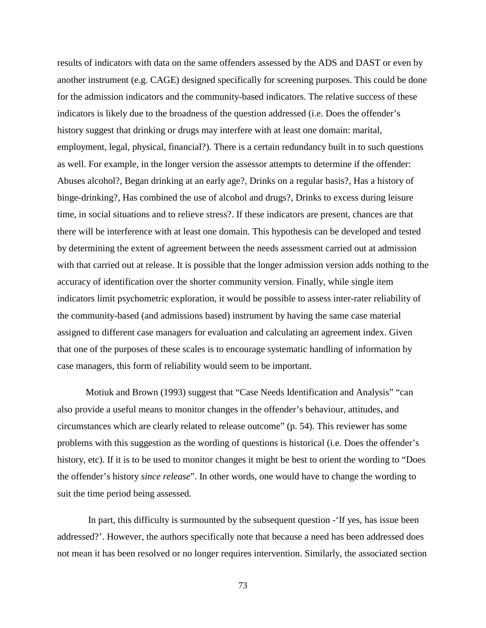results of indicators with data on the same offenders assessed by the ADS and DAST or even by another instrument (e.g. CAGE) designed specifically for screening purposes. This could be done for the admission indicators and the community-based indicators. The relative success of these indicators is likely due to the broadness of the question addressed (i.e. Does the offender's history suggest that drinking or drugs may interfere with at least one domain: marital, employment, legal, physical, financial?). There is a certain redundancy built in to such questions as well. For example, in the longer version the assessor attempts to determine if the offender: Abuses alcohol?, Began drinking at an early age?, Drinks on a regular basis?, Has a history of binge-drinking?, Has combined the use of alcohol and drugs?, Drinks to excess during leisure time, in social situations and to relieve stress?. If these indicators are present, chances are that there will be interference with at least one domain. This hypothesis can be developed and tested by determining the extent of agreement between the needs assessment carried out at admission with that carried out at release. It is possible that the longer admission version adds nothing to the accuracy of identification over the shorter community version. Finally, while single item indicators limit psychometric exploration, it would be possible to assess inter-rater reliability of the community-based (and admissions based) instrument by having the same case material assigned to different case managers for evaluation and calculating an agreement index. Given that one of the purposes of these scales is to encourage systematic handling of information by case managers, this form of reliability would seem to be important.

Motiuk and Brown (1993) suggest that "Case Needs Identification and Analysis" "can also provide a useful means to monitor changes in the offender's behaviour, attitudes, and circumstances which are clearly related to release outcome" (p. 54). This reviewer has some problems with this suggestion as the wording of questions is historical (i.e. Does the offender's history, etc). If it is to be used to monitor changes it might be best to orient the wording to "Does the offender's history *since release*". In other words, one would have to change the wording to suit the time period being assessed.

 In part, this difficulty is surmounted by the subsequent question -'If yes, has issue been addressed?'. However, the authors specifically note that because a need has been addressed does not mean it has been resolved or no longer requires intervention. Similarly, the associated section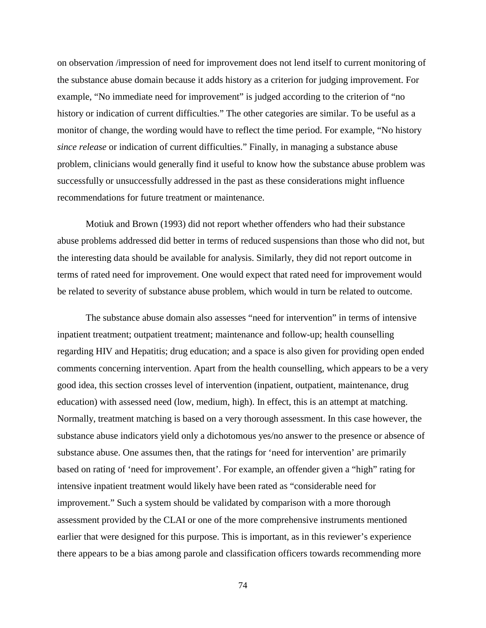on observation /impression of need for improvement does not lend itself to current monitoring of the substance abuse domain because it adds history as a criterion for judging improvement. For example, "No immediate need for improvement" is judged according to the criterion of "no history or indication of current difficulties." The other categories are similar. To be useful as a monitor of change, the wording would have to reflect the time period. For example, "No history *since release* or indication of current difficulties." Finally, in managing a substance abuse problem, clinicians would generally find it useful to know how the substance abuse problem was successfully or unsuccessfully addressed in the past as these considerations might influence recommendations for future treatment or maintenance.

Motiuk and Brown (1993) did not report whether offenders who had their substance abuse problems addressed did better in terms of reduced suspensions than those who did not, but the interesting data should be available for analysis. Similarly, they did not report outcome in terms of rated need for improvement. One would expect that rated need for improvement would be related to severity of substance abuse problem, which would in turn be related to outcome.

The substance abuse domain also assesses "need for intervention" in terms of intensive inpatient treatment; outpatient treatment; maintenance and follow-up; health counselling regarding HIV and Hepatitis; drug education; and a space is also given for providing open ended comments concerning intervention. Apart from the health counselling, which appears to be a very good idea, this section crosses level of intervention (inpatient, outpatient, maintenance, drug education) with assessed need (low, medium, high). In effect, this is an attempt at matching. Normally, treatment matching is based on a very thorough assessment. In this case however, the substance abuse indicators yield only a dichotomous yes/no answer to the presence or absence of substance abuse. One assumes then, that the ratings for 'need for intervention' are primarily based on rating of 'need for improvement'. For example, an offender given a "high" rating for intensive inpatient treatment would likely have been rated as "considerable need for improvement." Such a system should be validated by comparison with a more thorough assessment provided by the CLAI or one of the more comprehensive instruments mentioned earlier that were designed for this purpose. This is important, as in this reviewer's experience there appears to be a bias among parole and classification officers towards recommending more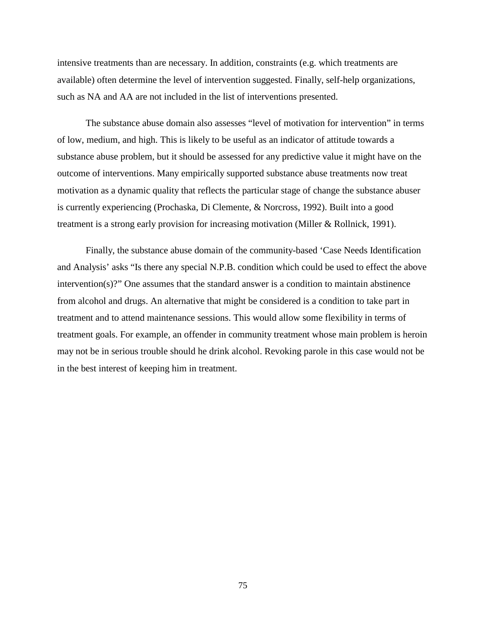intensive treatments than are necessary. In addition, constraints (e.g. which treatments are available) often determine the level of intervention suggested. Finally, self-help organizations, such as NA and AA are not included in the list of interventions presented.

The substance abuse domain also assesses "level of motivation for intervention" in terms of low, medium, and high. This is likely to be useful as an indicator of attitude towards a substance abuse problem, but it should be assessed for any predictive value it might have on the outcome of interventions. Many empirically supported substance abuse treatments now treat motivation as a dynamic quality that reflects the particular stage of change the substance abuser is currently experiencing (Prochaska, Di Clemente, & Norcross, 1992). Built into a good treatment is a strong early provision for increasing motivation (Miller & Rollnick, 1991).

Finally, the substance abuse domain of the community-based 'Case Needs Identification and Analysis' asks "Is there any special N.P.B. condition which could be used to effect the above intervention(s)?" One assumes that the standard answer is a condition to maintain abstinence from alcohol and drugs. An alternative that might be considered is a condition to take part in treatment and to attend maintenance sessions. This would allow some flexibility in terms of treatment goals. For example, an offender in community treatment whose main problem is heroin may not be in serious trouble should he drink alcohol. Revoking parole in this case would not be in the best interest of keeping him in treatment.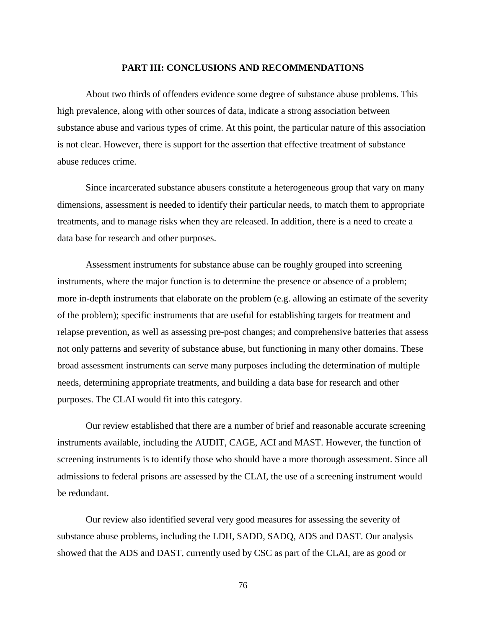#### **PART III: CONCLUSIONS AND RECOMMENDATIONS**

About two thirds of offenders evidence some degree of substance abuse problems. This high prevalence, along with other sources of data, indicate a strong association between substance abuse and various types of crime. At this point, the particular nature of this association is not clear. However, there is support for the assertion that effective treatment of substance abuse reduces crime.

Since incarcerated substance abusers constitute a heterogeneous group that vary on many dimensions, assessment is needed to identify their particular needs, to match them to appropriate treatments, and to manage risks when they are released. In addition, there is a need to create a data base for research and other purposes.

Assessment instruments for substance abuse can be roughly grouped into screening instruments, where the major function is to determine the presence or absence of a problem; more in-depth instruments that elaborate on the problem (e.g. allowing an estimate of the severity of the problem); specific instruments that are useful for establishing targets for treatment and relapse prevention, as well as assessing pre-post changes; and comprehensive batteries that assess not only patterns and severity of substance abuse, but functioning in many other domains. These broad assessment instruments can serve many purposes including the determination of multiple needs, determining appropriate treatments, and building a data base for research and other purposes. The CLAI would fit into this category.

Our review established that there are a number of brief and reasonable accurate screening instruments available, including the AUDIT, CAGE, ACI and MAST. However, the function of screening instruments is to identify those who should have a more thorough assessment. Since all admissions to federal prisons are assessed by the CLAI, the use of a screening instrument would be redundant.

Our review also identified several very good measures for assessing the severity of substance abuse problems, including the LDH, SADD, SADQ, ADS and DAST. Our analysis showed that the ADS and DAST, currently used by CSC as part of the CLAI, are as good or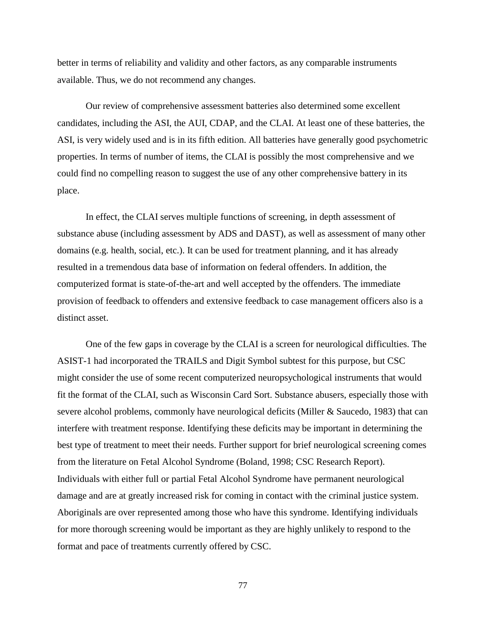better in terms of reliability and validity and other factors, as any comparable instruments available. Thus, we do not recommend any changes.

Our review of comprehensive assessment batteries also determined some excellent candidates, including the ASI, the AUI, CDAP, and the CLAI. At least one of these batteries, the ASI, is very widely used and is in its fifth edition. All batteries have generally good psychometric properties. In terms of number of items, the CLAI is possibly the most comprehensive and we could find no compelling reason to suggest the use of any other comprehensive battery in its place.

In effect, the CLAI serves multiple functions of screening, in depth assessment of substance abuse (including assessment by ADS and DAST), as well as assessment of many other domains (e.g. health, social, etc.). It can be used for treatment planning, and it has already resulted in a tremendous data base of information on federal offenders. In addition, the computerized format is state-of-the-art and well accepted by the offenders. The immediate provision of feedback to offenders and extensive feedback to case management officers also is a distinct asset.

One of the few gaps in coverage by the CLAI is a screen for neurological difficulties. The ASIST-1 had incorporated the TRAILS and Digit Symbol subtest for this purpose, but CSC might consider the use of some recent computerized neuropsychological instruments that would fit the format of the CLAI, such as Wisconsin Card Sort. Substance abusers, especially those with severe alcohol problems, commonly have neurological deficits (Miller & Saucedo, 1983) that can interfere with treatment response. Identifying these deficits may be important in determining the best type of treatment to meet their needs. Further support for brief neurological screening comes from the literature on Fetal Alcohol Syndrome (Boland, 1998; CSC Research Report). Individuals with either full or partial Fetal Alcohol Syndrome have permanent neurological damage and are at greatly increased risk for coming in contact with the criminal justice system. Aboriginals are over represented among those who have this syndrome. Identifying individuals for more thorough screening would be important as they are highly unlikely to respond to the format and pace of treatments currently offered by CSC.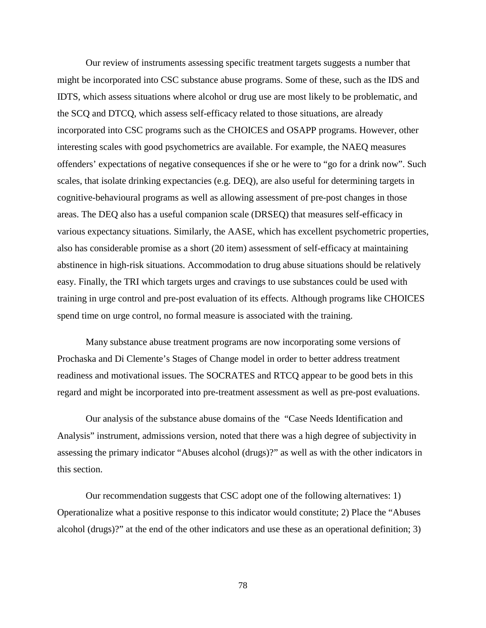Our review of instruments assessing specific treatment targets suggests a number that might be incorporated into CSC substance abuse programs. Some of these, such as the IDS and IDTS, which assess situations where alcohol or drug use are most likely to be problematic, and the SCQ and DTCQ, which assess self-efficacy related to those situations, are already incorporated into CSC programs such as the CHOICES and OSAPP programs. However, other interesting scales with good psychometrics are available. For example, the NAEQ measures offenders' expectations of negative consequences if she or he were to "go for a drink now". Such scales, that isolate drinking expectancies (e.g. DEQ), are also useful for determining targets in cognitive-behavioural programs as well as allowing assessment of pre-post changes in those areas. The DEQ also has a useful companion scale (DRSEQ) that measures self-efficacy in various expectancy situations. Similarly, the AASE, which has excellent psychometric properties, also has considerable promise as a short (20 item) assessment of self-efficacy at maintaining abstinence in high-risk situations. Accommodation to drug abuse situations should be relatively easy. Finally, the TRI which targets urges and cravings to use substances could be used with training in urge control and pre-post evaluation of its effects. Although programs like CHOICES spend time on urge control, no formal measure is associated with the training.

Many substance abuse treatment programs are now incorporating some versions of Prochaska and Di Clemente's Stages of Change model in order to better address treatment readiness and motivational issues. The SOCRATES and RTCQ appear to be good bets in this regard and might be incorporated into pre-treatment assessment as well as pre-post evaluations.

Our analysis of the substance abuse domains of the "Case Needs Identification and Analysis" instrument, admissions version, noted that there was a high degree of subjectivity in assessing the primary indicator "Abuses alcohol (drugs)?" as well as with the other indicators in this section.

Our recommendation suggests that CSC adopt one of the following alternatives: 1) Operationalize what a positive response to this indicator would constitute; 2) Place the "Abuses alcohol (drugs)?" at the end of the other indicators and use these as an operational definition; 3)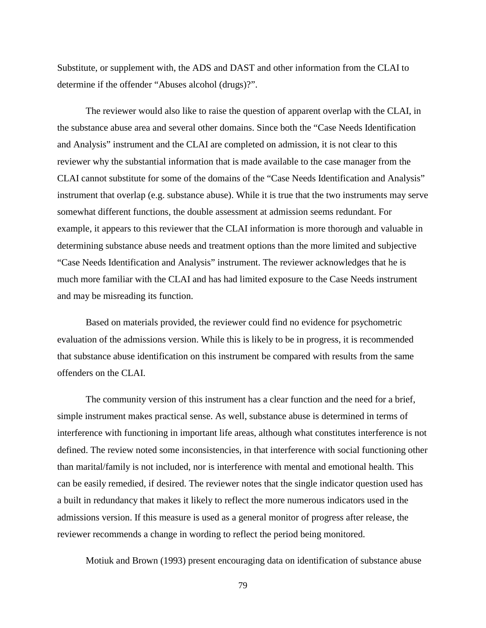Substitute, or supplement with, the ADS and DAST and other information from the CLAI to determine if the offender "Abuses alcohol (drugs)?".

The reviewer would also like to raise the question of apparent overlap with the CLAI, in the substance abuse area and several other domains. Since both the "Case Needs Identification and Analysis" instrument and the CLAI are completed on admission, it is not clear to this reviewer why the substantial information that is made available to the case manager from the CLAI cannot substitute for some of the domains of the "Case Needs Identification and Analysis" instrument that overlap (e.g. substance abuse). While it is true that the two instruments may serve somewhat different functions, the double assessment at admission seems redundant. For example, it appears to this reviewer that the CLAI information is more thorough and valuable in determining substance abuse needs and treatment options than the more limited and subjective "Case Needs Identification and Analysis" instrument. The reviewer acknowledges that he is much more familiar with the CLAI and has had limited exposure to the Case Needs instrument and may be misreading its function.

Based on materials provided, the reviewer could find no evidence for psychometric evaluation of the admissions version. While this is likely to be in progress, it is recommended that substance abuse identification on this instrument be compared with results from the same offenders on the CLAI.

The community version of this instrument has a clear function and the need for a brief, simple instrument makes practical sense. As well, substance abuse is determined in terms of interference with functioning in important life areas, although what constitutes interference is not defined. The review noted some inconsistencies, in that interference with social functioning other than marital/family is not included, nor is interference with mental and emotional health. This can be easily remedied, if desired. The reviewer notes that the single indicator question used has a built in redundancy that makes it likely to reflect the more numerous indicators used in the admissions version. If this measure is used as a general monitor of progress after release, the reviewer recommends a change in wording to reflect the period being monitored.

Motiuk and Brown (1993) present encouraging data on identification of substance abuse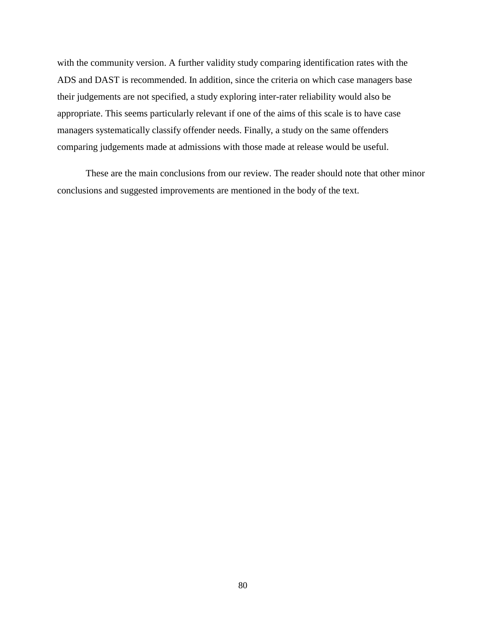with the community version. A further validity study comparing identification rates with the ADS and DAST is recommended. In addition, since the criteria on which case managers base their judgements are not specified, a study exploring inter-rater reliability would also be appropriate. This seems particularly relevant if one of the aims of this scale is to have case managers systematically classify offender needs. Finally, a study on the same offenders comparing judgements made at admissions with those made at release would be useful.

These are the main conclusions from our review. The reader should note that other minor conclusions and suggested improvements are mentioned in the body of the text.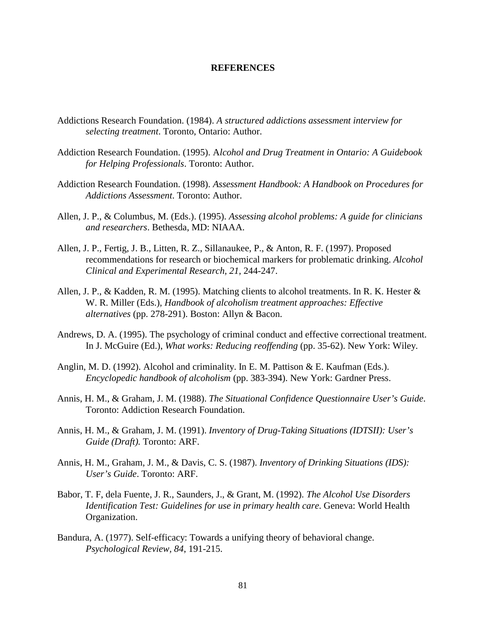#### **REFERENCES**

- Addictions Research Foundation. (1984). *A structured addictions assessment interview for selecting treatment*. Toronto, Ontario: Author.
- Addiction Research Foundation. (1995). A*lcohol and Drug Treatment in Ontario: A Guidebook for Helping Professionals*. Toronto: Author.
- Addiction Research Foundation. (1998). *Assessment Handbook: A Handbook on Procedures for Addictions Assessment*. Toronto: Author.
- Allen, J. P., & Columbus, M. (Eds.). (1995). *Assessing alcohol problems: A guide for clinicians and researchers*. Bethesda, MD: NIAAA.
- Allen, J. P., Fertig, J. B., Litten, R. Z., Sillanaukee, P., & Anton, R. F. (1997). Proposed recommendations for research or biochemical markers for problematic drinking. *Alcohol Clinical and Experimental Research, 21,* 244-247.
- Allen, J. P., & Kadden, R. M. (1995). Matching clients to alcohol treatments. In R. K. Hester & W. R. Miller (Eds.), *Handbook of alcoholism treatment approaches: Effective alternatives* (pp. 278-291). Boston: Allyn & Bacon.
- Andrews, D. A. (1995). The psychology of criminal conduct and effective correctional treatment. In J. McGuire (Ed.), *What works: Reducing reoffending* (pp. 35-62). New York: Wiley.
- Anglin, M. D. (1992). Alcohol and criminality. In E. M. Pattison & E. Kaufman (Eds.). *Encyclopedic handbook of alcoholism* (pp. 383-394). New York: Gardner Press.
- Annis, H. M., & Graham, J. M. (1988). *The Situational Confidence Questionnaire User's Guide*. Toronto: Addiction Research Foundation.
- Annis, H. M., & Graham, J. M. (1991). *Inventory of Drug-Taking Situations (IDTSII): User's Guide (Draft).* Toronto: ARF.
- Annis, H. M., Graham, J. M., & Davis, C. S. (1987). *Inventory of Drinking Situations (IDS): User's Guide*. Toronto: ARF.
- Babor, T. F, dela Fuente, J. R., Saunders, J., & Grant, M. (1992). *The Alcohol Use Disorders Identification Test: Guidelines for use in primary health care*. Geneva: World Health Organization.
- Bandura, A. (1977). Self-efficacy: Towards a unifying theory of behavioral change. *Psychological Review, 84*, 191-215.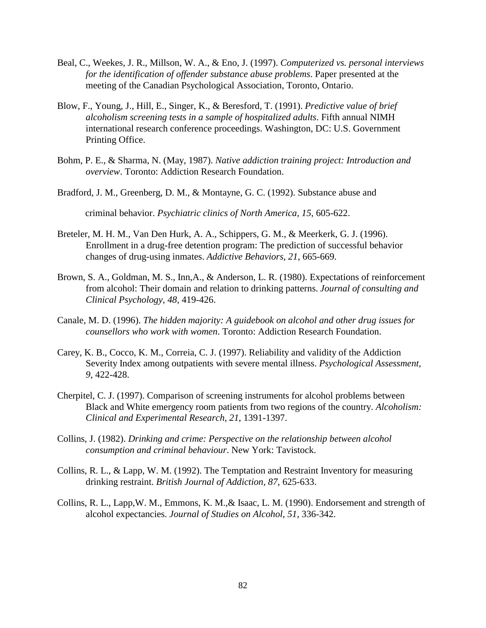- Beal, C., Weekes, J. R., Millson, W. A., & Eno, J. (1997). *Computerized vs. personal interviews for the identification of offender substance abuse problems*. Paper presented at the meeting of the Canadian Psychological Association, Toronto, Ontario.
- Blow, F., Young, J., Hill, E., Singer, K., & Beresford, T. (1991). *Predictive value of brief alcoholism screening tests in a sample of hospitalized adults*. Fifth annual NIMH international research conference proceedings. Washington, DC: U.S. Government Printing Office.
- Bohm, P. E., & Sharma, N. (May, 1987). *Native addiction training project: Introduction and overview*. Toronto: Addiction Research Foundation.
- Bradford, J. M., Greenberg, D. M., & Montayne, G. C. (1992). Substance abuse and

criminal behavior. *Psychiatric clinics of North America, 15*, 605-622.

- Breteler, M. H. M., Van Den Hurk, A. A., Schippers, G. M., & Meerkerk, G. J. (1996). Enrollment in a drug-free detention program: The prediction of successful behavior changes of drug-using inmates. *Addictive Behaviors, 21*, 665-669.
- Brown, S. A., Goldman, M. S., Inn,A., & Anderson, L. R. (1980). Expectations of reinforcement from alcohol: Their domain and relation to drinking patterns. *Journal of consulting and Clinical Psychology, 48,* 419-426.
- Canale, M. D. (1996). *The hidden majority: A guidebook on alcohol and other drug issues for counsellors who work with women*. Toronto: Addiction Research Foundation.
- Carey, K. B., Cocco, K. M., Correia, C. J. (1997). Reliability and validity of the Addiction Severity Index among outpatients with severe mental illness. *Psychological Assessment, 9*, 422-428.
- Cherpitel, C. J. (1997). Comparison of screening instruments for alcohol problems between Black and White emergency room patients from two regions of the country. *Alcoholism: Clinical and Experimental Research, 21*, 1391-1397.
- Collins, J. (1982). *Drinking and crime: Perspective on the relationship between alcohol consumption and criminal behaviour*. New York: Tavistock.
- Collins, R. L., & Lapp, W. M. (1992). The Temptation and Restraint Inventory for measuring drinking restraint. *British Journal of Addiction, 87,* 625-633.
- Collins, R. L., Lapp,W. M., Emmons, K. M.,& Isaac, L. M. (1990). Endorsement and strength of alcohol expectancies. *Journal of Studies on Alcohol, 51,* 336-342.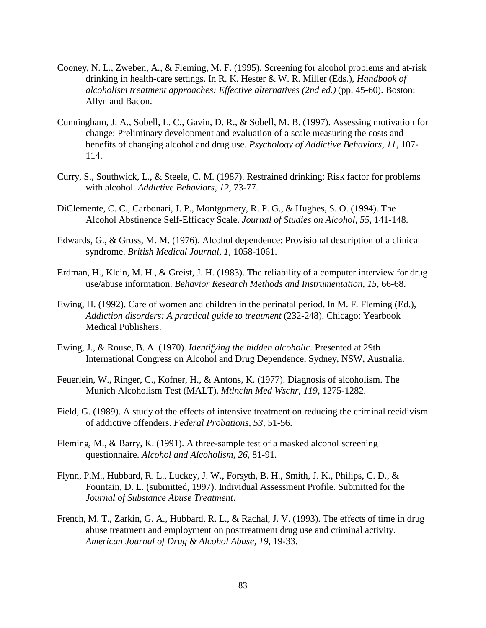- Cooney, N. L., Zweben, A., & Fleming, M. F. (1995). Screening for alcohol problems and at-risk drinking in health-care settings. In R. K. Hester & W. R. Miller (Eds.), *Handbook of alcoholism treatment approaches: Effective alternatives (2nd ed.)* (pp. 45-60). Boston: Allyn and Bacon.
- Cunningham, J. A., Sobell, L. C., Gavin, D. R., & Sobell, M. B. (1997). Assessing motivation for change: Preliminary development and evaluation of a scale measuring the costs and benefits of changing alcohol and drug use. *Psychology of Addictive Behaviors, 11*, 107- 114.
- Curry, S., Southwick, L., & Steele, C. M. (1987). Restrained drinking: Risk factor for problems with alcohol. *Addictive Behaviors, 12,* 73-77.
- DiClemente, C. C., Carbonari, J. P., Montgomery, R. P. G., & Hughes, S. O. (1994). The Alcohol Abstinence Self-Efficacy Scale. *Journal of Studies on Alcohol, 55,* 141-148.
- Edwards, G., & Gross, M. M. (1976). Alcohol dependence: Provisional description of a clinical syndrome. *British Medical Journal, 1,* 1058-1061.
- Erdman, H., Klein, M. H., & Greist, J. H. (1983). The reliability of a computer interview for drug use/abuse information. *Behavior Research Methods and Instrumentation, 15*, 66-68.
- Ewing, H. (1992). Care of women and children in the perinatal period. In M. F. Fleming (Ed.), *Addiction disorders: A practical guide to treatment* (232-248). Chicago: Yearbook Medical Publishers.
- Ewing, J., & Rouse, B. A. (1970). *Identifying the hidden alcoholic*. Presented at 29th International Congress on Alcohol and Drug Dependence, Sydney, NSW, Australia.
- Feuerlein, W., Ringer, C., Kofner, H., & Antons, K. (1977). Diagnosis of alcoholism. The Munich Alcoholism Test (MALT). *Mtlnchn Med Wschr, 119,* 1275-1282.
- Field, G. (1989). A study of the effects of intensive treatment on reducing the criminal recidivism of addictive offenders. *Federal Probations, 53*, 51-56.
- Fleming, M., & Barry, K. (1991). A three-sample test of a masked alcohol screening questionnaire. *Alcohol and Alcoholism, 26,* 81-91.
- Flynn, P.M., Hubbard, R. L., Luckey, J. W., Forsyth, B. H., Smith, J. K., Philips, C. D., & Fountain, D. L. (submitted, 1997). Individual Assessment Profile. Submitted for the *Journal of Substance Abuse Treatment*.
- French, M. T., Zarkin, G. A., Hubbard, R. L., & Rachal, J. V. (1993). The effects of time in drug abuse treatment and employment on posttreatment drug use and criminal activity. *American Journal of Drug & Alcohol Abuse, 19*, 19-33.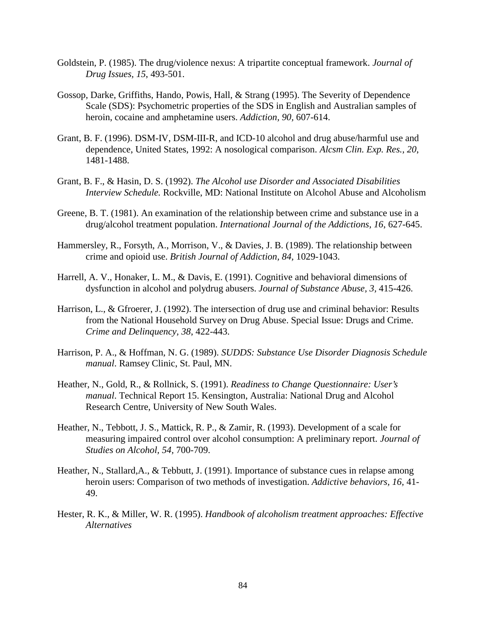- Goldstein, P. (1985). The drug/violence nexus: A tripartite conceptual framework. *Journal of Drug Issues, 15*, 493-501.
- Gossop, Darke, Griffiths, Hando, Powis, Hall, & Strang (1995). The Severity of Dependence Scale (SDS): Psychometric properties of the SDS in English and Australian samples of heroin, cocaine and amphetamine users. *Addiction, 90,* 607-614.
- Grant, B. F. (1996). DSM-IV, DSM-III-R, and ICD-10 alcohol and drug abuse/harmful use and dependence, United States, 1992: A nosological comparison. *Alcsm Clin. Exp. Res., 20*, 1481-1488.
- Grant, B. F., & Hasin, D. S. (1992). *The Alcohol use Disorder and Associated Disabilities Interview Schedule.* Rockville, MD: National Institute on Alcohol Abuse and Alcoholism
- Greene, B. T. (1981). An examination of the relationship between crime and substance use in a drug/alcohol treatment population. *International Journal of the Addictions, 16*, 627-645.
- Hammersley, R., Forsyth, A., Morrison, V., & Davies, J. B. (1989). The relationship between crime and opioid use. *British Journal of Addiction, 84,* 1029-1043.
- Harrell, A. V., Honaker, L. M., & Davis, E. (1991). Cognitive and behavioral dimensions of dysfunction in alcohol and polydrug abusers. *Journal of Substance Abuse, 3,* 415-426.
- Harrison, L., & Gfroerer, J. (1992). The intersection of drug use and criminal behavior: Results from the National Household Survey on Drug Abuse. Special Issue: Drugs and Crime. *Crime and Delinquency, 38*, 422-443.
- Harrison, P. A., & Hoffman, N. G. (1989). *SUDDS: Substance Use Disorder Diagnosis Schedule manual*. Ramsey Clinic, St. Paul, MN.
- Heather, N., Gold, R., & Rollnick, S. (1991). *Readiness to Change Questionnaire: User's manual*. Technical Report 15. Kensington, Australia: National Drug and Alcohol Research Centre, University of New South Wales.
- Heather, N., Tebbott, J. S., Mattick, R. P., & Zamir, R. (1993). Development of a scale for measuring impaired control over alcohol consumption: A preliminary report. *Journal of Studies on Alcohol, 54,* 700-709.
- Heather, N., Stallard, A., & Tebbutt, J. (1991). Importance of substance cues in relapse among heroin users: Comparison of two methods of investigation. *Addictive behaviors, 16,* 41- 49.
- Hester, R. K., & Miller, W. R. (1995). *Handbook of alcoholism treatment approaches: Effective Alternatives*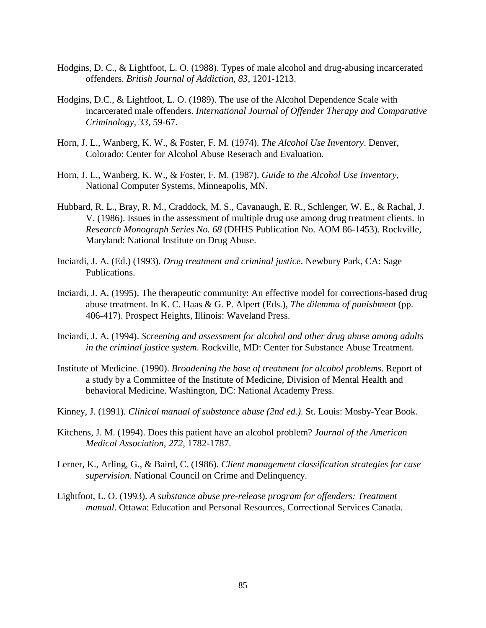- Hodgins, D. C., & Lightfoot, L. O. (1988). Types of male alcohol and drug-abusing incarcerated offenders. *British Journal of Addiction, 83*, 1201-1213.
- Hodgins, D.C., & Lightfoot, L. O. (1989). The use of the Alcohol Dependence Scale with incarcerated male offenders. *International Journal of Offender Therapy and Comparative Criminology, 33*, 59-67.
- Horn, J. L., Wanberg, K. W., & Foster, F. M. (1974). *The Alcohol Use Inventory*. Denver, Colorado: Center for Alcohol Abuse Reserach and Evaluation.
- Horn, J. L., Wanberg, K. W., & Foster, F. M. (1987). *Guide to the Alcohol Use Inventory,* National Computer Systems, Minneapolis, MN.
- Hubbard, R. L., Bray, R. M., Craddock, M. S., Cavanaugh, E. R., Schlenger, W. E., & Rachal, J. V. (1986). Issues in the assessment of multiple drug use among drug treatment clients. In *Research Monograph Series No. 68* (DHHS Publication No. AOM 86-1453). Rockville, Maryland: National Institute on Drug Abuse.
- Inciardi, J. A. (Ed.) (1993). *Drug treatment and criminal justice*. Newbury Park, CA: Sage Publications.
- Inciardi, J. A. (1995). The therapeutic community: An effective model for corrections-based drug abuse treatment. In K. C. Haas & G. P. Alpert (Eds.), *The dilemma of punishment* (pp. 406-417). Prospect Heights, Illinois: Waveland Press.
- Inciardi, J. A. (1994). *Screening and assessment for alcohol and other drug abuse among adults in the criminal justice system*. Rockville, MD: Center for Substance Abuse Treatment.
- Institute of Medicine. (1990). *Broadening the base of treatment for alcohol problems*. Report of a study by a Committee of the Institute of Medicine, Division of Mental Health and behavioral Medicine. Washington, DC: National Academy Press.
- Kinney, J. (1991). *Clinical manual of substance abuse (2nd ed.)*. St. Louis: Mosby-Year Book.
- Kitchens, J. M. (1994). Does this patient have an alcohol problem? *Journal of the American Medical Association, 272*, 1782-1787.
- Lerner, K., Arling, G., & Baird, C. (1986). *Client management classification strategies for case supervision*. National Council on Crime and Delinquency.
- Lightfoot, L. O. (1993). *A substance abuse pre-release program for offenders: Treatment manual*. Ottawa: Education and Personal Resources, Correctional Services Canada.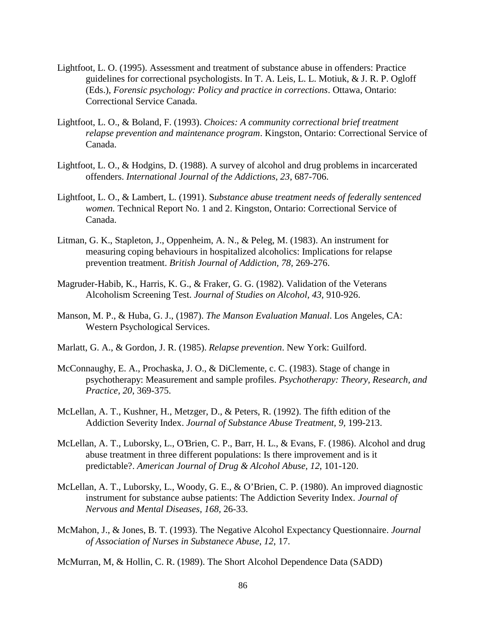- Lightfoot, L. O. (1995). Assessment and treatment of substance abuse in offenders: Practice guidelines for correctional psychologists. In T. A. Leis, L. L. Motiuk, & J. R. P. Ogloff (Eds.), *Forensic psychology: Policy and practice in corrections*. Ottawa, Ontario: Correctional Service Canada.
- Lightfoot, L. O., & Boland, F. (1993). *Choices: A community correctional brief treatment relapse prevention and maintenance program*. Kingston, Ontario: Correctional Service of Canada.
- Lightfoot, L. O., & Hodgins, D. (1988). A survey of alcohol and drug problems in incarcerated offenders. *International Journal of the Addictions, 23*, 687-706.
- Lightfoot, L. O., & Lambert, L. (1991). S*ubstance abuse treatment needs of federally sentenced women.* Technical Report No. 1 and 2. Kingston, Ontario: Correctional Service of Canada.
- Litman, G. K., Stapleton, J., Oppenheim, A. N., & Peleg, M. (1983). An instrument for measuring coping behaviours in hospitalized alcoholics: Implications for relapse prevention treatment. *British Journal of Addiction, 78,* 269-276.
- Magruder-Habib, K., Harris, K. G., & Fraker, G. G. (1982). Validation of the Veterans Alcoholism Screening Test. *Journal of Studies on Alcohol, 43,* 910-926.
- Manson, M. P., & Huba, G. J., (1987). *The Manson Evaluation Manual*. Los Angeles, CA: Western Psychological Services.
- Marlatt, G. A., & Gordon, J. R. (1985). *Relapse prevention*. New York: Guilford.
- McConnaughy, E. A., Prochaska, J. O., & DiClemente, c. C. (1983). Stage of change in psychotherapy: Measurement and sample profiles. *Psychotherapy: Theory, Research, and Practice, 20*, 369-375.
- McLellan, A. T., Kushner, H., Metzger, D., & Peters, R. (1992). The fifth edition of the Addiction Severity Index. *Journal of Substance Abuse Treatment, 9,* 199-213.
- McLellan, A. T., Luborsky, L., O'Brien, C. P., Barr, H. L., & Evans, F. (1986). Alcohol and drug abuse treatment in three different populations: Is there improvement and is it predictable?. *American Journal of Drug & Alcohol Abuse, 12*, 101-120.
- McLellan, A. T., Luborsky, L., Woody, G. E., & O'Brien, C. P. (1980). An improved diagnostic instrument for substance aubse patients: The Addiction Severity Index. *Journal of Nervous and Mental Diseases, 168,* 26-33.
- McMahon, J., & Jones, B. T. (1993). The Negative Alcohol Expectancy Questionnaire. *Journal of Association of Nurses in Substanece Abuse, 12*, 17.

McMurran, M, & Hollin, C. R. (1989). The Short Alcohol Dependence Data (SADD)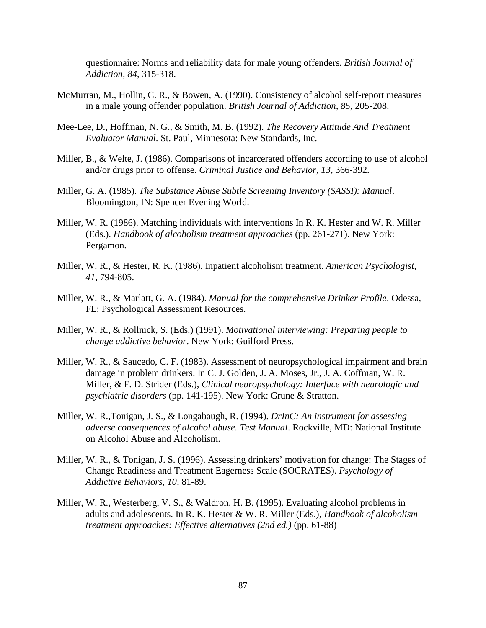questionnaire: Norms and reliability data for male young offenders. *British Journal of Addiction, 84*, 315-318.

- McMurran, M., Hollin, C. R., & Bowen, A. (1990). Consistency of alcohol self-report measures in a male young offender population. *British Journal of Addiction, 85*, 205-208.
- Mee-Lee, D., Hoffman, N. G., & Smith, M. B. (1992). *The Recovery Attitude And Treatment Evaluator Manual*. St. Paul, Minnesota: New Standards, Inc.
- Miller, B., & Welte, J. (1986). Comparisons of incarcerated offenders according to use of alcohol and/or drugs prior to offense. *Criminal Justice and Behavior, 13,* 366-392.
- Miller, G. A. (1985). *The Substance Abuse Subtle Screening Inventory (SASSI): Manual*. Bloomington, IN: Spencer Evening World.
- Miller, W. R. (1986). Matching individuals with interventions In R. K. Hester and W. R. Miller (Eds.). *Handbook of alcoholism treatment approaches* (pp. 261-271). New York: Pergamon.
- Miller, W. R., & Hester, R. K. (1986). Inpatient alcoholism treatment. *American Psychologist, 41*, 794-805.
- Miller, W. R., & Marlatt, G. A. (1984). *Manual for the comprehensive Drinker Profile*. Odessa, FL: Psychological Assessment Resources.
- Miller, W. R., & Rollnick, S. (Eds.) (1991). *Motivational interviewing: Preparing people to change addictive behavior*. New York: Guilford Press.
- Miller, W. R., & Saucedo, C. F. (1983). Assessment of neuropsychological impairment and brain damage in problem drinkers. In C. J. Golden, J. A. Moses, Jr., J. A. Coffman, W. R. Miller, & F. D. Strider (Eds.), *Clinical neuropsychology: Interface with neurologic and psychiatric disorders* (pp. 141-195). New York: Grune & Stratton.
- Miller, W. R.,Tonigan, J. S., & Longabaugh, R. (1994). *DrInC: An instrument for assessing adverse consequences of alcohol abuse. Test Manual*. Rockville, MD: National Institute on Alcohol Abuse and Alcoholism.
- Miller, W. R., & Tonigan, J. S. (1996). Assessing drinkers' motivation for change: The Stages of Change Readiness and Treatment Eagerness Scale (SOCRATES). *Psychology of Addictive Behaviors, 10,* 81-89.
- Miller, W. R., Westerberg, V. S., & Waldron, H. B. (1995). Evaluating alcohol problems in adults and adolescents. In R. K. Hester & W. R. Miller (Eds.), *Handbook of alcoholism treatment approaches: Effective alternatives (2nd ed.)* (pp. 61-88)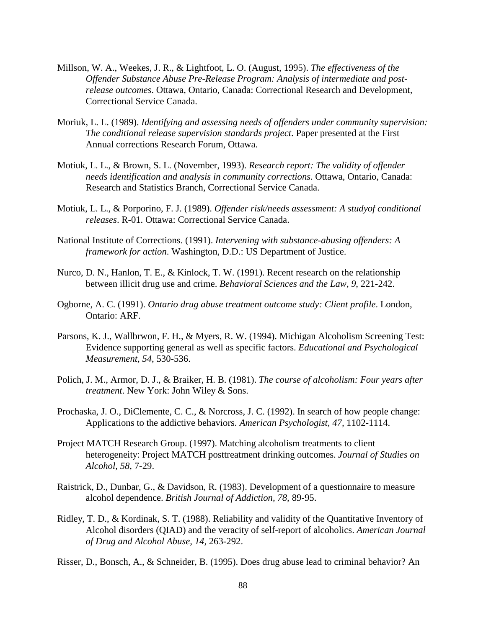- Millson, W. A., Weekes, J. R., & Lightfoot, L. O. (August, 1995). *The effectiveness of the Offender Substance Abuse Pre-Release Program: Analysis of intermediate and postrelease outcomes*. Ottawa, Ontario, Canada: Correctional Research and Development, Correctional Service Canada.
- Moriuk, L. L. (1989). *Identifying and assessing needs of offenders under community supervision: The conditional release supervision standards project*. Paper presented at the First Annual corrections Research Forum, Ottawa.
- Motiuk, L. L., & Brown, S. L. (November, 1993). *Research report: The validity of offender needs identification and analysis in community corrections*. Ottawa, Ontario, Canada: Research and Statistics Branch, Correctional Service Canada.
- Motiuk, L. L., & Porporino, F. J. (1989). *Offender risk/needs assessment: A studyof conditional releases*. R-01. Ottawa: Correctional Service Canada.
- National Institute of Corrections. (1991). *Intervening with substance-abusing offenders: A framework for action*. Washington, D.D.: US Department of Justice.
- Nurco, D. N., Hanlon, T. E., & Kinlock, T. W. (1991). Recent research on the relationship between illicit drug use and crime. *Behavioral Sciences and the Law, 9*, 221-242.
- Ogborne, A. C. (1991). *Ontario drug abuse treatment outcome study: Client profile*. London, Ontario: ARF.
- Parsons, K. J., Wallbrwon, F. H., & Myers, R. W. (1994). Michigan Alcoholism Screening Test: Evidence supporting general as well as specific factors. *Educational and Psychological Measurement, 54*, 530-536.
- Polich, J. M., Armor, D. J., & Braiker, H. B. (1981). *The course of alcoholism: Four years after treatment*. New York: John Wiley & Sons.
- Prochaska, J. O., DiClemente, C. C., & Norcross, J. C. (1992). In search of how people change: Applications to the addictive behaviors. *American Psychologist, 47,* 1102-1114.
- Project MATCH Research Group. (1997). Matching alcoholism treatments to client heterogeneity: Project MATCH posttreatment drinking outcomes. *Journal of Studies on Alcohol, 58*, 7-29.
- Raistrick, D., Dunbar, G., & Davidson, R. (1983). Development of a questionnaire to measure alcohol dependence. *British Journal of Addiction, 78,* 89-95.
- Ridley, T. D., & Kordinak, S. T. (1988). Reliability and validity of the Quantitative Inventory of Alcohol disorders (QIAD) and the veracity of self-report of alcoholics. *American Journal of Drug and Alcohol Abuse, 14,* 263-292.
- Risser, D., Bonsch, A., & Schneider, B. (1995). Does drug abuse lead to criminal behavior? An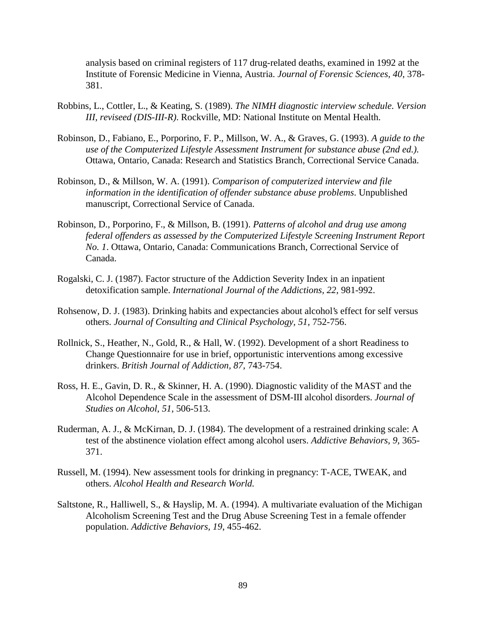analysis based on criminal registers of 117 drug-related deaths, examined in 1992 at the Institute of Forensic Medicine in Vienna, Austria. *Journal of Forensic Sciences, 40*, 378- 381.

- Robbins, L., Cottler, L., & Keating, S. (1989). *The NIMH diagnostic interview schedule. Version III, reviseed (DIS-III-R)*. Rockville, MD: National Institute on Mental Health.
- Robinson, D., Fabiano, E., Porporino, F. P., Millson, W. A., & Graves, G. (1993). *A guide to the use of the Computerized Lifestyle Assessment Instrument for substance abuse (2nd ed.)*. Ottawa, Ontario, Canada: Research and Statistics Branch, Correctional Service Canada.
- Robinson, D., & Millson, W. A. (1991). *Comparison of computerized interview and file information in the identification of offender substance abuse problems*. Unpublished manuscript, Correctional Service of Canada.
- Robinson, D., Porporino, F., & Millson, B. (1991). *Patterns of alcohol and drug use among federal offenders as assessed by the Computerized Lifestyle Screening Instrument Report No. 1*. Ottawa, Ontario, Canada: Communications Branch, Correctional Service of Canada.
- Rogalski, C. J. (1987). Factor structure of the Addiction Severity Index in an inpatient detoxification sample. *International Journal of the Addictions, 22*, 981-992.
- Rohsenow, D. J. (1983). Drinking habits and expectancies about alcohol's effect for self versus others. *Journal of Consulting and Clinical Psychology, 51,* 752-756.
- Rollnick, S., Heather, N., Gold, R., & Hall, W. (1992). Development of a short Readiness to Change Questionnaire for use in brief, opportunistic interventions among excessive drinkers. *British Journal of Addiction, 87,* 743-754.
- Ross, H. E., Gavin, D. R., & Skinner, H. A. (1990). Diagnostic validity of the MAST and the Alcohol Dependence Scale in the assessment of DSM-III alcohol disorders. *Journal of Studies on Alcohol, 51*, 506-513.
- Ruderman, A. J., & McKirnan, D. J. (1984). The development of a restrained drinking scale: A test of the abstinence violation effect among alcohol users. *Addictive Behaviors, 9,* 365- 371.
- Russell, M. (1994). New assessment tools for drinking in pregnancy: T-ACE, TWEAK, and others. *Alcohol Health and Research World.*
- Saltstone, R., Halliwell, S., & Hayslip, M. A. (1994). A multivariate evaluation of the Michigan Alcoholism Screening Test and the Drug Abuse Screening Test in a female offender population. *Addictive Behaviors, 19*, 455-462.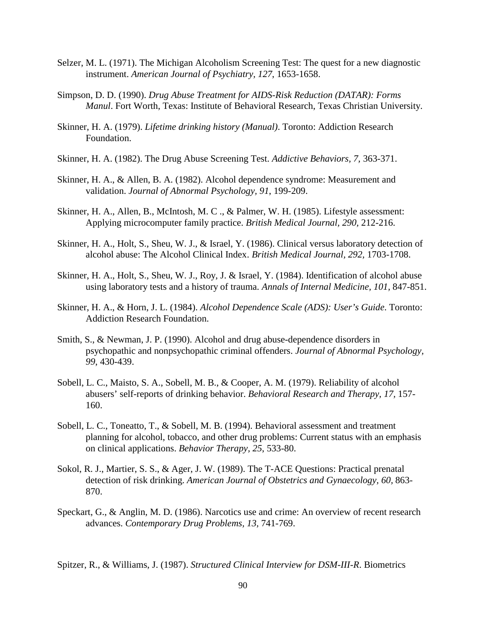- Selzer, M. L. (1971). The Michigan Alcoholism Screening Test: The quest for a new diagnostic instrument. *American Journal of Psychiatry, 127*, 1653-1658.
- Simpson, D. D. (1990). *Drug Abuse Treatment for AIDS-Risk Reduction (DATAR): Forms Manul*. Fort Worth, Texas: Institute of Behavioral Research, Texas Christian University.
- Skinner, H. A. (1979). *Lifetime drinking history (Manual)*. Toronto: Addiction Research Foundation.
- Skinner, H. A. (1982). The Drug Abuse Screening Test. *Addictive Behaviors, 7,* 363-371.
- Skinner, H. A., & Allen, B. A. (1982). Alcohol dependence syndrome: Measurement and validation. *Journal of Abnormal Psychology, 91*, 199-209.
- Skinner, H. A., Allen, B., McIntosh, M. C ., & Palmer, W. H. (1985). Lifestyle assessment: Applying microcomputer family practice. *British Medical Journal, 290,* 212-216.
- Skinner, H. A., Holt, S., Sheu, W. J., & Israel, Y. (1986). Clinical versus laboratory detection of alcohol abuse: The Alcohol Clinical Index. *British Medical Journal, 292,* 1703-1708.
- Skinner, H. A., Holt, S., Sheu, W. J., Roy, J. & Israel, Y. (1984). Identification of alcohol abuse using laboratory tests and a history of trauma. *Annals of Internal Medicine, 101,* 847-851.
- Skinner, H. A., & Horn, J. L. (1984). *Alcohol Dependence Scale (ADS): User's Guide*. Toronto: Addiction Research Foundation.
- Smith, S., & Newman, J. P. (1990). Alcohol and drug abuse-dependence disorders in psychopathic and nonpsychopathic criminal offenders. *Journal of Abnormal Psychology, 99*, 430-439.
- Sobell, L. C., Maisto, S. A., Sobell, M. B., & Cooper, A. M. (1979). Reliability of alcohol abusers' self-reports of drinking behavior. *Behavioral Research and Therapy, 17,* 157- 160.
- Sobell, L. C., Toneatto, T., & Sobell, M. B. (1994). Behavioral assessment and treatment planning for alcohol, tobacco, and other drug problems: Current status with an emphasis on clinical applications. *Behavior Therapy, 25*, 533-80.
- Sokol, R. J., Martier, S. S., & Ager, J. W. (1989). The T-ACE Questions: Practical prenatal detection of risk drinking. *American Journal of Obstetrics and Gynaecology, 60,* 863- 870.
- Speckart, G., & Anglin, M. D. (1986). Narcotics use and crime: An overview of recent research advances. *Contemporary Drug Problems, 13,* 741-769.

Spitzer, R., & Williams, J. (1987). *Structured Clinical Interview for DSM-III-R*. Biometrics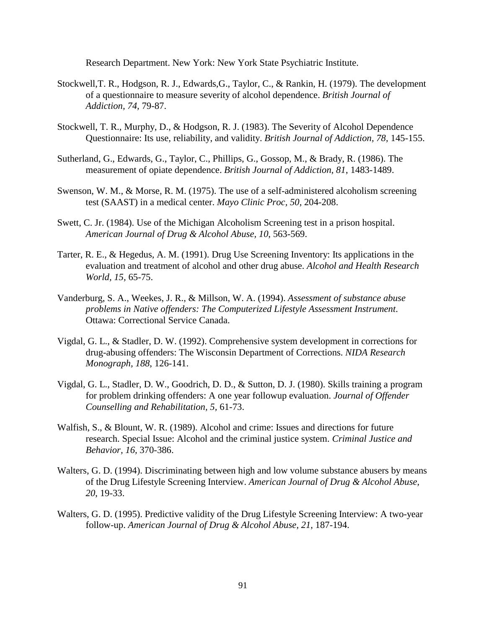Research Department. New York: New York State Psychiatric Institute.

- Stockwell,T. R., Hodgson, R. J., Edwards,G., Taylor, C., & Rankin, H. (1979). The development of a questionnaire to measure severity of alcohol dependence. *British Journal of Addiction, 74,* 79-87.
- Stockwell, T. R., Murphy, D., & Hodgson, R. J. (1983). The Severity of Alcohol Dependence Questionnaire: Its use, reliability, and validity. *British Journal of Addiction, 78,* 145-155.
- Sutherland, G., Edwards, G., Taylor, C., Phillips, G., Gossop, M., & Brady, R. (1986). The measurement of opiate dependence. *British Journal of Addiction, 81*, 1483-1489.
- Swenson, W. M., & Morse, R. M. (1975). The use of a self-administered alcoholism screening test (SAAST) in a medical center. *Mayo Clinic Proc, 50,* 204-208.
- Swett, C. Jr. (1984). Use of the Michigan Alcoholism Screening test in a prison hospital. *American Journal of Drug & Alcohol Abuse, 10*, 563-569.
- Tarter, R. E., & Hegedus, A. M. (1991). Drug Use Screening Inventory: Its applications in the evaluation and treatment of alcohol and other drug abuse. *Alcohol and Health Research World, 15,* 65-75.
- Vanderburg, S. A., Weekes, J. R., & Millson, W. A. (1994). *Assessment of substance abuse problems in Native offenders: The Computerized Lifestyle Assessment Instrument*. Ottawa: Correctional Service Canada.
- Vigdal, G. L., & Stadler, D. W. (1992). Comprehensive system development in corrections for drug-abusing offenders: The Wisconsin Department of Corrections. *NIDA Research Monograph, 188*, 126-141.
- Vigdal, G. L., Stadler, D. W., Goodrich, D. D., & Sutton, D. J. (1980). Skills training a program for problem drinking offenders: A one year followup evaluation. *Journal of Offender Counselling and Rehabilitation, 5,* 61-73.
- Walfish, S., & Blount, W. R. (1989). Alcohol and crime: Issues and directions for future research. Special Issue: Alcohol and the criminal justice system. *Criminal Justice and Behavior, 16,* 370-386.
- Walters, G. D. (1994). Discriminating between high and low volume substance abusers by means of the Drug Lifestyle Screening Interview. *American Journal of Drug & Alcohol Abuse, 20*, 19-33.
- Walters, G. D. (1995). Predictive validity of the Drug Lifestyle Screening Interview: A two-year follow-up. *American Journal of Drug & Alcohol Abuse, 21*, 187-194.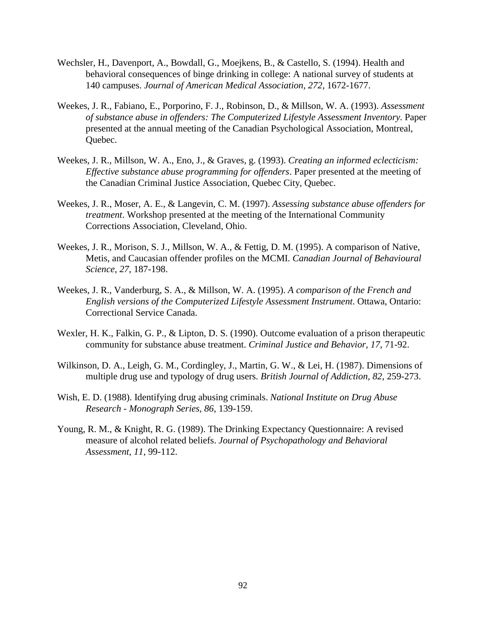- Wechsler, H., Davenport, A., Bowdall, G., Moejkens, B., & Castello, S. (1994). Health and behavioral consequences of binge drinking in college: A national survey of students at 140 campuses. *Journal of American Medical Association, 272,* 1672-1677.
- Weekes, J. R., Fabiano, E., Porporino, F. J., Robinson, D., & Millson, W. A. (1993). *Assessment of substance abuse in offenders: The Computerized Lifestyle Assessment Inventory*. Paper presented at the annual meeting of the Canadian Psychological Association, Montreal, Quebec.
- Weekes, J. R., Millson, W. A., Eno, J., & Graves, g. (1993). *Creating an informed eclecticism: Effective substance abuse programming for offenders*. Paper presented at the meeting of the Canadian Criminal Justice Association, Quebec City, Quebec.
- Weekes, J. R., Moser, A. E., & Langevin, C. M. (1997). *Assessing substance abuse offenders for treatment*. Workshop presented at the meeting of the International Community Corrections Association, Cleveland, Ohio.
- Weekes, J. R., Morison, S. J., Millson, W. A., & Fettig, D. M. (1995). A comparison of Native, Metis, and Caucasian offender profiles on the MCMI. *Canadian Journal of Behavioural Science, 27*, 187-198.
- Weekes, J. R., Vanderburg, S. A., & Millson, W. A. (1995). *A comparison of the French and English versions of the Computerized Lifestyle Assessment Instrument*. Ottawa, Ontario: Correctional Service Canada.
- Wexler, H. K., Falkin, G. P., & Lipton, D. S. (1990). Outcome evaluation of a prison therapeutic community for substance abuse treatment. *Criminal Justice and Behavior, 17*, 71-92.
- Wilkinson, D. A., Leigh, G. M., Cordingley, J., Martin, G. W., & Lei, H. (1987). Dimensions of multiple drug use and typology of drug users. *British Journal of Addiction, 82,* 259-273.
- Wish, E. D. (1988). Identifying drug abusing criminals. *National Institute on Drug Abuse Research - Monograph Series, 86*, 139-159.
- Young, R. M., & Knight, R. G. (1989). The Drinking Expectancy Questionnaire: A revised measure of alcohol related beliefs. *Journal of Psychopathology and Behavioral Assessment, 11,* 99-112.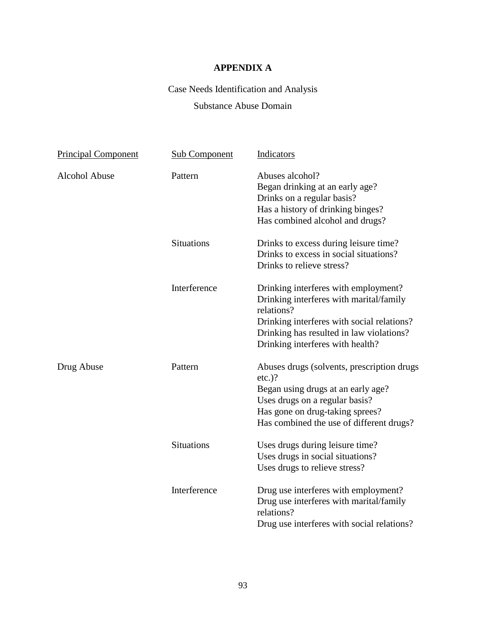# **APPENDIX A**

# Case Needs Identification and Analysis

# Substance Abuse Domain

| <b>Principal Component</b> | <b>Sub Component</b> | Indicators                                                                                                                                                                                                                  |
|----------------------------|----------------------|-----------------------------------------------------------------------------------------------------------------------------------------------------------------------------------------------------------------------------|
| <b>Alcohol Abuse</b>       | Pattern              | Abuses alcohol?<br>Began drinking at an early age?<br>Drinks on a regular basis?<br>Has a history of drinking binges?<br>Has combined alcohol and drugs?                                                                    |
|                            | <b>Situations</b>    | Drinks to excess during leisure time?<br>Drinks to excess in social situations?<br>Drinks to relieve stress?                                                                                                                |
|                            | Interference         | Drinking interferes with employment?<br>Drinking interferes with marital/family<br>relations?<br>Drinking interferes with social relations?<br>Drinking has resulted in law violations?<br>Drinking interferes with health? |
| Drug Abuse                 | Pattern              | Abuses drugs (solvents, prescription drugs)<br>$etc.$ )?<br>Began using drugs at an early age?<br>Uses drugs on a regular basis?<br>Has gone on drug-taking sprees?<br>Has combined the use of different drugs?             |
|                            | <b>Situations</b>    | Uses drugs during leisure time?<br>Uses drugs in social situations?<br>Uses drugs to relieve stress?                                                                                                                        |
|                            | Interference         | Drug use interferes with employment?<br>Drug use interferes with marital/family<br>relations?<br>Drug use interferes with social relations?                                                                                 |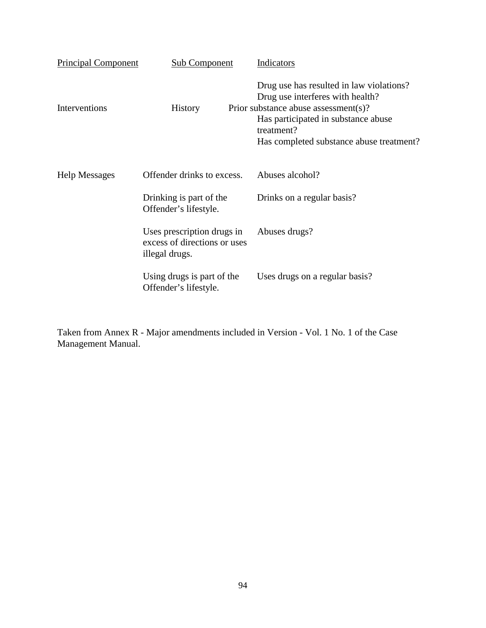| <b>Principal Component</b> | <b>Sub Component</b>                                                         | Indicators                                                                                                                                                                                                            |
|----------------------------|------------------------------------------------------------------------------|-----------------------------------------------------------------------------------------------------------------------------------------------------------------------------------------------------------------------|
| Interventions              | <b>History</b>                                                               | Drug use has resulted in law violations?<br>Drug use interferes with health?<br>Prior substance abuse assessment(s)?<br>Has participated in substance abuse<br>treatment?<br>Has completed substance abuse treatment? |
| <b>Help Messages</b>       | Offender drinks to excess.                                                   | Abuses alcohol?                                                                                                                                                                                                       |
|                            | Drinking is part of the<br>Offender's lifestyle.                             | Drinks on a regular basis?                                                                                                                                                                                            |
|                            | Uses prescription drugs in<br>excess of directions or uses<br>illegal drugs. | Abuses drugs?                                                                                                                                                                                                         |
|                            | Using drugs is part of the<br>Offender's lifestyle.                          | Uses drugs on a regular basis?                                                                                                                                                                                        |

Taken from Annex R - Major amendments included in Version - Vol. 1 No. 1 of the Case Management Manual.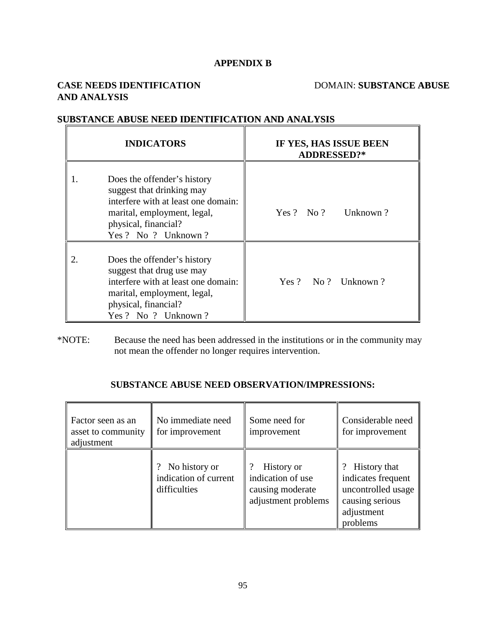# **APPENDIX B**

# **CASE NEEDS IDENTIFICATION** DOMAIN: **SUBSTANCE ABUSE AND ANALYSIS**

| <b>INDICATORS</b> |                                                                                                                                                                                | IF YES, HAS ISSUE BEEN<br><b>ADDRESSED?*</b> |  |  |
|-------------------|--------------------------------------------------------------------------------------------------------------------------------------------------------------------------------|----------------------------------------------|--|--|
|                   | Does the offender's history<br>suggest that drinking may<br>interfere with at least one domain:<br>marital, employment, legal,<br>physical, financial?<br>Yes ? No ? Unknown ? | Yes ? No ? Unknown ?                         |  |  |
|                   | Does the offender's history<br>suggest that drug use may<br>interfere with at least one domain:<br>marital, employment, legal,<br>physical, financial?<br>Yes? No ? Unknown?   | Yes ? No ? Unknown ?                         |  |  |

# **SUBSTANCE ABUSE NEED IDENTIFICATION AND ANALYSIS**

\*NOTE: Because the need has been addressed in the institutions or in the community may not mean the offender no longer requires intervention.

# **SUBSTANCE ABUSE NEED OBSERVATION/IMPRESSIONS:**

| Factor seen as an<br>asset to community<br>adjustment | No immediate need<br>for improvement                   | Some need for<br>improvement                                               | Considerable need<br>for improvement                                                                    |  |
|-------------------------------------------------------|--------------------------------------------------------|----------------------------------------------------------------------------|---------------------------------------------------------------------------------------------------------|--|
|                                                       | No history or<br>indication of current<br>difficulties | History or<br>indication of use<br>causing moderate<br>adjustment problems | ? History that<br>indicates frequent<br>uncontrolled usage<br>causing serious<br>adjustment<br>problems |  |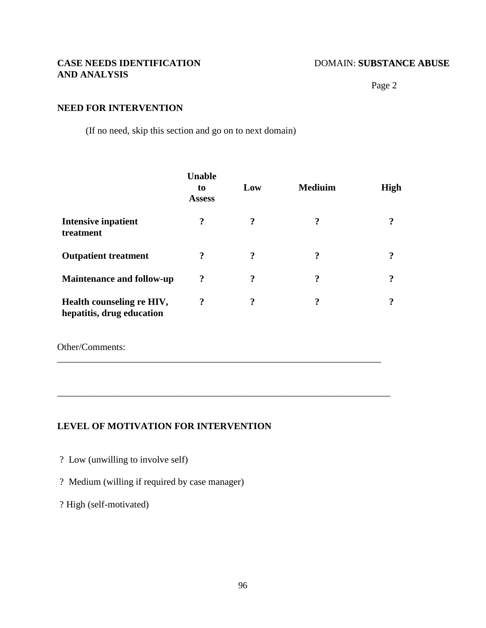# **CASE NEEDS IDENTIFICATION** DOMAIN: **SUBSTANCE** ABUSE **AND ANALYSIS**

Page 2

### **NEED FOR INTERVENTION**

(If no need, skip this section and go on to next domain)

|                                                        | <b>Unable</b><br>to<br><b>Assess</b> | Low | <b>Mediuim</b> | High |
|--------------------------------------------------------|--------------------------------------|-----|----------------|------|
| Intensive inpatient<br>treatment                       | ?                                    | ?   | 9              | 9    |
| <b>Outpatient treatment</b>                            | ?                                    | ?   | 9              | 9    |
| <b>Maintenance and follow-up</b>                       | ?                                    | ?   | 9              | 9    |
| Health counseling re HIV,<br>hepatitis, drug education | $\boldsymbol{?}$                     | ?   | ?<br>٠         | 9    |

\_\_\_\_\_\_\_\_\_\_\_\_\_\_\_\_\_\_\_\_\_\_\_\_\_\_\_\_\_\_\_\_\_\_\_\_\_\_\_\_\_\_\_\_\_\_\_\_\_\_\_\_\_\_\_\_\_\_\_\_\_\_\_\_\_\_\_\_

\_\_\_\_\_\_\_\_\_\_\_\_\_\_\_\_\_\_\_\_\_\_\_\_\_\_\_\_\_\_\_\_\_\_\_\_\_\_\_\_\_\_\_\_\_\_\_\_\_\_\_\_\_\_\_\_\_\_\_\_\_\_\_\_\_\_\_\_\_\_

Other/Comments:

# **LEVEL OF MOTIVATION FOR INTERVENTION**

- ? Low (unwilling to involve self)
- ? Medium (willing if required by case manager)

? High (self-motivated)